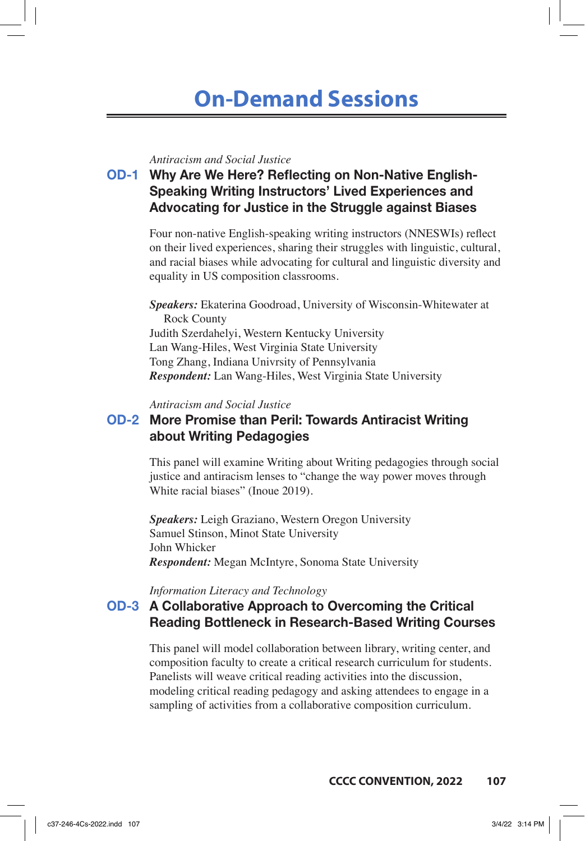# **On-Demand Sessions**

#### *Antiracism and Social Justice*

**OD-1 Why Are We Here? Reflecting on Non-Native English-Speaking Writing Instructors' Lived Experiences and Advocating for Justice in the Struggle against Biases**

> Four non-native English-speaking writing instructors (NNESWIs) reflect on their lived experiences, sharing their struggles with linguistic, cultural, and racial biases while advocating for cultural and linguistic diversity and equality in US composition classrooms.

*Speakers:* Ekaterina Goodroad, University of Wisconsin-Whitewater at Rock County Judith Szerdahelyi, Western Kentucky University Lan Wang-Hiles, West Virginia State University Tong Zhang, Indiana Univrsity of Pennsylvania *Respondent:* Lan Wang-Hiles, West Virginia State University

*Antiracism and Social Justice*

### **OD-2 More Promise than Peril: Towards Antiracist Writing about Writing Pedagogies**

This panel will examine Writing about Writing pedagogies through social justice and antiracism lenses to "change the way power moves through White racial biases" (Inoue 2019).

*Speakers:* Leigh Graziano, Western Oregon University Samuel Stinson, Minot State University John Whicker *Respondent:* Megan McIntyre, Sonoma State University

*Information Literacy and Technology*

### **OD-3 A Collaborative Approach to Overcoming the Critical Reading Bottleneck in Research-Based Writing Courses**

This panel will model collaboration between library, writing center, and composition faculty to create a critical research curriculum for students. Panelists will weave critical reading activities into the discussion, modeling critical reading pedagogy and asking attendees to engage in a sampling of activities from a collaborative composition curriculum.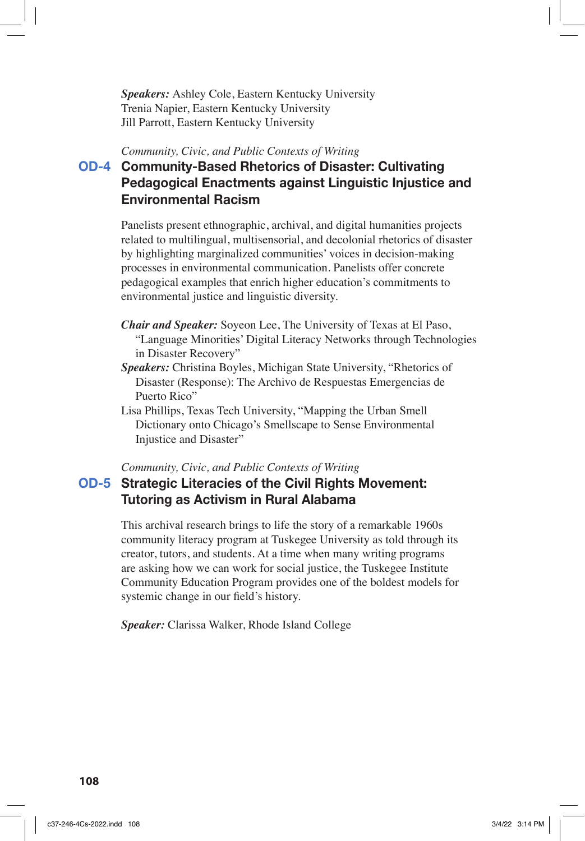*Speakers:* Ashley Cole, Eastern Kentucky University Trenia Napier, Eastern Kentucky University Jill Parrott, Eastern Kentucky University

*Community, Civic, and Public Contexts of Writing*

# **OD-4 Community-Based Rhetorics of Disaster: Cultivating Pedagogical Enactments against Linguistic Injustice and Environmental Racism**

Panelists present ethnographic, archival, and digital humanities projects related to multilingual, multisensorial, and decolonial rhetorics of disaster by highlighting marginalized communities' voices in decision-making processes in environmental communication. Panelists offer concrete pedagogical examples that enrich higher education's commitments to environmental justice and linguistic diversity.

- *Chair and Speaker:* Soyeon Lee, The University of Texas at El Paso, "Language Minorities' Digital Literacy Networks through Technologies in Disaster Recovery"
- *Speakers:* Christina Boyles, Michigan State University, "Rhetorics of Disaster (Response): The Archivo de Respuestas Emergencias de Puerto Rico"

Lisa Phillips, Texas Tech University, "Mapping the Urban Smell Dictionary onto Chicago's Smellscape to Sense Environmental Injustice and Disaster"

*Community, Civic, and Public Contexts of Writing*

# **OD-5 Strategic Literacies of the Civil Rights Movement: Tutoring as Activism in Rural Alabama**

This archival research brings to life the story of a remarkable 1960s community literacy program at Tuskegee University as told through its creator, tutors, and students. At a time when many writing programs are asking how we can work for social justice, the Tuskegee Institute Community Education Program provides one of the boldest models for systemic change in our field's history.

*Speaker:* Clarissa Walker, Rhode Island College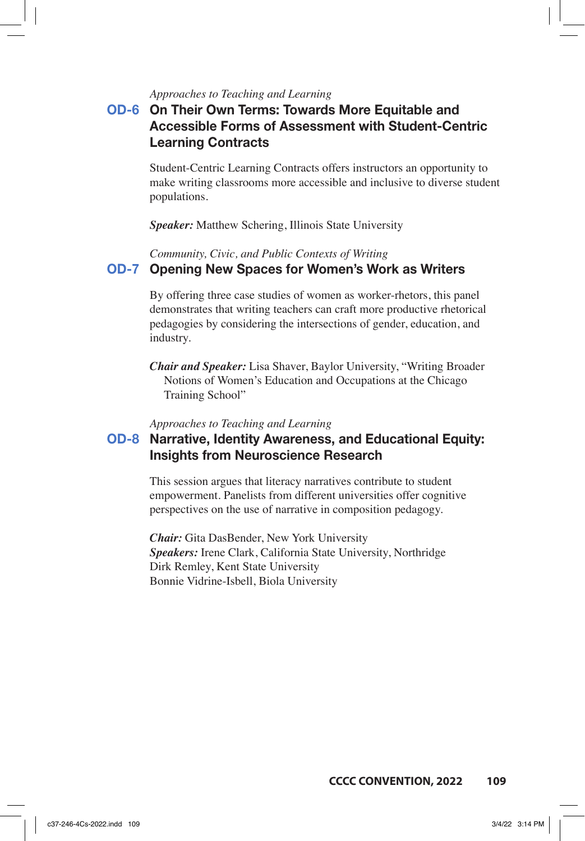### *Approaches to Teaching and Learning*

# **OD-6 On Their Own Terms: Towards More Equitable and Accessible Forms of Assessment with Student-Centric Learning Contracts**

Student-Centric Learning Contracts offers instructors an opportunity to make writing classrooms more accessible and inclusive to diverse student populations.

*Speaker:* Matthew Schering, Illinois State University

*Community, Civic, and Public Contexts of Writing*

### **OD-7 Opening New Spaces for Women's Work as Writers**

By offering three case studies of women as worker-rhetors, this panel demonstrates that writing teachers can craft more productive rhetorical pedagogies by considering the intersections of gender, education, and industry.

*Chair and Speaker:* Lisa Shaver, Baylor University, "Writing Broader Notions of Women's Education and Occupations at the Chicago Training School"

*Approaches to Teaching and Learning*

### **OD-8 Narrative, Identity Awareness, and Educational Equity: Insights from Neuroscience Research**

This session argues that literacy narratives contribute to student empowerment. Panelists from different universities offer cognitive perspectives on the use of narrative in composition pedagogy.

*Chair:* Gita DasBender, New York University *Speakers:* Irene Clark, California State University, Northridge Dirk Remley, Kent State University Bonnie Vidrine-Isbell, Biola University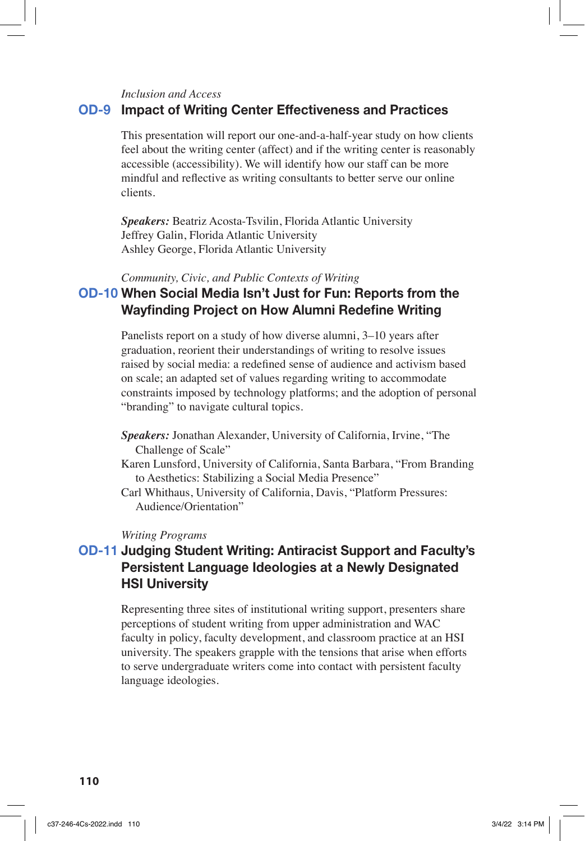*Inclusion and Access*

### **OD-9 Impact of Writing Center Effectiveness and Practices**

This presentation will report our one-and-a-half-year study on how clients feel about the writing center (affect) and if the writing center is reasonably accessible (accessibility). We will identify how our staff can be more mindful and reflective as writing consultants to better serve our online clients.

*Speakers:* Beatriz Acosta-Tsvilin, Florida Atlantic University Jeffrey Galin, Florida Atlantic University Ashley George, Florida Atlantic University

*Community, Civic, and Public Contexts of Writing*

### **OD-10 When Social Media Isn't Just for Fun: Reports from the Wayfinding Project on How Alumni Redefine Writing**

Panelists report on a study of how diverse alumni, 3–10 years after graduation, reorient their understandings of writing to resolve issues raised by social media: a redefined sense of audience and activism based on scale; an adapted set of values regarding writing to accommodate constraints imposed by technology platforms; and the adoption of personal "branding" to navigate cultural topics.

- *Speakers:* Jonathan Alexander, University of California, Irvine, "The Challenge of Scale"
- Karen Lunsford, University of California, Santa Barbara, "From Branding to Aesthetics: Stabilizing a Social Media Presence"
- Carl Whithaus, University of California, Davis, "Platform Pressures: Audience/Orientation"

#### *Writing Programs*

# **OD-11 Judging Student Writing: Antiracist Support and Faculty's Persistent Language Ideologies at a Newly Designated HSI University**

Representing three sites of institutional writing support, presenters share perceptions of student writing from upper administration and WAC faculty in policy, faculty development, and classroom practice at an HSI university. The speakers grapple with the tensions that arise when efforts to serve undergraduate writers come into contact with persistent faculty language ideologies.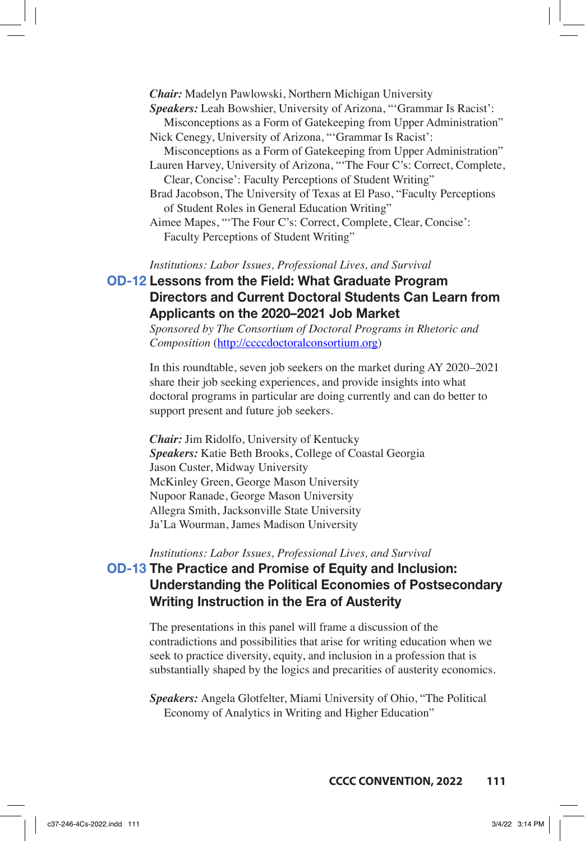*Chair:* Madelyn Pawlowski, Northern Michigan University

*Speakers:* Leah Bowshier, University of Arizona, "'Grammar Is Racist':

- Misconceptions as a Form of Gatekeeping from Upper Administration" Nick Cenegy, University of Arizona, "'Grammar Is Racist':
- Misconceptions as a Form of Gatekeeping from Upper Administration" Lauren Harvey, University of Arizona, "'The Four C's: Correct, Complete, Clear, Concise': Faculty Perceptions of Student Writing"
- Brad Jacobson, The University of Texas at El Paso, "Faculty Perceptions of Student Roles in General Education Writing"
- Aimee Mapes, "'The Four C's: Correct, Complete, Clear, Concise': Faculty Perceptions of Student Writing"

*Institutions: Labor Issues, Professional Lives, and Survival*

# **OD-12 Lessons from the Field: What Graduate Program Directors and Current Doctoral Students Can Learn from Applicants on the 2020–2021 Job Market**

*Sponsored by The Consortium of Doctoral Programs in Rhetoric and Composition* (http://ccccdoctoralconsortium.org)

In this roundtable, seven job seekers on the market during AY 2020–2021 share their job seeking experiences, and provide insights into what doctoral programs in particular are doing currently and can do better to support present and future job seekers.

*Chair:* Jim Ridolfo, University of Kentucky *Speakers:* Katie Beth Brooks, College of Coastal Georgia Jason Custer, Midway University McKinley Green, George Mason University Nupoor Ranade, George Mason University Allegra Smith, Jacksonville State University Ja'La Wourman, James Madison University

### *Institutions: Labor Issues, Professional Lives, and Survival* **OD-13 The Practice and Promise of Equity and Inclusion: Understanding the Political Economies of Postsecondary Writing Instruction in the Era of Austerity**

The presentations in this panel will frame a discussion of the contradictions and possibilities that arise for writing education when we seek to practice diversity, equity, and inclusion in a profession that is substantially shaped by the logics and precarities of austerity economics.

*Speakers:* Angela Glotfelter, Miami University of Ohio, "The Political Economy of Analytics in Writing and Higher Education"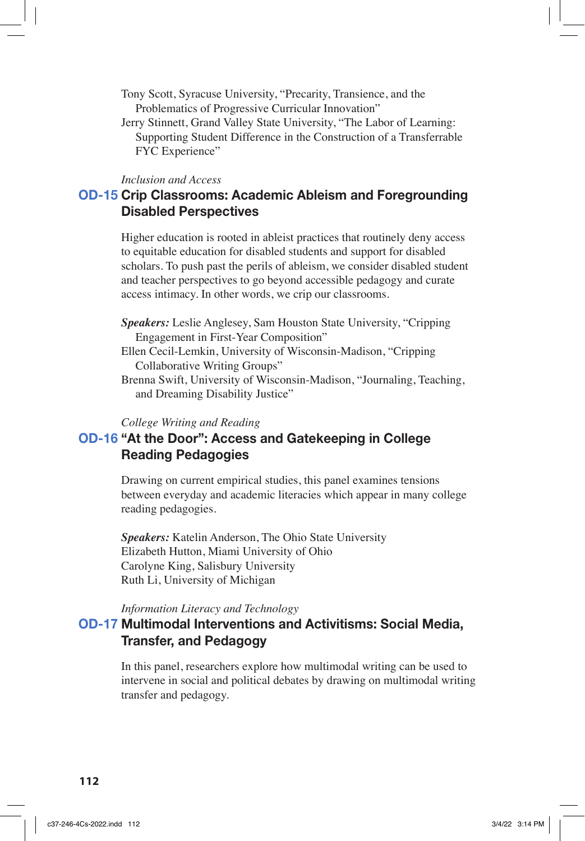- Tony Scott, Syracuse University, "Precarity, Transience, and the Problematics of Progressive Curricular Innovation"
- Jerry Stinnett, Grand Valley State University, "The Labor of Learning: Supporting Student Difference in the Construction of a Transferrable FYC Experience"

#### *Inclusion and Access*

### **OD-15 Crip Classrooms: Academic Ableism and Foregrounding Disabled Perspectives**

Higher education is rooted in ableist practices that routinely deny access to equitable education for disabled students and support for disabled scholars. To push past the perils of ableism, we consider disabled student and teacher perspectives to go beyond accessible pedagogy and curate access intimacy. In other words, we crip our classrooms.

- *Speakers:* Leslie Anglesey, Sam Houston State University, "Cripping Engagement in First-Year Composition"
- Ellen Cecil-Lemkin, University of Wisconsin-Madison, "Cripping Collaborative Writing Groups"
- Brenna Swift, University of Wisconsin-Madison, "Journaling, Teaching, and Dreaming Disability Justice"

### *College Writing and Reading*

### **OD-16 "At the Door": Access and Gatekeeping in College Reading Pedagogies**

Drawing on current empirical studies, this panel examines tensions between everyday and academic literacies which appear in many college reading pedagogies.

*Speakers:* Katelin Anderson, The Ohio State University Elizabeth Hutton, Miami University of Ohio Carolyne King, Salisbury University Ruth Li, University of Michigan

### *Information Literacy and Technology*

### **OD-17 Multimodal Interventions and Activitisms: Social Media, Transfer, and Pedagogy**

In this panel, researchers explore how multimodal writing can be used to intervene in social and political debates by drawing on multimodal writing transfer and pedagogy.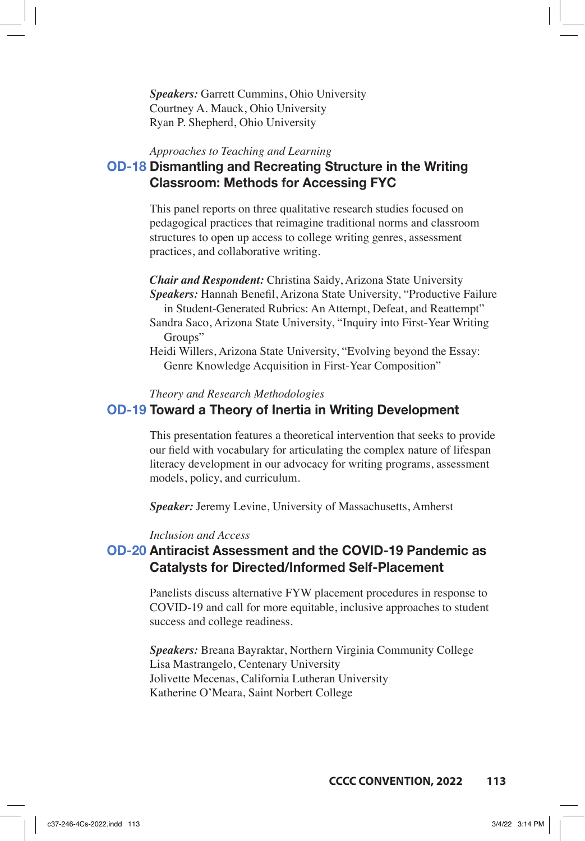*Speakers:* Garrett Cummins, Ohio University Courtney A. Mauck, Ohio University Ryan P. Shepherd, Ohio University

#### *Approaches to Teaching and Learning*

# **OD-18 Dismantling and Recreating Structure in the Writing Classroom: Methods for Accessing FYC**

This panel reports on three qualitative research studies focused on pedagogical practices that reimagine traditional norms and classroom structures to open up access to college writing genres, assessment practices, and collaborative writing.

*Chair and Respondent:* Christina Saidy, Arizona State University *Speakers:* Hannah Benefil, Arizona State University, "Productive Failure in Student-Generated Rubrics: An Attempt, Defeat, and Reattempt" Sandra Saco, Arizona State University, "Inquiry into First-Year Writing

Groups"

Heidi Willers, Arizona State University, "Evolving beyond the Essay: Genre Knowledge Acquisition in First-Year Composition"

*Theory and Research Methodologies*

### **OD-19 Toward a Theory of Inertia in Writing Development**

This presentation features a theoretical intervention that seeks to provide our field with vocabulary for articulating the complex nature of lifespan literacy development in our advocacy for writing programs, assessment models, policy, and curriculum.

*Speaker:* Jeremy Levine, University of Massachusetts, Amherst

#### *Inclusion and Access*

### **OD-20 Antiracist Assessment and the COVID-19 Pandemic as Catalysts for Directed/Informed Self-Placement**

Panelists discuss alternative FYW placement procedures in response to COVID-19 and call for more equitable, inclusive approaches to student success and college readiness.

*Speakers:* Breana Bayraktar, Northern Virginia Community College Lisa Mastrangelo, Centenary University Jolivette Mecenas, California Lutheran University Katherine O'Meara, Saint Norbert College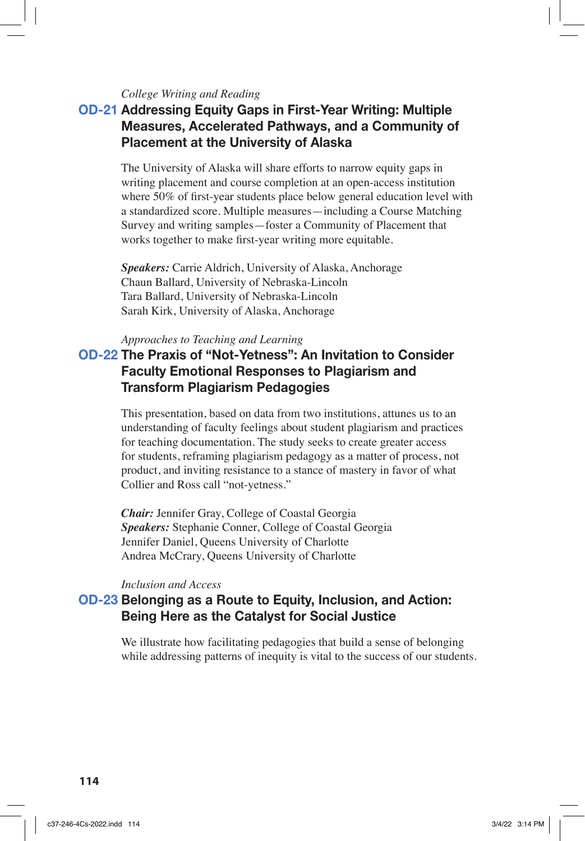### *College Writing and Reading*

# **OD-21 Addressing Equity Gaps in First-Year Writing: Multiple Measures, Accelerated Pathways, and a Community of Placement at the University of Alaska**

The University of Alaska will share efforts to narrow equity gaps in writing placement and course completion at an open-access institution where 50% of first-year students place below general education level with a standardized score. Multiple measures—including a Course Matching Survey and writing samples—foster a Community of Placement that works together to make first-year writing more equitable.

*Speakers:* Carrie Aldrich, University of Alaska, Anchorage Chaun Ballard, University of Nebraska-Lincoln Tara Ballard, University of Nebraska-Lincoln Sarah Kirk, University of Alaska, Anchorage

### *Approaches to Teaching and Learning*

# **OD-22 The Praxis of "Not-Yetness": An Invitation to Consider Faculty Emotional Responses to Plagiarism and Transform Plagiarism Pedagogies**

This presentation, based on data from two institutions, attunes us to an understanding of faculty feelings about student plagiarism and practices for teaching documentation. The study seeks to create greater access for students, reframing plagiarism pedagogy as a matter of process, not product, and inviting resistance to a stance of mastery in favor of what Collier and Ross call "not-yetness."

*Chair:* Jennifer Gray, College of Coastal Georgia *Speakers:* Stephanie Conner, College of Coastal Georgia Jennifer Daniel, Queens University of Charlotte Andrea McCrary, Queens University of Charlotte

#### *Inclusion and Access*

### **OD-23 Belonging as a Route to Equity, Inclusion, and Action: Being Here as the Catalyst for Social Justice**

We illustrate how facilitating pedagogies that build a sense of belonging while addressing patterns of inequity is vital to the success of our students.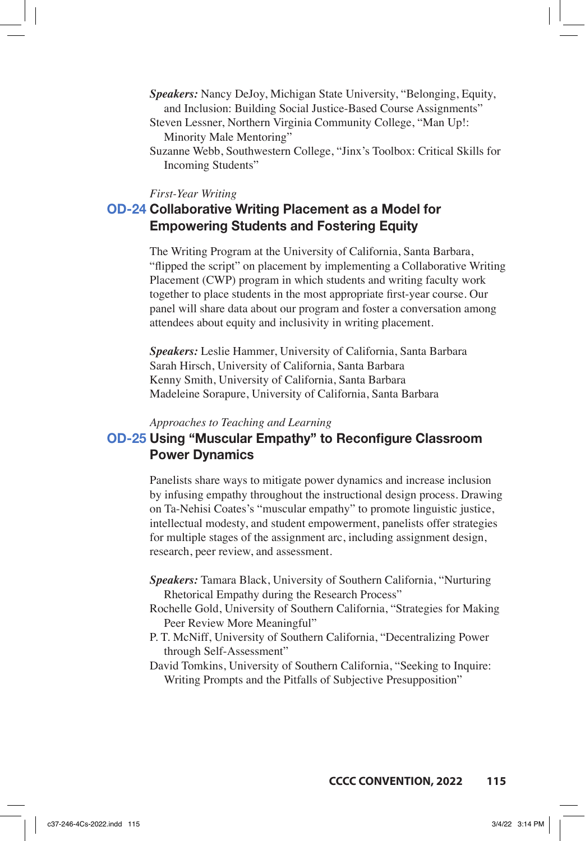- *Speakers:* Nancy DeJoy, Michigan State University, "Belonging, Equity, and Inclusion: Building Social Justice-Based Course Assignments"
- Steven Lessner, Northern Virginia Community College, "Man Up!: Minority Male Mentoring"
- Suzanne Webb, Southwestern College, "Jinx's Toolbox: Critical Skills for Incoming Students"

#### *First-Year Writing*

# **OD-24 Collaborative Writing Placement as a Model for Empowering Students and Fostering Equity**

The Writing Program at the University of California, Santa Barbara, "flipped the script" on placement by implementing a Collaborative Writing Placement (CWP) program in which students and writing faculty work together to place students in the most appropriate first-year course. Our panel will share data about our program and foster a conversation among attendees about equity and inclusivity in writing placement.

*Speakers:* Leslie Hammer, University of California, Santa Barbara Sarah Hirsch, University of California, Santa Barbara Kenny Smith, University of California, Santa Barbara Madeleine Sorapure, University of California, Santa Barbara

#### *Approaches to Teaching and Learning*

# **OD-25 Using "Muscular Empathy" to Reconfigure Classroom Power Dynamics**

Panelists share ways to mitigate power dynamics and increase inclusion by infusing empathy throughout the instructional design process. Drawing on Ta-Nehisi Coates's "muscular empathy" to promote linguistic justice, intellectual modesty, and student empowerment, panelists offer strategies for multiple stages of the assignment arc, including assignment design, research, peer review, and assessment.

- *Speakers:* Tamara Black, University of Southern California, "Nurturing Rhetorical Empathy during the Research Process"
- Rochelle Gold, University of Southern California, "Strategies for Making Peer Review More Meaningful"
- P. T. McNiff, University of Southern California, "Decentralizing Power through Self-Assessment"
- David Tomkins, University of Southern California, "Seeking to Inquire: Writing Prompts and the Pitfalls of Subjective Presupposition"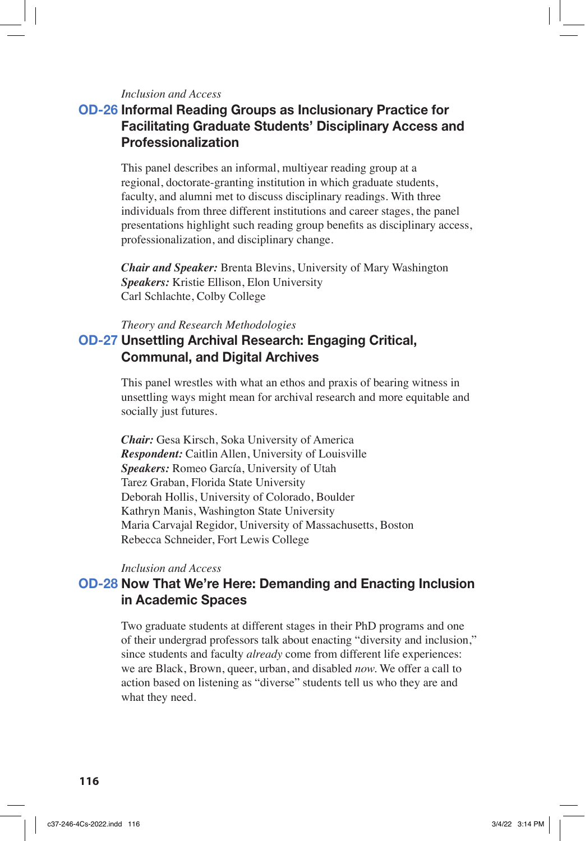### *Inclusion and Access*

# **OD-26 Informal Reading Groups as Inclusionary Practice for Facilitating Graduate Students' Disciplinary Access and Professionalization**

This panel describes an informal, multiyear reading group at a regional, doctorate-granting institution in which graduate students, faculty, and alumni met to discuss disciplinary readings. With three individuals from three different institutions and career stages, the panel presentations highlight such reading group benefits as disciplinary access, professionalization, and disciplinary change.

*Chair and Speaker:* Brenta Blevins, University of Mary Washington *Speakers:* Kristie Ellison, Elon University Carl Schlachte, Colby College

### *Theory and Research Methodologies*

### **OD-27 Unsettling Archival Research: Engaging Critical, Communal, and Digital Archives**

This panel wrestles with what an ethos and praxis of bearing witness in unsettling ways might mean for archival research and more equitable and socially just futures.

*Chair:* Gesa Kirsch, Soka University of America *Respondent:* Caitlin Allen, University of Louisville *Speakers:* Romeo García, University of Utah Tarez Graban, Florida State University Deborah Hollis, University of Colorado, Boulder Kathryn Manis, Washington State University Maria Carvajal Regidor, University of Massachusetts, Boston Rebecca Schneider, Fort Lewis College

### *Inclusion and Access*

### **OD-28 Now That We're Here: Demanding and Enacting Inclusion in Academic Spaces**

Two graduate students at different stages in their PhD programs and one of their undergrad professors talk about enacting "diversity and inclusion," since students and faculty *already* come from different life experiences: we are Black, Brown, queer, urban, and disabled *now.* We offer a call to action based on listening as "diverse" students tell us who they are and what they need.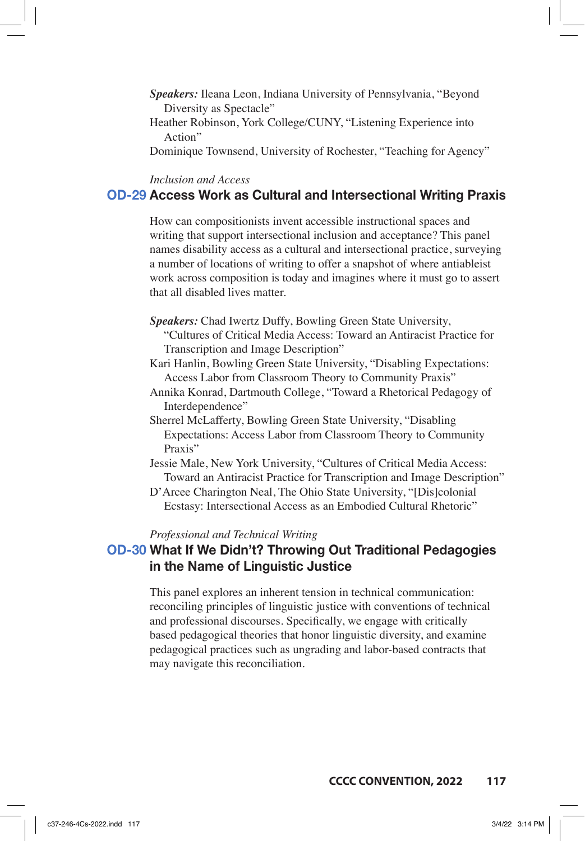- *Speakers:* Ileana Leon, Indiana University of Pennsylvania, "Beyond Diversity as Spectacle"
- Heather Robinson, York College/CUNY, "Listening Experience into Action"

Dominique Townsend, University of Rochester, "Teaching for Agency"

### *Inclusion and Access*

### **OD-29 Access Work as Cultural and Intersectional Writing Praxis**

How can compositionists invent accessible instructional spaces and writing that support intersectional inclusion and acceptance? This panel names disability access as a cultural and intersectional practice, surveying a number of locations of writing to offer a snapshot of where antiableist work across composition is today and imagines where it must go to assert that all disabled lives matter.

- *Speakers:* Chad Iwertz Duffy, Bowling Green State University,
	- "Cultures of Critical Media Access: Toward an Antiracist Practice for Transcription and Image Description"
- Kari Hanlin, Bowling Green State University, "Disabling Expectations: Access Labor from Classroom Theory to Community Praxis"
- Annika Konrad, Dartmouth College, "Toward a Rhetorical Pedagogy of Interdependence"
- Sherrel McLafferty, Bowling Green State University, "Disabling Expectations: Access Labor from Classroom Theory to Community Praxis"
- Jessie Male, New York University, "Cultures of Critical Media Access: Toward an Antiracist Practice for Transcription and Image Description"
- D'Arcee Charington Neal, The Ohio State University, "[Dis]colonial Ecstasy: Intersectional Access as an Embodied Cultural Rhetoric"

#### *Professional and Technical Writing*

### **OD-30 What If We Didn't? Throwing Out Traditional Pedagogies in the Name of Linguistic Justice**

This panel explores an inherent tension in technical communication: reconciling principles of linguistic justice with conventions of technical and professional discourses. Specifically, we engage with critically based pedagogical theories that honor linguistic diversity, and examine pedagogical practices such as ungrading and labor-based contracts that may navigate this reconciliation.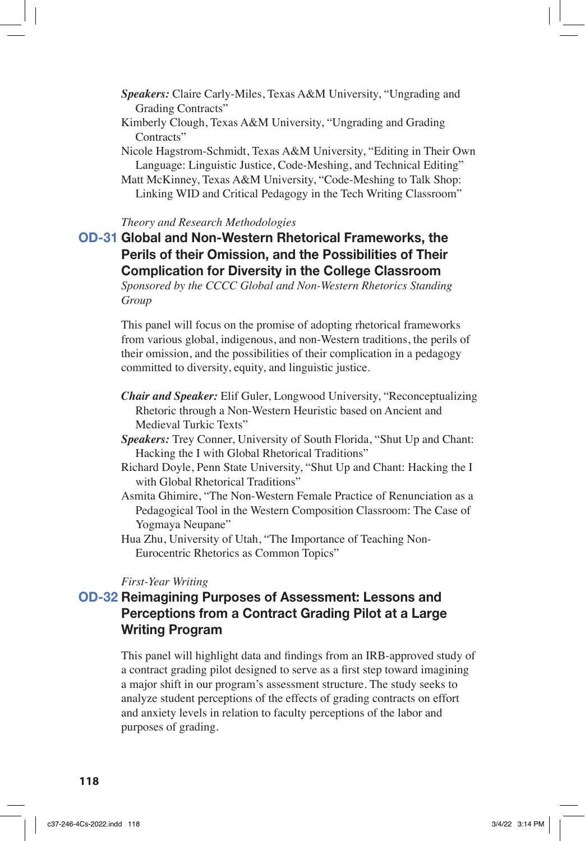- *Speakers:* Claire Carly-Miles, Texas A&M University, "Ungrading and Grading Contracts"
- Kimberly Clough, Texas A&M University, "Ungrading and Grading Contracts"
- Nicole Hagstrom-Schmidt, Texas A&M University, "Editing in Their Own Language: Linguistic Justice, Code-Meshing, and Technical Editing" Matt McKinney, Texas A&M University, "Code-Meshing to Talk Shop:
- Linking WID and Critical Pedagogy in the Tech Writing Classroom"

#### *Theory and Research Methodologies*

# **OD-31 Global and Non-Western Rhetorical Frameworks, the Perils of their Omission, and the Possibilities of Their Complication for Diversity in the College Classroom**

*Sponsored by the CCCC Global and Non-Western Rhetorics Standing Group*

This panel will focus on the promise of adopting rhetorical frameworks from various global, indigenous, and non-Western traditions, the perils of their omission, and the possibilities of their complication in a pedagogy committed to diversity, equity, and linguistic justice.

- *Chair and Speaker:* Elif Guler, Longwood University, "Reconceptualizing Rhetoric through a Non-Western Heuristic based on Ancient and Medieval Turkic Texts"
- *Speakers:* Trey Conner, University of South Florida, "Shut Up and Chant: Hacking the I with Global Rhetorical Traditions"
- Richard Doyle, Penn State University, "Shut Up and Chant: Hacking the I with Global Rhetorical Traditions"
- Asmita Ghimire, "The Non-Western Female Practice of Renunciation as a Pedagogical Tool in the Western Composition Classroom: The Case of Yogmaya Neupane"
- Hua Zhu, University of Utah, "The Importance of Teaching Non-Eurocentric Rhetorics as Common Topics"

#### *First-Year Writing*

# **OD-32 Reimagining Purposes of Assessment: Lessons and Perceptions from a Contract Grading Pilot at a Large Writing Program**

This panel will highlight data and findings from an IRB-approved study of a contract grading pilot designed to serve as a first step toward imagining a major shift in our program's assessment structure. The study seeks to analyze student perceptions of the effects of grading contracts on effort and anxiety levels in relation to faculty perceptions of the labor and purposes of grading.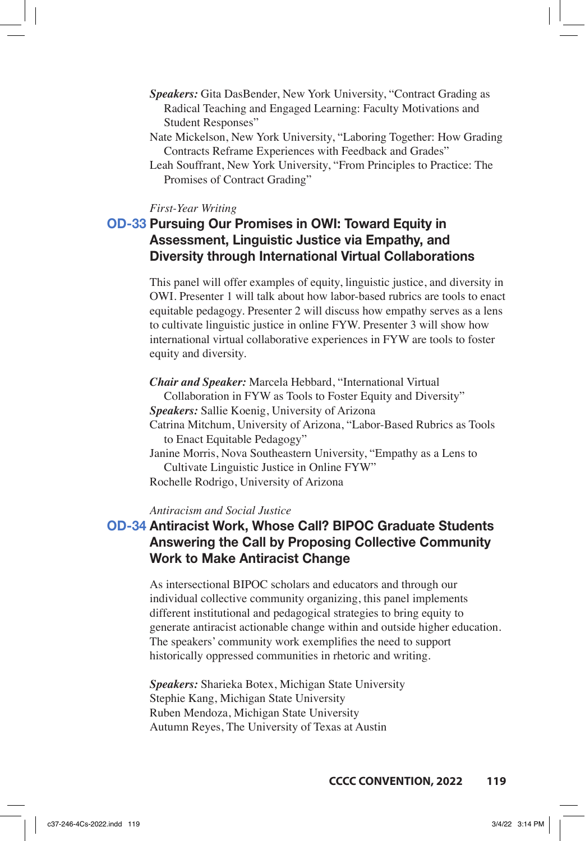- *Speakers:* Gita DasBender, New York University, "Contract Grading as Radical Teaching and Engaged Learning: Faculty Motivations and Student Responses"
- Nate Mickelson, New York University, "Laboring Together: How Grading Contracts Reframe Experiences with Feedback and Grades"
- Leah Souffrant, New York University, "From Principles to Practice: The Promises of Contract Grading"

#### *First-Year Writing*

# **OD-33 Pursuing Our Promises in OWI: Toward Equity in Assessment, Linguistic Justice via Empathy, and Diversity through International Virtual Collaborations**

This panel will offer examples of equity, linguistic justice, and diversity in OWI. Presenter 1 will talk about how labor-based rubrics are tools to enact equitable pedagogy. Presenter 2 will discuss how empathy serves as a lens to cultivate linguistic justice in online FYW. Presenter 3 will show how international virtual collaborative experiences in FYW are tools to foster equity and diversity.

*Chair and Speaker:* Marcela Hebbard, "International Virtual Collaboration in FYW as Tools to Foster Equity and Diversity" *Speakers:* Sallie Koenig, University of Arizona Catrina Mitchum, University of Arizona, "Labor-Based Rubrics as Tools to Enact Equitable Pedagogy" Janine Morris, Nova Southeastern University, "Empathy as a Lens to Cultivate Linguistic Justice in Online FYW" Rochelle Rodrigo, University of Arizona

### *Antiracism and Social Justice*

# **OD-34 Antiracist Work, Whose Call? BIPOC Graduate Students Answering the Call by Proposing Collective Community Work to Make Antiracist Change**

As intersectional BIPOC scholars and educators and through our individual collective community organizing, this panel implements different institutional and pedagogical strategies to bring equity to generate antiracist actionable change within and outside higher education. The speakers' community work exemplifies the need to support historically oppressed communities in rhetoric and writing.

*Speakers:* Sharieka Botex, Michigan State University Stephie Kang, Michigan State University Ruben Mendoza, Michigan State University Autumn Reyes, The University of Texas at Austin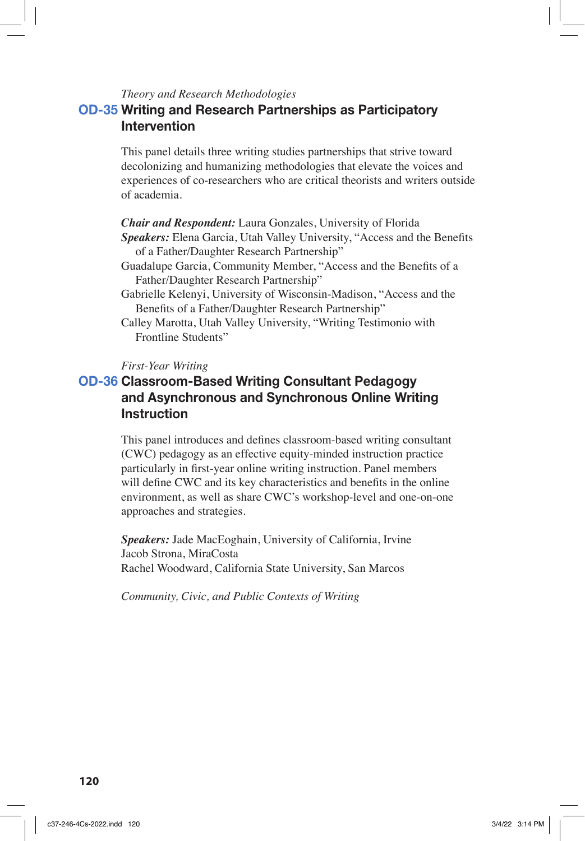### *Theory and Research Methodologies*

# **OD-35 Writing and Research Partnerships as Participatory Intervention**

This panel details three writing studies partnerships that strive toward decolonizing and humanizing methodologies that elevate the voices and experiences of co-researchers who are critical theorists and writers outside of academia.

*Chair and Respondent:* Laura Gonzales, University of Florida *Speakers:* Elena Garcia, Utah Valley University, "Access and the Benefits of a Father/Daughter Research Partnership"

Guadalupe Garcia, Community Member, "Access and the Benefits of a Father/Daughter Research Partnership"

Gabrielle Kelenyi, University of Wisconsin-Madison, "Access and the Benefits of a Father/Daughter Research Partnership"

Calley Marotta, Utah Valley University, "Writing Testimonio with Frontline Students"

### *First-Year Writing*

# **OD-36 Classroom-Based Writing Consultant Pedagogy and Asynchronous and Synchronous Online Writing Instruction**

This panel introduces and defines classroom-based writing consultant (CWC) pedagogy as an effective equity-minded instruction practice particularly in first-year online writing instruction. Panel members will define CWC and its key characteristics and benefits in the online environment, as well as share CWC's workshop-level and one-on-one approaches and strategies.

*Speakers:* Jade MacEoghain, University of California, Irvine Jacob Strona, MiraCosta Rachel Woodward, California State University, San Marcos

*Community, Civic, and Public Contexts of Writing*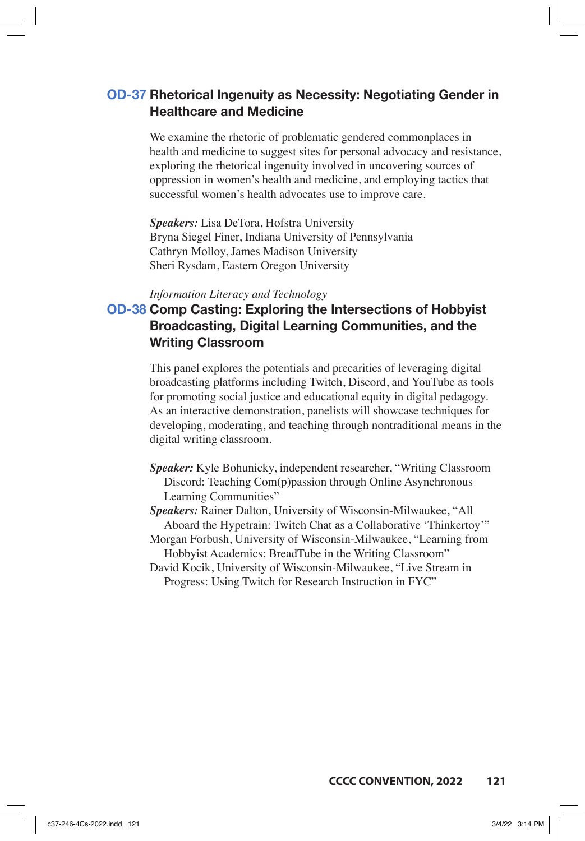### **OD-37 Rhetorical Ingenuity as Necessity: Negotiating Gender in Healthcare and Medicine**

We examine the rhetoric of problematic gendered commonplaces in health and medicine to suggest sites for personal advocacy and resistance, exploring the rhetorical ingenuity involved in uncovering sources of oppression in women's health and medicine, and employing tactics that successful women's health advocates use to improve care.

*Speakers:* Lisa DeTora, Hofstra University Bryna Siegel Finer, Indiana University of Pennsylvania Cathryn Molloy, James Madison University Sheri Rysdam, Eastern Oregon University

### *Information Literacy and Technology*

# **OD-38 Comp Casting: Exploring the Intersections of Hobbyist Broadcasting, Digital Learning Communities, and the Writing Classroom**

This panel explores the potentials and precarities of leveraging digital broadcasting platforms including Twitch, Discord, and YouTube as tools for promoting social justice and educational equity in digital pedagogy. As an interactive demonstration, panelists will showcase techniques for developing, moderating, and teaching through nontraditional means in the digital writing classroom.

- *Speaker:* Kyle Bohunicky, independent researcher, "Writing Classroom Discord: Teaching Com(p)passion through Online Asynchronous Learning Communities"
- *Speakers:* Rainer Dalton, University of Wisconsin-Milwaukee, "All Aboard the Hypetrain: Twitch Chat as a Collaborative 'Thinkertoy'"
- Morgan Forbush, University of Wisconsin-Milwaukee, "Learning from Hobbyist Academics: BreadTube in the Writing Classroom"
- David Kocik, University of Wisconsin-Milwaukee, "Live Stream in Progress: Using Twitch for Research Instruction in FYC"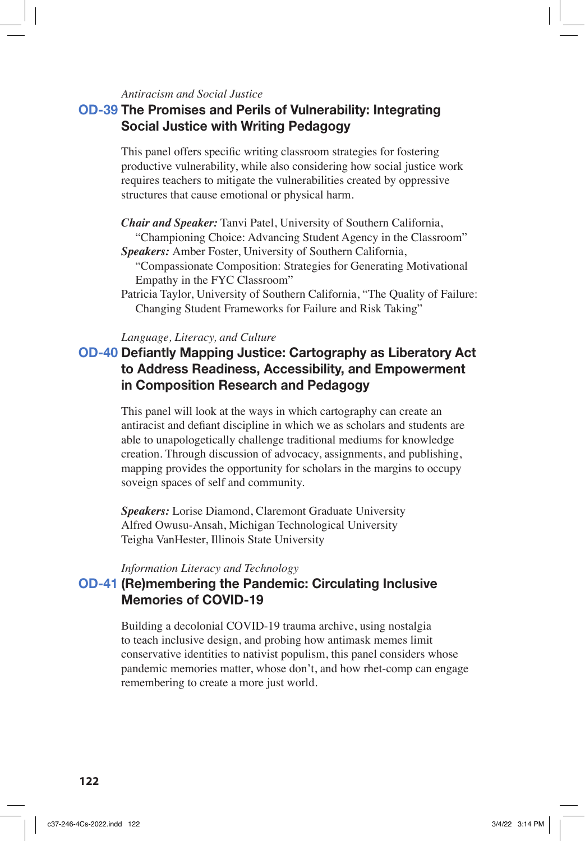### *Antiracism and Social Justice*

### **OD-39 The Promises and Perils of Vulnerability: Integrating Social Justice with Writing Pedagogy**

This panel offers specific writing classroom strategies for fostering productive vulnerability, while also considering how social justice work requires teachers to mitigate the vulnerabilities created by oppressive structures that cause emotional or physical harm.

- *Chair and Speaker:* Tanvi Patel, University of Southern California, "Championing Choice: Advancing Student Agency in the Classroom"
- *Speakers:* Amber Foster, University of Southern California,
	- "Compassionate Composition: Strategies for Generating Motivational Empathy in the FYC Classroom"
- Patricia Taylor, University of Southern California, "The Quality of Failure: Changing Student Frameworks for Failure and Risk Taking"

#### *Language, Literacy, and Culture*

# **OD-40 Defiantly Mapping Justice: Cartography as Liberatory Act to Address Readiness, Accessibility, and Empowerment in Composition Research and Pedagogy**

This panel will look at the ways in which cartography can create an antiracist and defiant discipline in which we as scholars and students are able to unapologetically challenge traditional mediums for knowledge creation. Through discussion of advocacy, assignments, and publishing, mapping provides the opportunity for scholars in the margins to occupy soveign spaces of self and community.

*Speakers:* Lorise Diamond, Claremont Graduate University Alfred Owusu-Ansah, Michigan Technological University Teigha VanHester, Illinois State University

*Information Literacy and Technology*

# **OD-41 (Re)membering the Pandemic: Circulating Inclusive Memories of COVID-19**

Building a decolonial COVID-19 trauma archive, using nostalgia to teach inclusive design, and probing how antimask memes limit conservative identities to nativist populism, this panel considers whose pandemic memories matter, whose don't, and how rhet-comp can engage remembering to create a more just world.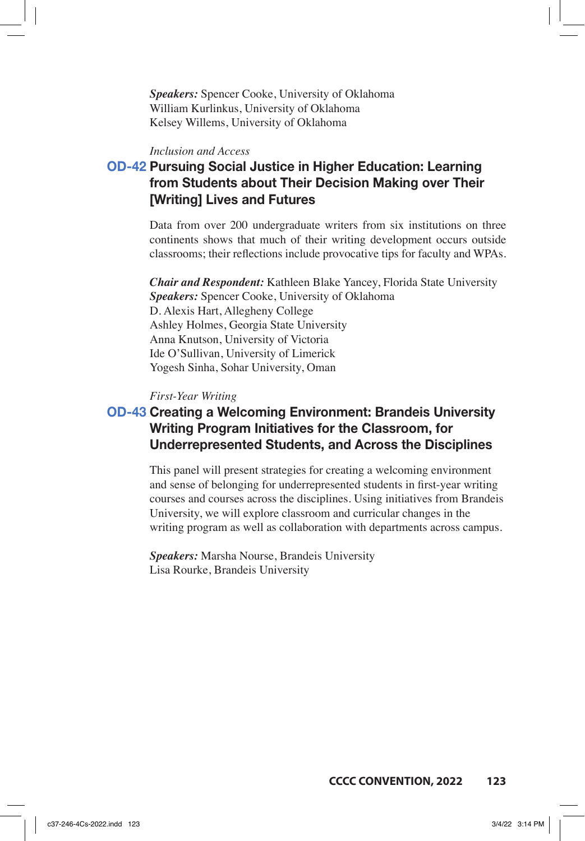*Speakers:* Spencer Cooke, University of Oklahoma William Kurlinkus, University of Oklahoma Kelsey Willems, University of Oklahoma

### *Inclusion and Access*

# **OD-42 Pursuing Social Justice in Higher Education: Learning from Students about Their Decision Making over Their [Writing] Lives and Futures**

Data from over 200 undergraduate writers from six institutions on three continents shows that much of their writing development occurs outside classrooms; their reflections include provocative tips for faculty and WPAs.

*Chair and Respondent:* Kathleen Blake Yancey, Florida State University *Speakers:* Spencer Cooke, University of Oklahoma D. Alexis Hart, Allegheny College Ashley Holmes, Georgia State University Anna Knutson, University of Victoria Ide O'Sullivan, University of Limerick Yogesh Sinha, Sohar University, Oman

#### *First-Year Writing*

# **OD-43 Creating a Welcoming Environment: Brandeis University Writing Program Initiatives for the Classroom, for Underrepresented Students, and Across the Disciplines**

This panel will present strategies for creating a welcoming environment and sense of belonging for underrepresented students in first-year writing courses and courses across the disciplines. Using initiatives from Brandeis University, we will explore classroom and curricular changes in the writing program as well as collaboration with departments across campus.

*Speakers:* Marsha Nourse, Brandeis University Lisa Rourke, Brandeis University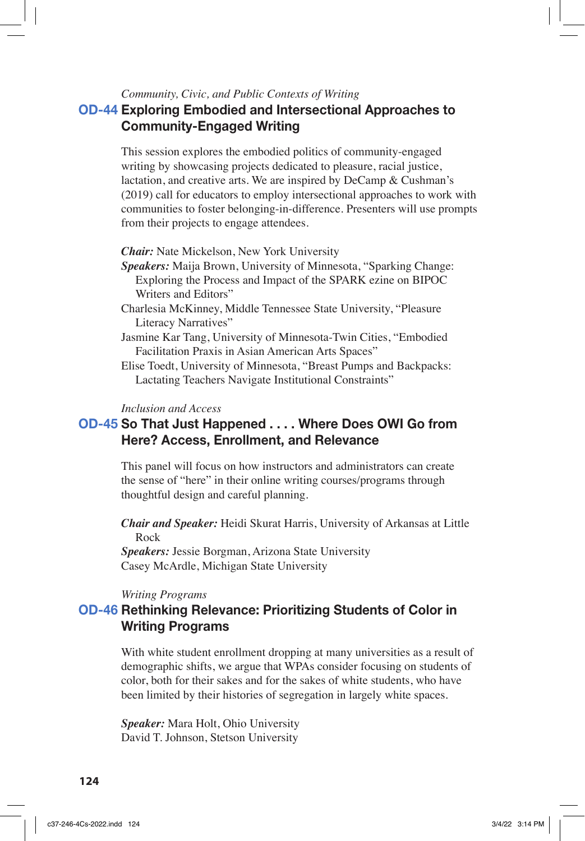### *Community, Civic, and Public Contexts of Writing*

# **OD-44 Exploring Embodied and Intersectional Approaches to Community-Engaged Writing**

This session explores the embodied politics of community-engaged writing by showcasing projects dedicated to pleasure, racial justice, lactation, and creative arts. We are inspired by DeCamp & Cushman's (2019) call for educators to employ intersectional approaches to work with communities to foster belonging-in-difference. Presenters will use prompts from their projects to engage attendees.

*Chair:* Nate Mickelson, New York University

*Speakers:* Maija Brown, University of Minnesota, "Sparking Change: Exploring the Process and Impact of the SPARK ezine on BIPOC Writers and Editors"

Charlesia McKinney, Middle Tennessee State University, "Pleasure Literacy Narratives"

- Jasmine Kar Tang, University of Minnesota-Twin Cities, "Embodied Facilitation Praxis in Asian American Arts Spaces"
- Elise Toedt, University of Minnesota, "Breast Pumps and Backpacks: Lactating Teachers Navigate Institutional Constraints"

#### *Inclusion and Access*

# **OD-45 So That Just Happened . . . . Where Does OWI Go from Here? Access, Enrollment, and Relevance**

This panel will focus on how instructors and administrators can create the sense of "here" in their online writing courses/programs through thoughtful design and careful planning.

*Chair and Speaker:* Heidi Skurat Harris, University of Arkansas at Little Rock

*Speakers:* Jessie Borgman, Arizona State University Casey McArdle, Michigan State University

*Writing Programs*

### **OD-46 Rethinking Relevance: Prioritizing Students of Color in Writing Programs**

With white student enrollment dropping at many universities as a result of demographic shifts, we argue that WPAs consider focusing on students of color, both for their sakes and for the sakes of white students, who have been limited by their histories of segregation in largely white spaces.

*Speaker:* Mara Holt, Ohio University David T. Johnson, Stetson University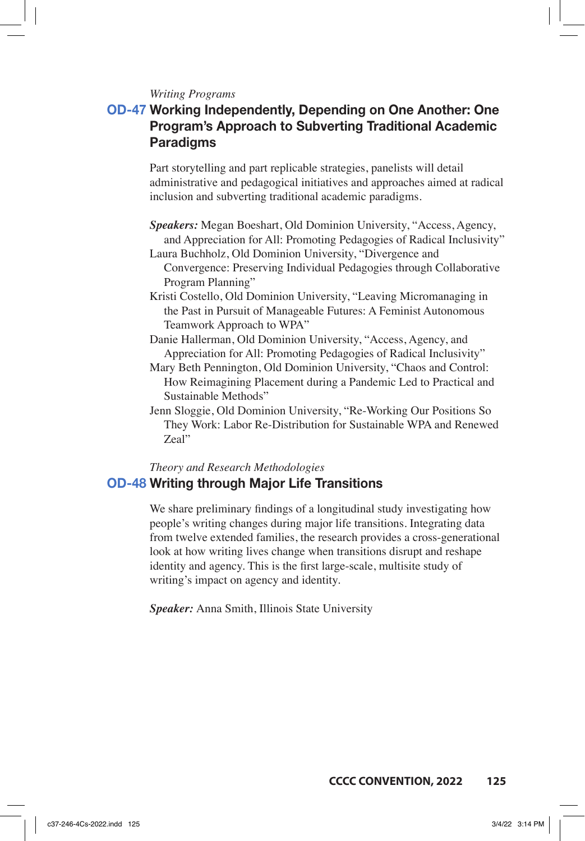### *Writing Programs*

# **OD-47 Working Independently, Depending on One Another: One Program's Approach to Subverting Traditional Academic Paradigms**

Part storytelling and part replicable strategies, panelists will detail administrative and pedagogical initiatives and approaches aimed at radical inclusion and subverting traditional academic paradigms.

- *Speakers:* Megan Boeshart, Old Dominion University, "Access, Agency, and Appreciation for All: Promoting Pedagogies of Radical Inclusivity" Laura Buchholz, Old Dominion University, "Divergence and
	- Convergence: Preserving Individual Pedagogies through Collaborative Program Planning"
- Kristi Costello, Old Dominion University, "Leaving Micromanaging in the Past in Pursuit of Manageable Futures: A Feminist Autonomous Teamwork Approach to WPA"
- Danie Hallerman, Old Dominion University, "Access, Agency, and Appreciation for All: Promoting Pedagogies of Radical Inclusivity"
- Mary Beth Pennington, Old Dominion University, "Chaos and Control: How Reimagining Placement during a Pandemic Led to Practical and Sustainable Methods"
- Jenn Sloggie, Old Dominion University, "Re-Working Our Positions So They Work: Labor Re-Distribution for Sustainable WPA and Renewed Zeal"

# *Theory and Research Methodologies* **OD-48 Writing through Major Life Transitions**

We share preliminary findings of a longitudinal study investigating how people's writing changes during major life transitions. Integrating data from twelve extended families, the research provides a cross-generational look at how writing lives change when transitions disrupt and reshape identity and agency. This is the first large-scale, multisite study of writing's impact on agency and identity.

*Speaker:* Anna Smith, Illinois State University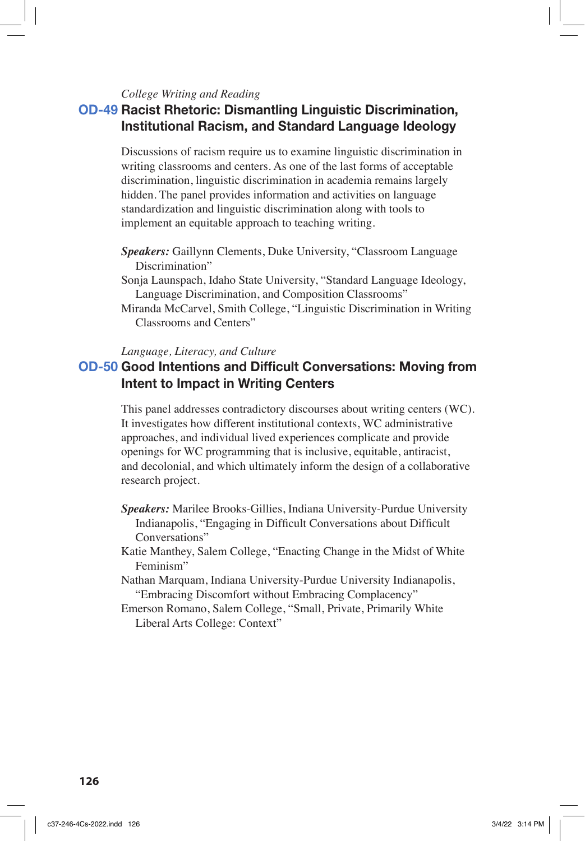### *College Writing and Reading*

### **OD-49 Racist Rhetoric: Dismantling Linguistic Discrimination, Institutional Racism, and Standard Language Ideology**

Discussions of racism require us to examine linguistic discrimination in writing classrooms and centers. As one of the last forms of acceptable discrimination, linguistic discrimination in academia remains largely hidden. The panel provides information and activities on language standardization and linguistic discrimination along with tools to implement an equitable approach to teaching writing.

- *Speakers:* Gaillynn Clements, Duke University, "Classroom Language Discrimination"
- Sonja Launspach, Idaho State University, "Standard Language Ideology, Language Discrimination, and Composition Classrooms"
- Miranda McCarvel, Smith College, "Linguistic Discrimination in Writing Classrooms and Centers"

*Language, Literacy, and Culture*

# **OD-50 Good Intentions and Difficult Conversations: Moving from Intent to Impact in Writing Centers**

This panel addresses contradictory discourses about writing centers (WC). It investigates how different institutional contexts, WC administrative approaches, and individual lived experiences complicate and provide openings for WC programming that is inclusive, equitable, antiracist, and decolonial, and which ultimately inform the design of a collaborative research project.

- *Speakers:* Marilee Brooks-Gillies, Indiana University-Purdue University Indianapolis, "Engaging in Difficult Conversations about Difficult Conversations"
- Katie Manthey, Salem College, "Enacting Change in the Midst of White Feminism"
- Nathan Marquam, Indiana University-Purdue University Indianapolis, "Embracing Discomfort without Embracing Complacency"
- Emerson Romano, Salem College, "Small, Private, Primarily White Liberal Arts College: Context"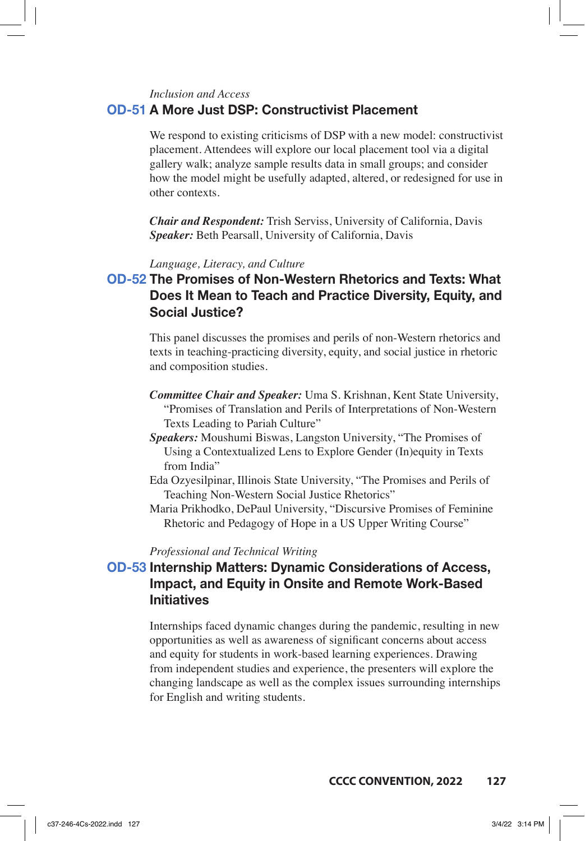#### *Inclusion and Access*

### **OD-51 A More Just DSP: Constructivist Placement**

We respond to existing criticisms of DSP with a new model: constructivist placement. Attendees will explore our local placement tool via a digital gallery walk; analyze sample results data in small groups; and consider how the model might be usefully adapted, altered, or redesigned for use in other contexts.

*Chair and Respondent:* Trish Serviss, University of California, Davis *Speaker:* Beth Pearsall, University of California, Davis

### *Language, Literacy, and Culture*

# **OD-52 The Promises of Non-Western Rhetorics and Texts: What Does It Mean to Teach and Practice Diversity, Equity, and Social Justice?**

This panel discusses the promises and perils of non-Western rhetorics and texts in teaching-practicing diversity, equity, and social justice in rhetoric and composition studies.

- *Committee Chair and Speaker:* Uma S. Krishnan, Kent State University, "Promises of Translation and Perils of Interpretations of Non-Western Texts Leading to Pariah Culture"
- *Speakers:* Moushumi Biswas, Langston University, "The Promises of Using a Contextualized Lens to Explore Gender (In)equity in Texts from India"
- Eda Ozyesilpinar, Illinois State University, "The Promises and Perils of Teaching Non-Western Social Justice Rhetorics"
- Maria Prikhodko, DePaul University, "Discursive Promises of Feminine Rhetoric and Pedagogy of Hope in a US Upper Writing Course"

#### *Professional and Technical Writing*

# **OD-53 Internship Matters: Dynamic Considerations of Access, Impact, and Equity in Onsite and Remote Work-Based Initiatives**

Internships faced dynamic changes during the pandemic, resulting in new opportunities as well as awareness of significant concerns about access and equity for students in work-based learning experiences. Drawing from independent studies and experience, the presenters will explore the changing landscape as well as the complex issues surrounding internships for English and writing students.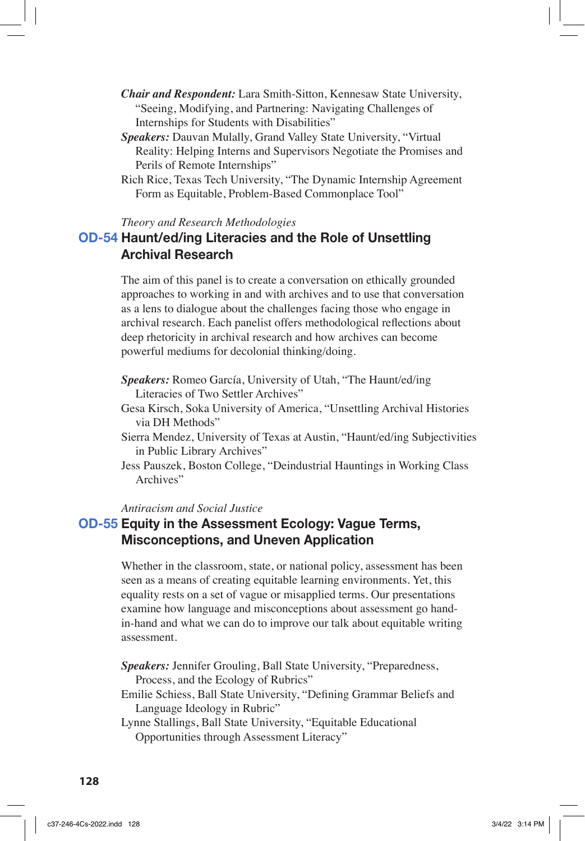- *Chair and Respondent:* Lara Smith-Sitton, Kennesaw State University, "Seeing, Modifying, and Partnering: Navigating Challenges of Internships for Students with Disabilities"
- *Speakers:* Dauvan Mulally, Grand Valley State University, "Virtual Reality: Helping Interns and Supervisors Negotiate the Promises and Perils of Remote Internships"
- Rich Rice, Texas Tech University, "The Dynamic Internship Agreement Form as Equitable, Problem-Based Commonplace Tool"

#### *Theory and Research Methodologies*

### **OD-54 Haunt/ed/ing Literacies and the Role of Unsettling Archival Research**

The aim of this panel is to create a conversation on ethically grounded approaches to working in and with archives and to use that conversation as a lens to dialogue about the challenges facing those who engage in archival research. Each panelist offers methodological reflections about deep rhetoricity in archival research and how archives can become powerful mediums for decolonial thinking/doing.

- *Speakers:* Romeo García, University of Utah, "The Haunt/ed/ing Literacies of Two Settler Archives"
- Gesa Kirsch, Soka University of America, "Unsettling Archival Histories via DH Methods"
- Sierra Mendez, University of Texas at Austin, "Haunt/ed/ing Subjectivities in Public Library Archives"
- Jess Pauszek, Boston College, "Deindustrial Hauntings in Working Class Archives"

### *Antiracism and Social Justice*

### **OD-55 Equity in the Assessment Ecology: Vague Terms, Misconceptions, and Uneven Application**

Whether in the classroom, state, or national policy, assessment has been seen as a means of creating equitable learning environments. Yet, this equality rests on a set of vague or misapplied terms. Our presentations examine how language and misconceptions about assessment go handin-hand and what we can do to improve our talk about equitable writing assessment.

*Speakers:* Jennifer Grouling, Ball State University, "Preparedness, Process, and the Ecology of Rubrics"

Emilie Schiess, Ball State University, "Defining Grammar Beliefs and Language Ideology in Rubric"

Lynne Stallings, Ball State University, "Equitable Educational Opportunities through Assessment Literacy"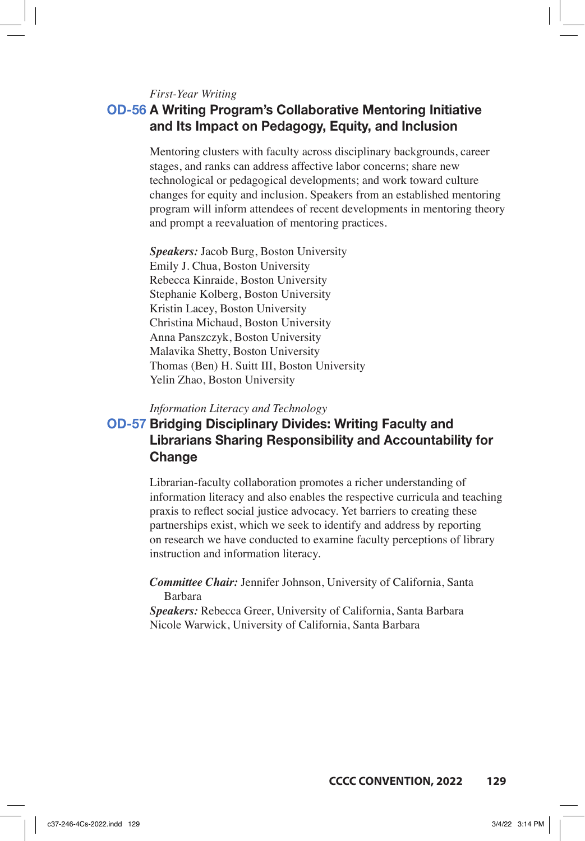*First-Year Writing*

# **OD-56 A Writing Program's Collaborative Mentoring Initiative and Its Impact on Pedagogy, Equity, and Inclusion**

Mentoring clusters with faculty across disciplinary backgrounds, career stages, and ranks can address affective labor concerns; share new technological or pedagogical developments; and work toward culture changes for equity and inclusion. Speakers from an established mentoring program will inform attendees of recent developments in mentoring theory and prompt a reevaluation of mentoring practices.

*Speakers:* Jacob Burg, Boston University Emily J. Chua, Boston University Rebecca Kinraide, Boston University Stephanie Kolberg, Boston University Kristin Lacey, Boston University Christina Michaud, Boston University Anna Panszczyk, Boston University Malavika Shetty, Boston University Thomas (Ben) H. Suitt III, Boston University Yelin Zhao, Boston University

*Information Literacy and Technology*

# **OD-57 Bridging Disciplinary Divides: Writing Faculty and Librarians Sharing Responsibility and Accountability for Change**

Librarian-faculty collaboration promotes a richer understanding of information literacy and also enables the respective curricula and teaching praxis to reflect social justice advocacy. Yet barriers to creating these partnerships exist, which we seek to identify and address by reporting on research we have conducted to examine faculty perceptions of library instruction and information literacy.

*Committee Chair:* Jennifer Johnson, University of California, Santa Barbara

*Speakers:* Rebecca Greer, University of California, Santa Barbara Nicole Warwick, University of California, Santa Barbara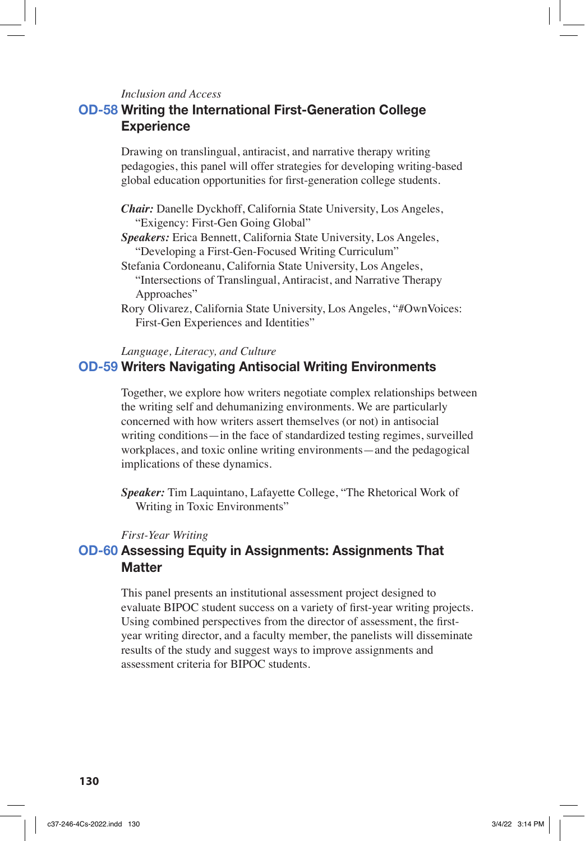*Inclusion and Access*

### **OD-58 Writing the International First-Generation College Experience**

Drawing on translingual, antiracist, and narrative therapy writing pedagogies, this panel will offer strategies for developing writing-based global education opportunities for first-generation college students.

- *Chair:* Danelle Dyckhoff, California State University, Los Angeles, "Exigency: First-Gen Going Global"
- *Speakers:* Erica Bennett, California State University, Los Angeles, "Developing a First-Gen-Focused Writing Curriculum"
- Stefania Cordoneanu, California State University, Los Angeles, "Intersections of Translingual, Antiracist, and Narrative Therapy Approaches"
- Rory Olivarez, California State University, Los Angeles, "#OwnVoices: First-Gen Experiences and Identities"

*Language, Literacy, and Culture*

### **OD-59 Writers Navigating Antisocial Writing Environments**

Together, we explore how writers negotiate complex relationships between the writing self and dehumanizing environments. We are particularly concerned with how writers assert themselves (or not) in antisocial writing conditions—in the face of standardized testing regimes, surveilled workplaces, and toxic online writing environments—and the pedagogical implications of these dynamics.

*Speaker:* Tim Laquintano, Lafayette College, "The Rhetorical Work of Writing in Toxic Environments"

#### *First-Year Writing*

# **OD-60 Assessing Equity in Assignments: Assignments That Matter**

This panel presents an institutional assessment project designed to evaluate BIPOC student success on a variety of first-year writing projects. Using combined perspectives from the director of assessment, the firstyear writing director, and a faculty member, the panelists will disseminate results of the study and suggest ways to improve assignments and assessment criteria for BIPOC students.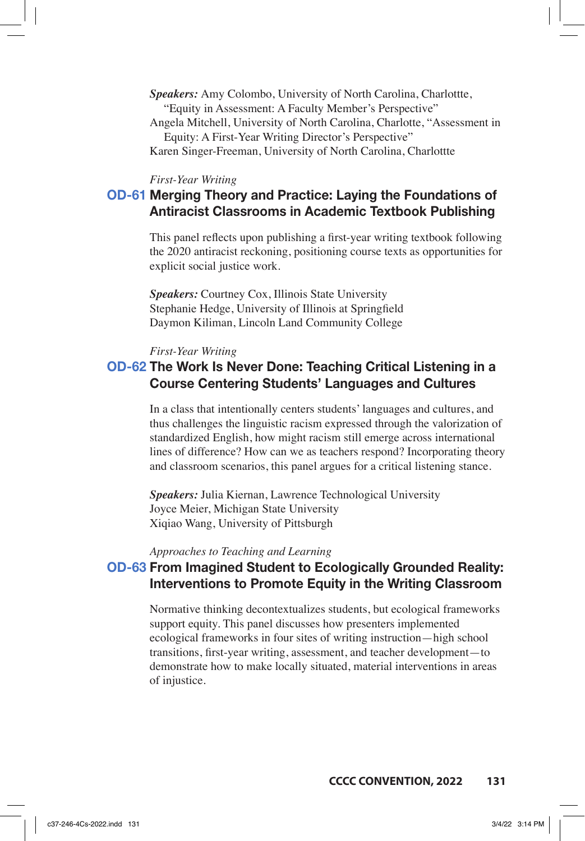- *Speakers:* Amy Colombo, University of North Carolina, Charlottte, "Equity in Assessment: A Faculty Member's Perspective"
- Angela Mitchell, University of North Carolina, Charlotte, "Assessment in Equity: A First-Year Writing Director's Perspective"
- Karen Singer-Freeman, University of North Carolina, Charlottte

### *First-Year Writing*

# **OD-61 Merging Theory and Practice: Laying the Foundations of Antiracist Classrooms in Academic Textbook Publishing**

This panel reflects upon publishing a first-year writing textbook following the 2020 antiracist reckoning, positioning course texts as opportunities for explicit social justice work.

*Speakers:* Courtney Cox, Illinois State University Stephanie Hedge, University of Illinois at Springfield Daymon Kiliman, Lincoln Land Community College

#### *First-Year Writing*

# **OD-62 The Work Is Never Done: Teaching Critical Listening in a Course Centering Students' Languages and Cultures**

In a class that intentionally centers students' languages and cultures, and thus challenges the linguistic racism expressed through the valorization of standardized English, how might racism still emerge across international lines of difference? How can we as teachers respond? Incorporating theory and classroom scenarios, this panel argues for a critical listening stance.

*Speakers:* Julia Kiernan, Lawrence Technological University Joyce Meier, Michigan State University Xiqiao Wang, University of Pittsburgh

#### *Approaches to Teaching and Learning*

### **OD-63 From Imagined Student to Ecologically Grounded Reality: Interventions to Promote Equity in the Writing Classroom**

Normative thinking decontextualizes students, but ecological frameworks support equity. This panel discusses how presenters implemented ecological frameworks in four sites of writing instruction—high school transitions, first-year writing, assessment, and teacher development—to demonstrate how to make locally situated, material interventions in areas of injustice.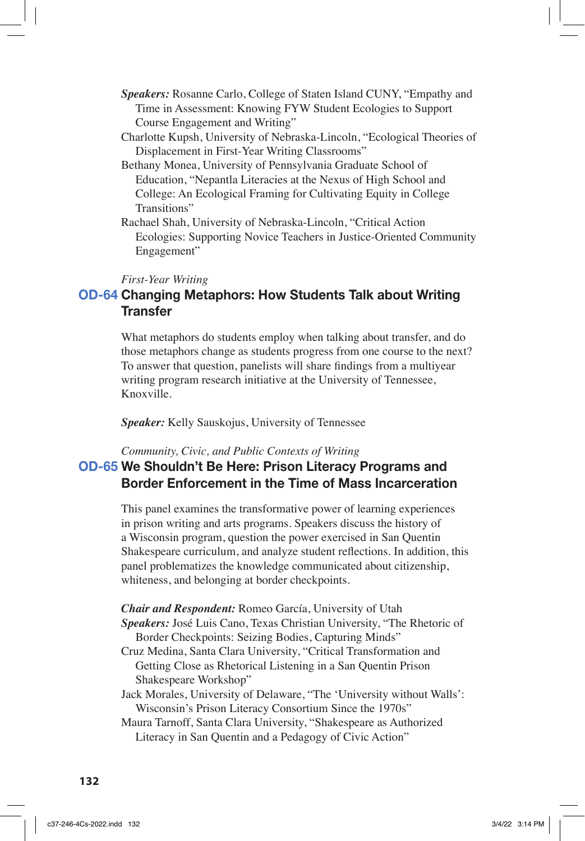- *Speakers:* Rosanne Carlo, College of Staten Island CUNY, "Empathy and Time in Assessment: Knowing FYW Student Ecologies to Support Course Engagement and Writing"
- Charlotte Kupsh, University of Nebraska-Lincoln, "Ecological Theories of Displacement in First-Year Writing Classrooms"
- Bethany Monea, University of Pennsylvania Graduate School of Education, "Nepantla Literacies at the Nexus of High School and College: An Ecological Framing for Cultivating Equity in College Transitions"
- Rachael Shah, University of Nebraska-Lincoln, "Critical Action Ecologies: Supporting Novice Teachers in Justice-Oriented Community Engagement"

#### *First-Year Writing*

### **OD-64 Changing Metaphors: How Students Talk about Writing Transfer**

What metaphors do students employ when talking about transfer, and do those metaphors change as students progress from one course to the next? To answer that question, panelists will share findings from a multiyear writing program research initiative at the University of Tennessee, Knoxville.

*Speaker:* Kelly Sauskojus, University of Tennessee

### *Community, Civic, and Public Contexts of Writing* **OD-65 We Shouldn't Be Here: Prison Literacy Programs and Border Enforcement in the Time of Mass Incarceration**

This panel examines the transformative power of learning experiences in prison writing and arts programs. Speakers discuss the history of a Wisconsin program, question the power exercised in San Quentin Shakespeare curriculum, and analyze student reflections. In addition, this panel problematizes the knowledge communicated about citizenship, whiteness, and belonging at border checkpoints.

*Chair and Respondent:* Romeo García, University of Utah *Speakers:* José Luis Cano, Texas Christian University, "The Rhetoric of Border Checkpoints: Seizing Bodies, Capturing Minds"

- Cruz Medina, Santa Clara University, "Critical Transformation and Getting Close as Rhetorical Listening in a San Quentin Prison Shakespeare Workshop"
- Jack Morales, University of Delaware, "The 'University without Walls': Wisconsin's Prison Literacy Consortium Since the 1970s"

Maura Tarnoff, Santa Clara University, "Shakespeare as Authorized Literacy in San Quentin and a Pedagogy of Civic Action"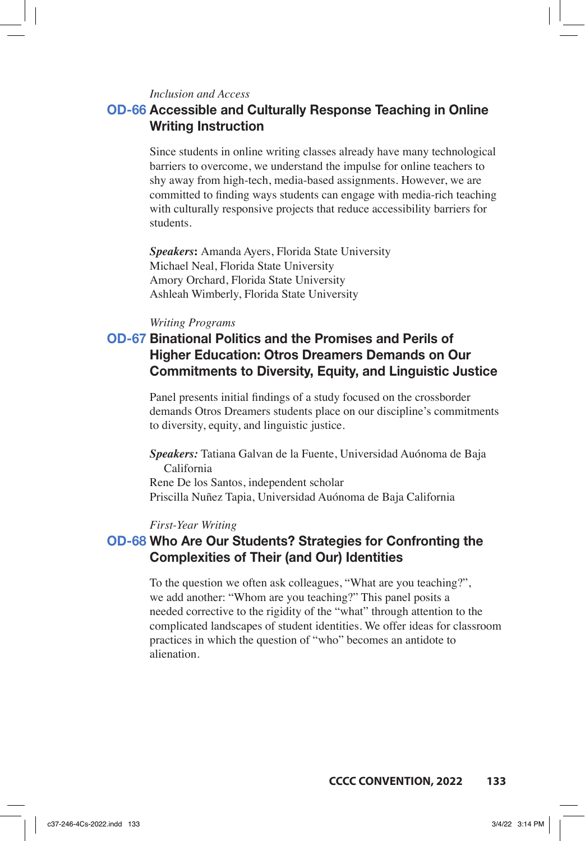### *Inclusion and Access*

### **OD-66 Accessible and Culturally Response Teaching in Online Writing Instruction**

Since students in online writing classes already have many technological barriers to overcome, we understand the impulse for online teachers to shy away from high-tech, media-based assignments. However, we are committed to finding ways students can engage with media-rich teaching with culturally responsive projects that reduce accessibility barriers for students.

*Speakers***:** Amanda Ayers, Florida State University Michael Neal, Florida State University Amory Orchard, Florida State University Ashleah Wimberly, Florida State University

### *Writing Programs*

# **OD-67 Binational Politics and the Promises and Perils of Higher Education: Otros Dreamers Demands on Our Commitments to Diversity, Equity, and Linguistic Justice**

Panel presents initial findings of a study focused on the crossborder demands Otros Dreamers students place on our discipline's commitments to diversity, equity, and linguistic justice.

*Speakers:* Tatiana Galvan de la Fuente, Universidad Auónoma de Baja California Rene De los Santos, independent scholar Priscilla Nuñez Tapia, Universidad Auónoma de Baja California

#### *First-Year Writing*

### **OD-68 Who Are Our Students? Strategies for Confronting the Complexities of Their (and Our) Identities**

To the question we often ask colleagues, "What are you teaching?", we add another: "Whom are you teaching?" This panel posits a needed corrective to the rigidity of the "what" through attention to the complicated landscapes of student identities. We offer ideas for classroom practices in which the question of "who" becomes an antidote to alienation.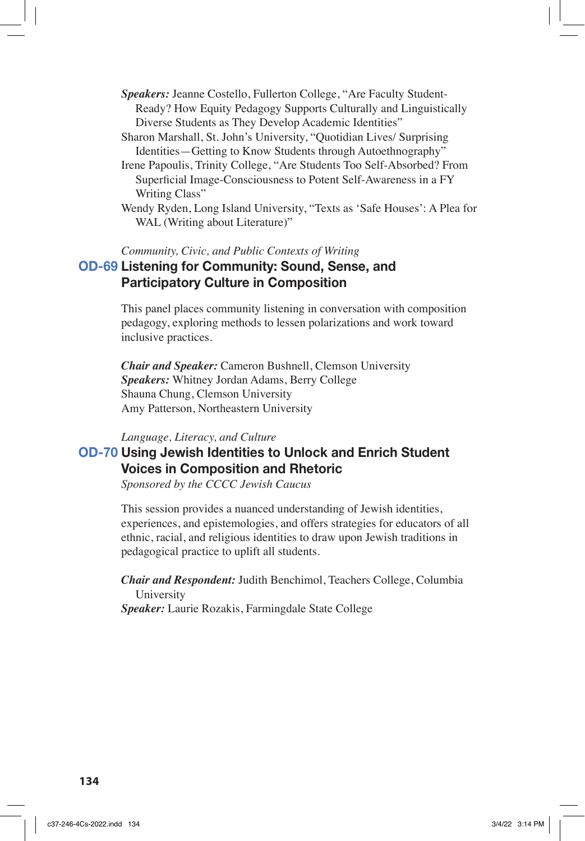- *Speakers:* Jeanne Costello, Fullerton College, "Are Faculty Student-Ready? How Equity Pedagogy Supports Culturally and Linguistically Diverse Students as They Develop Academic Identities"
- Sharon Marshall, St. John's University, "Quotidian Lives/ Surprising Identities—Getting to Know Students through Autoethnography"
- Irene Papoulis, Trinity College, "Are Students Too Self-Absorbed? From Superficial Image-Consciousness to Potent Self-Awareness in a FY Writing Class"
- Wendy Ryden, Long Island University, "Texts as 'Safe Houses': A Plea for WAL (Writing about Literature)"

*Community, Civic, and Public Contexts of Writing*

### **OD-69 Listening for Community: Sound, Sense, and Participatory Culture in Composition**

This panel places community listening in conversation with composition pedagogy, exploring methods to lessen polarizations and work toward inclusive practices.

*Chair and Speaker:* Cameron Bushnell, Clemson University *Speakers:* Whitney Jordan Adams, Berry College Shauna Chung, Clemson University Amy Patterson, Northeastern University

#### *Language, Literacy, and Culture*

# **OD-70 Using Jewish Identities to Unlock and Enrich Student Voices in Composition and Rhetoric**

*Sponsored by the CCCC Jewish Caucus*

This session provides a nuanced understanding of Jewish identities, experiences, and epistemologies, and offers strategies for educators of all ethnic, racial, and religious identities to draw upon Jewish traditions in pedagogical practice to uplift all students.

*Chair and Respondent:* Judith Benchimol, Teachers College, Columbia University

*Speaker:* Laurie Rozakis, Farmingdale State College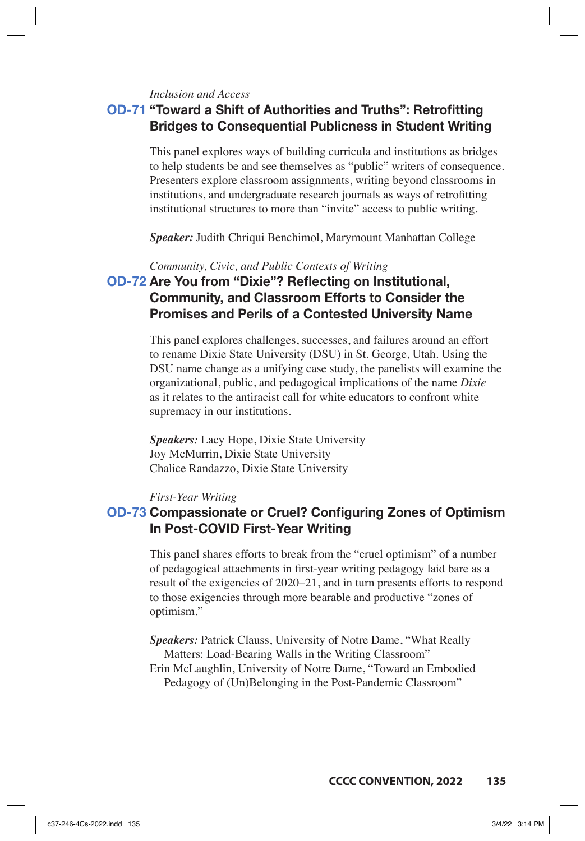#### *Inclusion and Access*

# **OD-71 "Toward a Shift of Authorities and Truths": Retrofitting Bridges to Consequential Publicness in Student Writing**

This panel explores ways of building curricula and institutions as bridges to help students be and see themselves as "public" writers of consequence. Presenters explore classroom assignments, writing beyond classrooms in institutions, and undergraduate research journals as ways of retrofitting institutional structures to more than "invite" access to public writing.

*Speaker:* Judith Chriqui Benchimol, Marymount Manhattan College

*Community, Civic, and Public Contexts of Writing*

# **OD-72 Are You from "Dixie"? Reflecting on Institutional, Community, and Classroom Efforts to Consider the Promises and Perils of a Contested University Name**

This panel explores challenges, successes, and failures around an effort to rename Dixie State University (DSU) in St. George, Utah. Using the DSU name change as a unifying case study, the panelists will examine the organizational, public, and pedagogical implications of the name *Dixie* as it relates to the antiracist call for white educators to confront white supremacy in our institutions.

*Speakers:* Lacy Hope, Dixie State University Joy McMurrin, Dixie State University Chalice Randazzo, Dixie State University

### *First-Year Writing*

# **OD-73 Compassionate or Cruel? Configuring Zones of Optimism In Post-COVID First-Year Writing**

This panel shares efforts to break from the "cruel optimism" of a number of pedagogical attachments in first-year writing pedagogy laid bare as a result of the exigencies of 2020–21, and in turn presents efforts to respond to those exigencies through more bearable and productive "zones of optimism."

*Speakers:* Patrick Clauss, University of Notre Dame, "What Really Matters: Load-Bearing Walls in the Writing Classroom" Erin McLaughlin, University of Notre Dame, "Toward an Embodied Pedagogy of (Un)Belonging in the Post-Pandemic Classroom"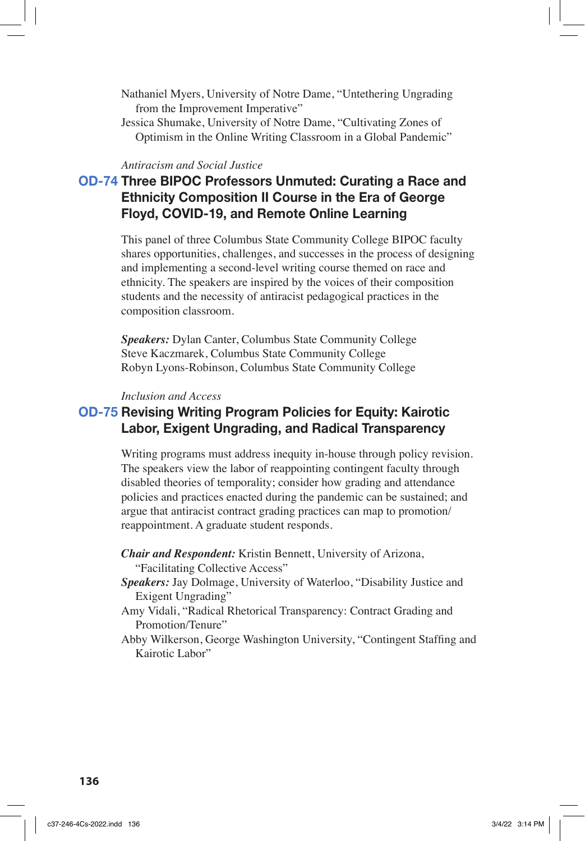Nathaniel Myers, University of Notre Dame, "Untethering Ungrading from the Improvement Imperative"

Jessica Shumake, University of Notre Dame, "Cultivating Zones of Optimism in the Online Writing Classroom in a Global Pandemic"

#### *Antiracism and Social Justice*

# **OD-74 Three BIPOC Professors Unmuted: Curating a Race and Ethnicity Composition II Course in the Era of George Floyd, COVID-19, and Remote Online Learning**

This panel of three Columbus State Community College BIPOC faculty shares opportunities, challenges, and successes in the process of designing and implementing a second-level writing course themed on race and ethnicity. The speakers are inspired by the voices of their composition students and the necessity of antiracist pedagogical practices in the composition classroom.

*Speakers:* Dylan Canter, Columbus State Community College Steve Kaczmarek, Columbus State Community College Robyn Lyons-Robinson, Columbus State Community College

### *Inclusion and Access*

### **OD-75 Revising Writing Program Policies for Equity: Kairotic Labor, Exigent Ungrading, and Radical Transparency**

Writing programs must address inequity in-house through policy revision. The speakers view the labor of reappointing contingent faculty through disabled theories of temporality; consider how grading and attendance policies and practices enacted during the pandemic can be sustained; and argue that antiracist contract grading practices can map to promotion/ reappointment. A graduate student responds.

*Chair and Respondent:* Kristin Bennett, University of Arizona, "Facilitating Collective Access"

- *Speakers:* Jay Dolmage, University of Waterloo, "Disability Justice and Exigent Ungrading"
- Amy Vidali, "Radical Rhetorical Transparency: Contract Grading and Promotion/Tenure"
- Abby Wilkerson, George Washington University, "Contingent Staffing and Kairotic Labor"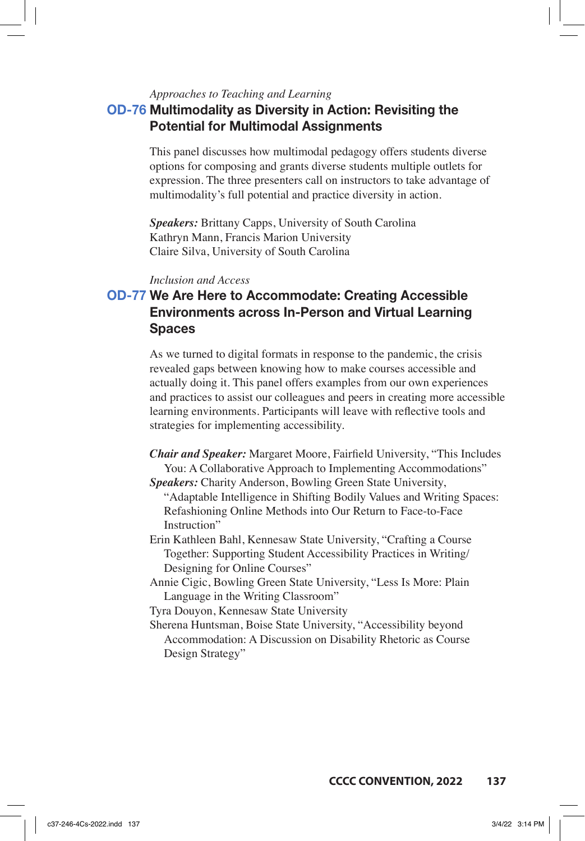### *Approaches to Teaching and Learning* **OD-76 Multimodality as Diversity in Action: Revisiting the Potential for Multimodal Assignments**

This panel discusses how multimodal pedagogy offers students diverse options for composing and grants diverse students multiple outlets for expression. The three presenters call on instructors to take advantage of multimodality's full potential and practice diversity in action.

*Speakers:* Brittany Capps, University of South Carolina Kathryn Mann, Francis Marion University Claire Silva, University of South Carolina

#### *Inclusion and Access*

# **OD-77 We Are Here to Accommodate: Creating Accessible Environments across In-Person and Virtual Learning Spaces**

As we turned to digital formats in response to the pandemic, the crisis revealed gaps between knowing how to make courses accessible and actually doing it. This panel offers examples from our own experiences and practices to assist our colleagues and peers in creating more accessible learning environments. Participants will leave with reflective tools and strategies for implementing accessibility.

- *Chair and Speaker:* Margaret Moore, Fairfield University, "This Includes You: A Collaborative Approach to Implementing Accommodations" *Speakers:* Charity Anderson, Bowling Green State University,
- "Adaptable Intelligence in Shifting Bodily Values and Writing Spaces: Refashioning Online Methods into Our Return to Face-to-Face Instruction"
- Erin Kathleen Bahl, Kennesaw State University, "Crafting a Course Together: Supporting Student Accessibility Practices in Writing/ Designing for Online Courses"
- Annie Cigic, Bowling Green State University, "Less Is More: Plain Language in the Writing Classroom"

Tyra Douyon, Kennesaw State University

Sherena Huntsman, Boise State University, "Accessibility beyond Accommodation: A Discussion on Disability Rhetoric as Course Design Strategy"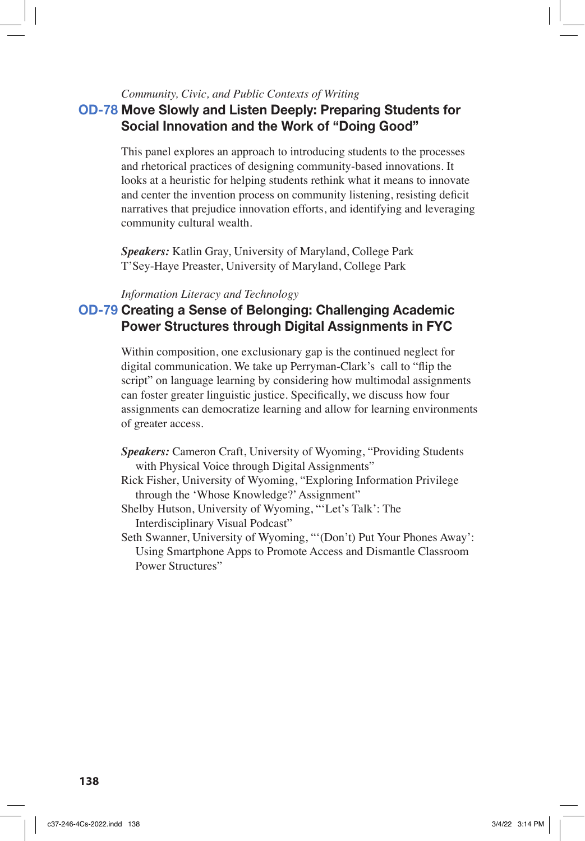### *Community, Civic, and Public Contexts of Writing*

# **OD-78 Move Slowly and Listen Deeply: Preparing Students for Social Innovation and the Work of "Doing Good"**

This panel explores an approach to introducing students to the processes and rhetorical practices of designing community-based innovations. It looks at a heuristic for helping students rethink what it means to innovate and center the invention process on community listening, resisting deficit narratives that prejudice innovation efforts, and identifying and leveraging community cultural wealth.

*Speakers:* Katlin Gray, University of Maryland, College Park T'Sey-Haye Preaster, University of Maryland, College Park

### *Information Literacy and Technology*

# **OD-79 Creating a Sense of Belonging: Challenging Academic Power Structures through Digital Assignments in FYC**

Within composition, one exclusionary gap is the continued neglect for digital communication. We take up Perryman-Clark's call to "flip the script" on language learning by considering how multimodal assignments can foster greater linguistic justice. Specifically, we discuss how four assignments can democratize learning and allow for learning environments of greater access.

- *Speakers:* Cameron Craft, University of Wyoming, "Providing Students with Physical Voice through Digital Assignments"
- Rick Fisher, University of Wyoming, "Exploring Information Privilege through the 'Whose Knowledge?' Assignment"
- Shelby Hutson, University of Wyoming, "'Let's Talk': The Interdisciplinary Visual Podcast"
- Seth Swanner, University of Wyoming, "'(Don't) Put Your Phones Away': Using Smartphone Apps to Promote Access and Dismantle Classroom Power Structures"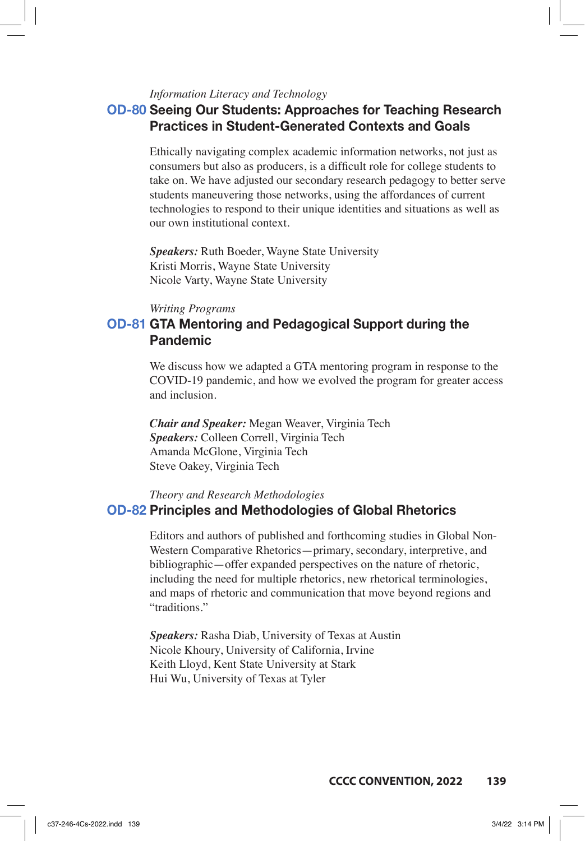### *Information Literacy and Technology*

# **OD-80 Seeing Our Students: Approaches for Teaching Research Practices in Student-Generated Contexts and Goals**

Ethically navigating complex academic information networks, not just as consumers but also as producers, is a difficult role for college students to take on. We have adjusted our secondary research pedagogy to better serve students maneuvering those networks, using the affordances of current technologies to respond to their unique identities and situations as well as our own institutional context.

*Speakers:* Ruth Boeder, Wayne State University Kristi Morris, Wayne State University Nicole Varty, Wayne State University

#### *Writing Programs*

# **OD-81 GTA Mentoring and Pedagogical Support during the Pandemic**

We discuss how we adapted a GTA mentoring program in response to the COVID-19 pandemic, and how we evolved the program for greater access and inclusion.

*Chair and Speaker:* Megan Weaver, Virginia Tech *Speakers:* Colleen Correll, Virginia Tech Amanda McGlone, Virginia Tech Steve Oakey, Virginia Tech

### *Theory and Research Methodologies* **OD-82 Principles and Methodologies of Global Rhetorics**

Editors and authors of published and forthcoming studies in Global Non-Western Comparative Rhetorics—primary, secondary, interpretive, and bibliographic—offer expanded perspectives on the nature of rhetoric, including the need for multiple rhetorics, new rhetorical terminologies, and maps of rhetoric and communication that move beyond regions and "traditions."

*Speakers:* Rasha Diab, University of Texas at Austin Nicole Khoury, University of California, Irvine Keith Lloyd, Kent State University at Stark Hui Wu, University of Texas at Tyler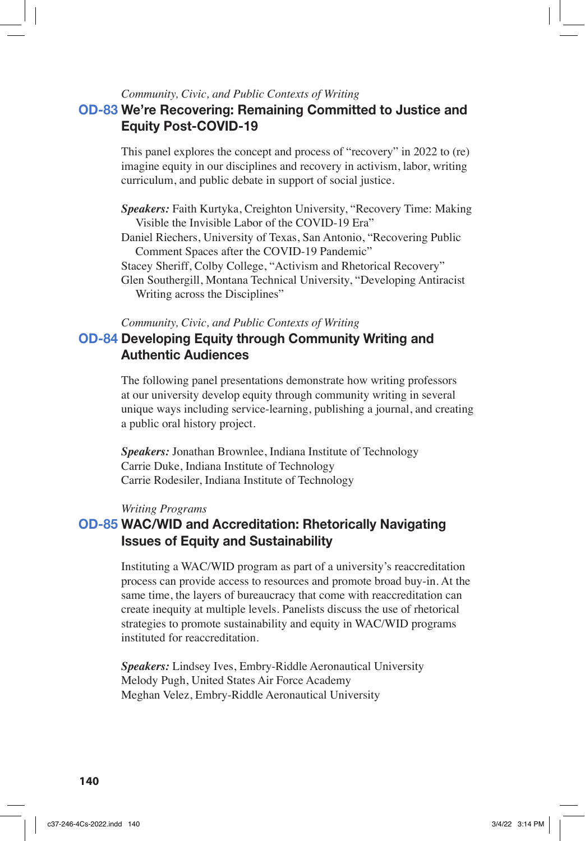### *Community, Civic, and Public Contexts of Writing*

### **OD-83 We're Recovering: Remaining Committed to Justice and Equity Post-COVID-19**

This panel explores the concept and process of "recovery" in 2022 to (re) imagine equity in our disciplines and recovery in activism, labor, writing curriculum, and public debate in support of social justice.

*Speakers:* Faith Kurtyka, Creighton University, "Recovery Time: Making Visible the Invisible Labor of the COVID-19 Era"

Daniel Riechers, University of Texas, San Antonio, "Recovering Public Comment Spaces after the COVID-19 Pandemic"

Stacey Sheriff, Colby College, "Activism and Rhetorical Recovery"

Glen Southergill, Montana Technical University, "Developing Antiracist Writing across the Disciplines"

*Community, Civic, and Public Contexts of Writing*

### **OD-84 Developing Equity through Community Writing and Authentic Audiences**

The following panel presentations demonstrate how writing professors at our university develop equity through community writing in several unique ways including service-learning, publishing a journal, and creating a public oral history project.

*Speakers:* Jonathan Brownlee, Indiana Institute of Technology Carrie Duke, Indiana Institute of Technology Carrie Rodesiler, Indiana Institute of Technology

#### *Writing Programs*

### **OD-85 WAC/WID and Accreditation: Rhetorically Navigating Issues of Equity and Sustainability**

Instituting a WAC/WID program as part of a university's reaccreditation process can provide access to resources and promote broad buy-in. At the same time, the layers of bureaucracy that come with reaccreditation can create inequity at multiple levels. Panelists discuss the use of rhetorical strategies to promote sustainability and equity in WAC/WID programs instituted for reaccreditation.

*Speakers:* Lindsey Ives, Embry-Riddle Aeronautical University Melody Pugh, United States Air Force Academy Meghan Velez, Embry-Riddle Aeronautical University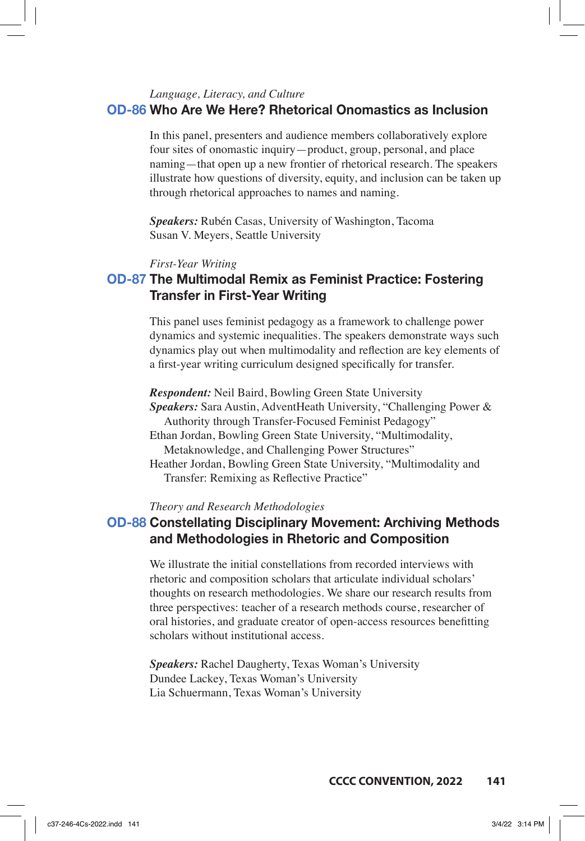### *Language, Literacy, and Culture* **OD-86 Who Are We Here? Rhetorical Onomastics as Inclusion**

In this panel, presenters and audience members collaboratively explore four sites of onomastic inquiry—product, group, personal, and place naming—that open up a new frontier of rhetorical research. The speakers illustrate how questions of diversity, equity, and inclusion can be taken up through rhetorical approaches to names and naming.

*Speakers:* Rubén Casas, University of Washington, Tacoma Susan V. Meyers, Seattle University

#### *First-Year Writing*

# **OD-87 The Multimodal Remix as Feminist Practice: Fostering Transfer in First-Year Writing**

This panel uses feminist pedagogy as a framework to challenge power dynamics and systemic inequalities. The speakers demonstrate ways such dynamics play out when multimodality and reflection are key elements of a first-year writing curriculum designed specifically for transfer.

*Respondent:* Neil Baird, Bowling Green State University *Speakers:* Sara Austin, AdventHeath University, "Challenging Power & Authority through Transfer-Focused Feminist Pedagogy" Ethan Jordan, Bowling Green State University, "Multimodality, Metaknowledge, and Challenging Power Structures" Heather Jordan, Bowling Green State University, "Multimodality and

Transfer: Remixing as Reflective Practice"

*Theory and Research Methodologies*

### **OD-88 Constellating Disciplinary Movement: Archiving Methods and Methodologies in Rhetoric and Composition**

We illustrate the initial constellations from recorded interviews with rhetoric and composition scholars that articulate individual scholars' thoughts on research methodologies. We share our research results from three perspectives: teacher of a research methods course, researcher of oral histories, and graduate creator of open-access resources benefitting scholars without institutional access.

*Speakers:* Rachel Daugherty, Texas Woman's University Dundee Lackey, Texas Woman's University Lia Schuermann, Texas Woman's University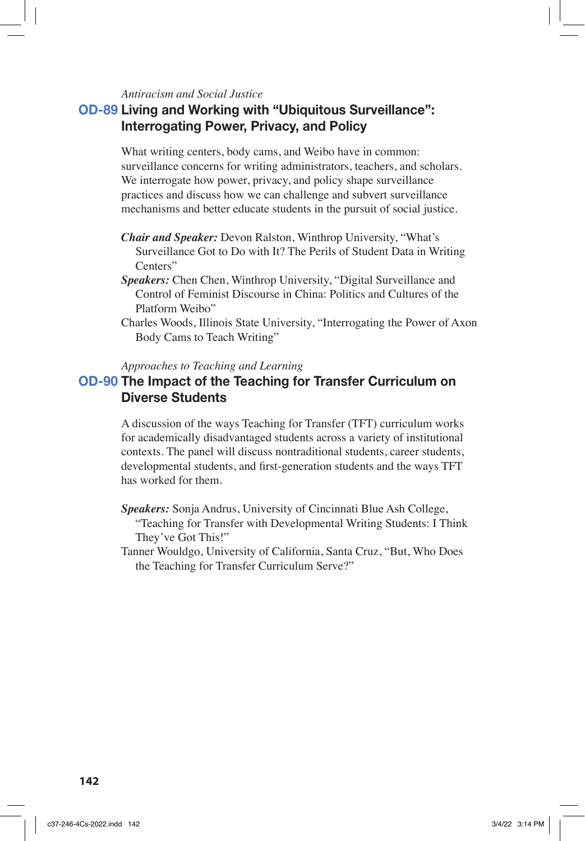### *Antiracism and Social Justice*

# **OD-89 Living and Working with "Ubiquitous Surveillance": Interrogating Power, Privacy, and Policy**

What writing centers, body cams, and Weibo have in common: surveillance concerns for writing administrators, teachers, and scholars. We interrogate how power, privacy, and policy shape surveillance practices and discuss how we can challenge and subvert surveillance mechanisms and better educate students in the pursuit of social justice.

- *Chair and Speaker:* Devon Ralston, Winthrop University, "What's Surveillance Got to Do with It? The Perils of Student Data in Writing Centers"
- *Speakers:* Chen Chen, Winthrop University, "Digital Surveillance and Control of Feminist Discourse in China: Politics and Cultures of the Platform Weibo"
- Charles Woods, Illinois State University, "Interrogating the Power of Axon Body Cams to Teach Writing"

#### *Approaches to Teaching and Learning*

### **OD-90 The Impact of the Teaching for Transfer Curriculum on Diverse Students**

A discussion of the ways Teaching for Transfer (TFT) curriculum works for academically disadvantaged students across a variety of institutional contexts. The panel will discuss nontraditional students, career students, developmental students, and first-generation students and the ways TFT has worked for them.

- *Speakers:* Sonja Andrus, University of Cincinnati Blue Ash College,
	- "Teaching for Transfer with Developmental Writing Students: I Think They've Got This!"
- Tanner Wouldgo, University of California, Santa Cruz, "But, Who Does the Teaching for Transfer Curriculum Serve?"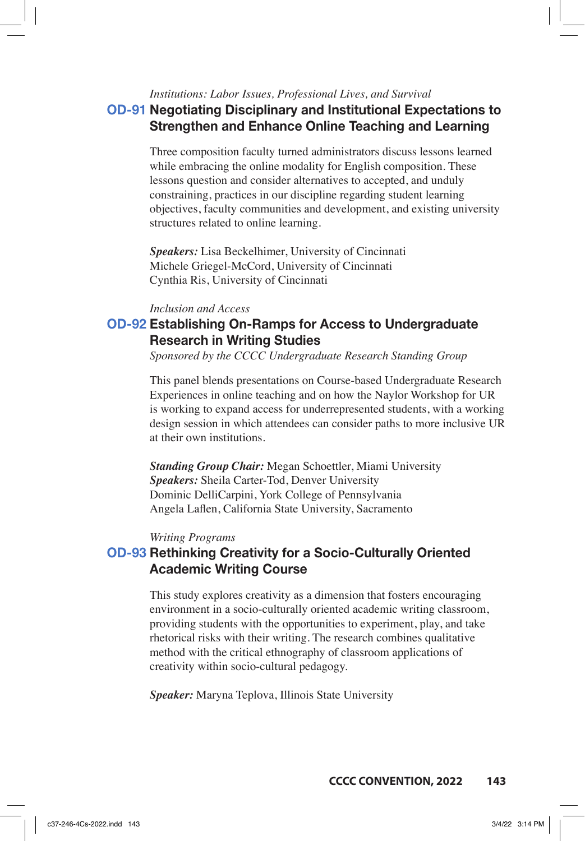#### *Institutions: Labor Issues, Professional Lives, and Survival*

## **OD-91 Negotiating Disciplinary and Institutional Expectations to Strengthen and Enhance Online Teaching and Learning**

Three composition faculty turned administrators discuss lessons learned while embracing the online modality for English composition. These lessons question and consider alternatives to accepted, and unduly constraining, practices in our discipline regarding student learning objectives, faculty communities and development, and existing university structures related to online learning.

*Speakers:* Lisa Beckelhimer, University of Cincinnati Michele Griegel-McCord, University of Cincinnati Cynthia Ris, University of Cincinnati

### *Inclusion and Access*

# **OD-92 Establishing On-Ramps for Access to Undergraduate Research in Writing Studies**

*Sponsored by the CCCC Undergraduate Research Standing Group*

This panel blends presentations on Course-based Undergraduate Research Experiences in online teaching and on how the Naylor Workshop for UR is working to expand access for underrepresented students, with a working design session in which attendees can consider paths to more inclusive UR at their own institutions.

*Standing Group Chair:* Megan Schoettler, Miami University *Speakers:* Sheila Carter-Tod, Denver University Dominic DelliCarpini, York College of Pennsylvania Angela Laflen, California State University, Sacramento

#### *Writing Programs*

### **OD-93 Rethinking Creativity for a Socio-Culturally Oriented Academic Writing Course**

This study explores creativity as a dimension that fosters encouraging environment in a socio-culturally oriented academic writing classroom, providing students with the opportunities to experiment, play, and take rhetorical risks with their writing. The research combines qualitative method with the critical ethnography of classroom applications of creativity within socio-cultural pedagogy.

*Speaker:* Maryna Teplova, Illinois State University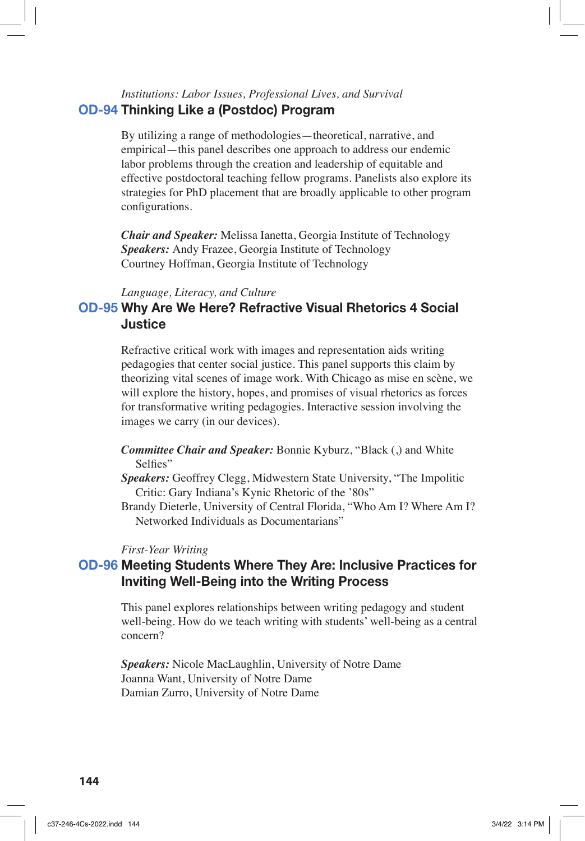### *Institutions: Labor Issues, Professional Lives, and Survival* **OD-94 Thinking Like a (Postdoc) Program**

By utilizing a range of methodologies—theoretical, narrative, and empirical—this panel describes one approach to address our endemic labor problems through the creation and leadership of equitable and effective postdoctoral teaching fellow programs. Panelists also explore its strategies for PhD placement that are broadly applicable to other program configurations.

*Chair and Speaker:* Melissa Ianetta, Georgia Institute of Technology *Speakers:* Andy Frazee, Georgia Institute of Technology Courtney Hoffman, Georgia Institute of Technology

#### *Language, Literacy, and Culture*

## **OD-95 Why Are We Here? Refractive Visual Rhetorics 4 Social Justice**

Refractive critical work with images and representation aids writing pedagogies that center social justice. This panel supports this claim by theorizing vital scenes of image work. With Chicago as mise en scène, we will explore the history, hopes, and promises of visual rhetorics as forces for transformative writing pedagogies. Interactive session involving the images we carry (in our devices).

- *Committee Chair and Speaker:* Bonnie Kyburz, "Black (,) and White Selfies"
- *Speakers:* Geoffrey Clegg, Midwestern State University, "The Impolitic Critic: Gary Indiana's Kynic Rhetoric of the '80s"
- Brandy Dieterle, University of Central Florida, "Who Am I? Where Am I? Networked Individuals as Documentarians"

#### *First-Year Writing*

### **OD-96 Meeting Students Where They Are: Inclusive Practices for Inviting Well-Being into the Writing Process**

This panel explores relationships between writing pedagogy and student well-being. How do we teach writing with students' well-being as a central concern?

*Speakers:* Nicole MacLaughlin, University of Notre Dame Joanna Want, University of Notre Dame Damian Zurro, University of Notre Dame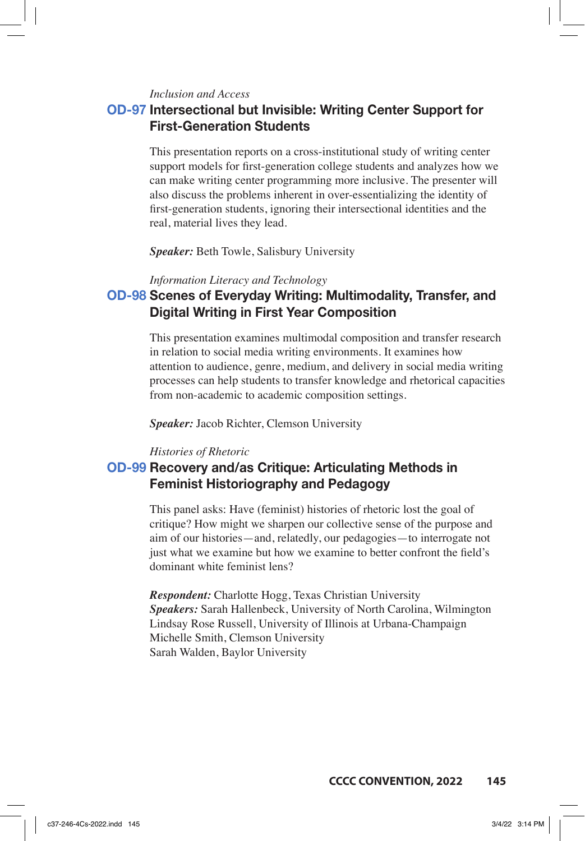*Inclusion and Access*

## **OD-97 Intersectional but Invisible: Writing Center Support for First-Generation Students**

This presentation reports on a cross-institutional study of writing center support models for first-generation college students and analyzes how we can make writing center programming more inclusive. The presenter will also discuss the problems inherent in over-essentializing the identity of first-generation students, ignoring their intersectional identities and the real, material lives they lead.

*Speaker:* Beth Towle, Salisbury University

*Information Literacy and Technology*

# **OD-98 Scenes of Everyday Writing: Multimodality, Transfer, and Digital Writing in First Year Composition**

This presentation examines multimodal composition and transfer research in relation to social media writing environments. It examines how attention to audience, genre, medium, and delivery in social media writing processes can help students to transfer knowledge and rhetorical capacities from non-academic to academic composition settings.

*Speaker:* Jacob Richter, Clemson University

#### *Histories of Rhetoric*

## **OD-99 Recovery and/as Critique: Articulating Methods in Feminist Historiography and Pedagogy**

This panel asks: Have (feminist) histories of rhetoric lost the goal of critique? How might we sharpen our collective sense of the purpose and aim of our histories—and, relatedly, our pedagogies—to interrogate not just what we examine but how we examine to better confront the field's dominant white feminist lens?

*Respondent:* Charlotte Hogg, Texas Christian University *Speakers:* Sarah Hallenbeck, University of North Carolina, Wilmington Lindsay Rose Russell, University of Illinois at Urbana-Champaign Michelle Smith, Clemson University Sarah Walden, Baylor University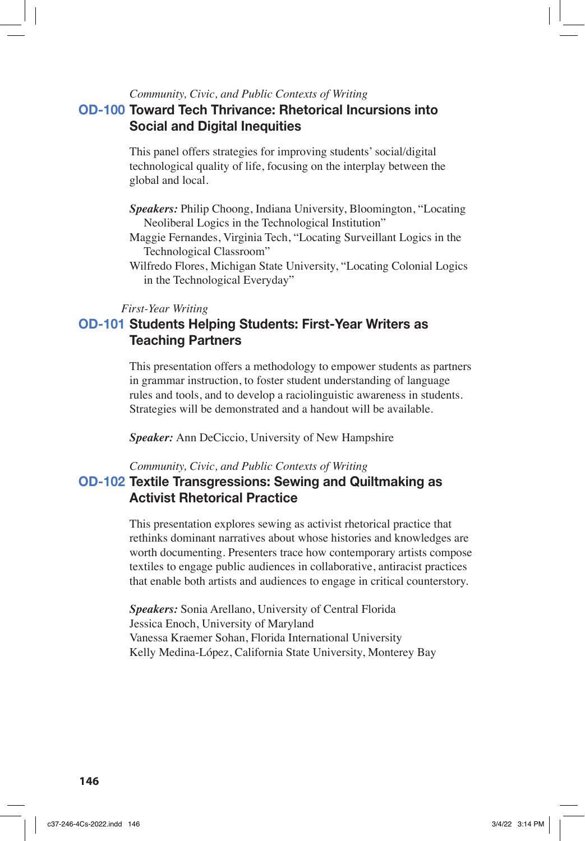### *Community, Civic, and Public Contexts of Writing*

# **OD-100 Toward Tech Thrivance: Rhetorical Incursions into Social and Digital Inequities**

This panel offers strategies for improving students' social/digital technological quality of life, focusing on the interplay between the global and local.

- *Speakers:* Philip Choong, Indiana University, Bloomington, "Locating Neoliberal Logics in the Technological Institution"
- Maggie Fernandes, Virginia Tech, "Locating Surveillant Logics in the Technological Classroom"
- Wilfredo Flores, Michigan State University, "Locating Colonial Logics in the Technological Everyday"

#### *First-Year Writing*

# **OD-101 Students Helping Students: First-Year Writers as Teaching Partners**

This presentation offers a methodology to empower students as partners in grammar instruction, to foster student understanding of language rules and tools, and to develop a raciolinguistic awareness in students. Strategies will be demonstrated and a handout will be available.

*Speaker:* Ann DeCiccio, University of New Hampshire

#### *Community, Civic, and Public Contexts of Writing*

## **OD-102 Textile Transgressions: Sewing and Quiltmaking as Activist Rhetorical Practice**

This presentation explores sewing as activist rhetorical practice that rethinks dominant narratives about whose histories and knowledges are worth documenting. Presenters trace how contemporary artists compose textiles to engage public audiences in collaborative, antiracist practices that enable both artists and audiences to engage in critical counterstory.

*Speakers:* Sonia Arellano, University of Central Florida Jessica Enoch, University of Maryland Vanessa Kraemer Sohan, Florida International University Kelly Medina-López, California State University, Monterey Bay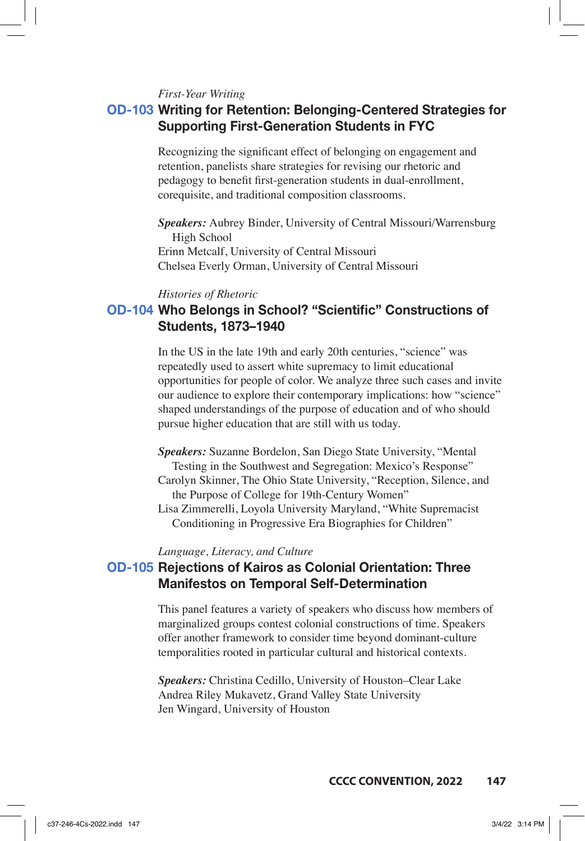*First-Year Writing*

## **OD-103 Writing for Retention: Belonging-Centered Strategies for Supporting First-Generation Students in FYC**

Recognizing the significant effect of belonging on engagement and retention, panelists share strategies for revising our rhetoric and pedagogy to benefit first-generation students in dual-enrollment, corequisite, and traditional composition classrooms.

*Speakers:* Aubrey Binder, University of Central Missouri/Warrensburg High School Erinn Metcalf, University of Central Missouri Chelsea Everly Orman, University of Central Missouri

#### *Histories of Rhetoric*

# **OD-104 Who Belongs in School? "Scientific" Constructions of Students, 1873–1940**

In the US in the late 19th and early 20th centuries, "science" was repeatedly used to assert white supremacy to limit educational opportunities for people of color. We analyze three such cases and invite our audience to explore their contemporary implications: how "science" shaped understandings of the purpose of education and of who should pursue higher education that are still with us today.

- *Speakers:* Suzanne Bordelon, San Diego State University, "Mental Testing in the Southwest and Segregation: Mexico's Response" Carolyn Skinner, The Ohio State University, "Reception, Silence, and the Purpose of College for 19th-Century Women"
- Lisa Zimmerelli, Loyola University Maryland, "White Supremacist Conditioning in Progressive Era Biographies for Children"

#### *Language, Literacy, and Culture*

# **OD-105 Rejections of Kairos as Colonial Orientation: Three Manifestos on Temporal Self-Determination**

This panel features a variety of speakers who discuss how members of marginalized groups contest colonial constructions of time. Speakers offer another framework to consider time beyond dominant-culture temporalities rooted in particular cultural and historical contexts.

*Speakers:* Christina Cedillo, University of Houston–Clear Lake Andrea Riley Mukavetz, Grand Valley State University Jen Wingard, University of Houston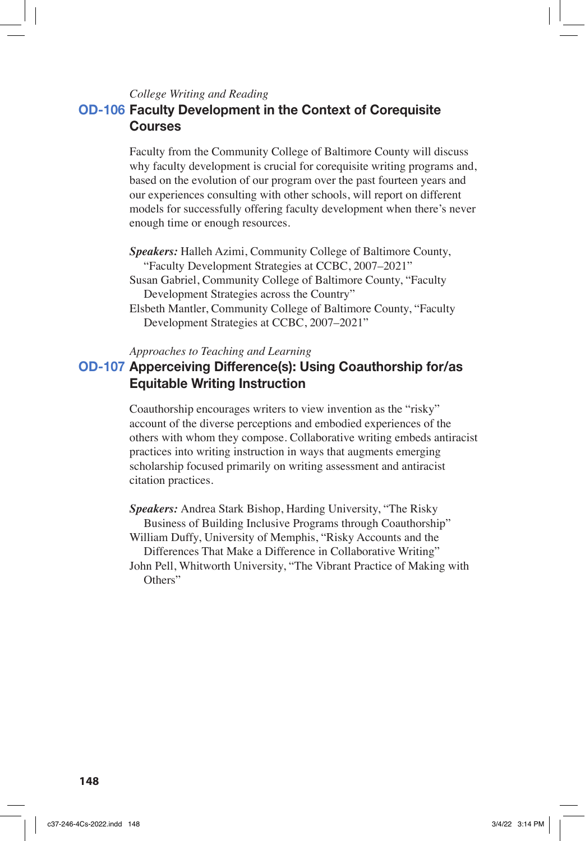*College Writing and Reading*

# **OD-106 Faculty Development in the Context of Corequisite Courses**

Faculty from the Community College of Baltimore County will discuss why faculty development is crucial for corequisite writing programs and, based on the evolution of our program over the past fourteen years and our experiences consulting with other schools, will report on different models for successfully offering faculty development when there's never enough time or enough resources.

*Speakers:* Halleh Azimi, Community College of Baltimore County, "Faculty Development Strategies at CCBC, 2007–2021"

Susan Gabriel, Community College of Baltimore County, "Faculty Development Strategies across the Country"

Elsbeth Mantler, Community College of Baltimore County, "Faculty Development Strategies at CCBC, 2007–2021"

*Approaches to Teaching and Learning*

# **OD-107 Apperceiving Difference(s): Using Coauthorship for/as Equitable Writing Instruction**

Coauthorship encourages writers to view invention as the "risky" account of the diverse perceptions and embodied experiences of the others with whom they compose. Collaborative writing embeds antiracist practices into writing instruction in ways that augments emerging scholarship focused primarily on writing assessment and antiracist citation practices.

*Speakers:* Andrea Stark Bishop, Harding University, "The Risky Business of Building Inclusive Programs through Coauthorship" William Duffy, University of Memphis, "Risky Accounts and the

Differences That Make a Difference in Collaborative Writing" John Pell, Whitworth University, "The Vibrant Practice of Making with Others"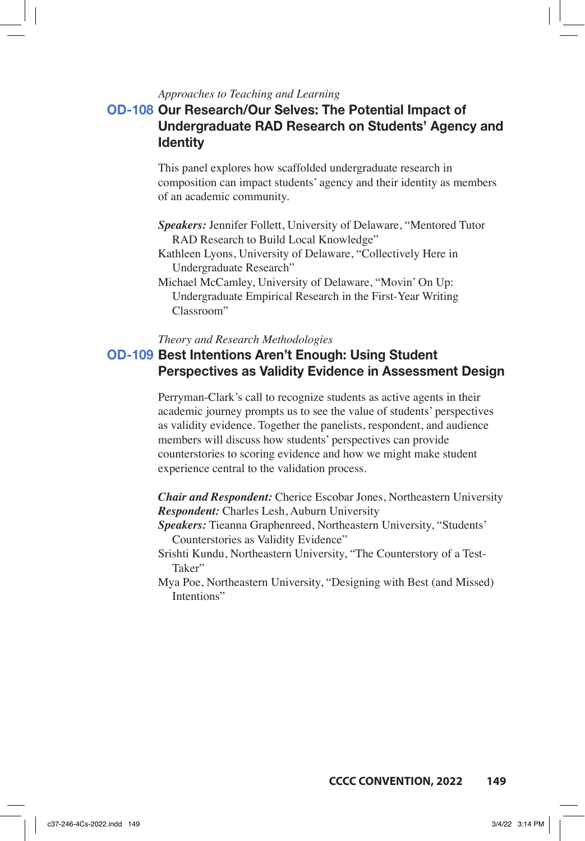#### *Approaches to Teaching and Learning*

# **OD-108 Our Research/Our Selves: The Potential Impact of Undergraduate RAD Research on Students' Agency and Identity**

This panel explores how scaffolded undergraduate research in composition can impact students' agency and their identity as members of an academic community.

- *Speakers:* Jennifer Follett, University of Delaware, "Mentored Tutor RAD Research to Build Local Knowledge"
- Kathleen Lyons, University of Delaware, "Collectively Here in Undergraduate Research"
- Michael McCamley, University of Delaware, "Movin' On Up: Undergraduate Empirical Research in the First-Year Writing Classroom"

#### *Theory and Research Methodologies*

### **OD-109 Best Intentions Aren't Enough: Using Student Perspectives as Validity Evidence in Assessment Design**

Perryman-Clark's call to recognize students as active agents in their academic journey prompts us to see the value of students' perspectives as validity evidence. Together the panelists, respondent, and audience members will discuss how students' perspectives can provide counterstories to scoring evidence and how we might make student experience central to the validation process.

*Chair and Respondent:* Cherice Escobar Jones, Northeastern University *Respondent:* Charles Lesh, Auburn University

- *Speakers:* Tieanna Graphenreed, Northeastern University, "Students' Counterstories as Validity Evidence"
- Srishti Kundu, Northeastern University, "The Counterstory of a Test-Taker"

Mya Poe, Northeastern University, "Designing with Best (and Missed) Intentions"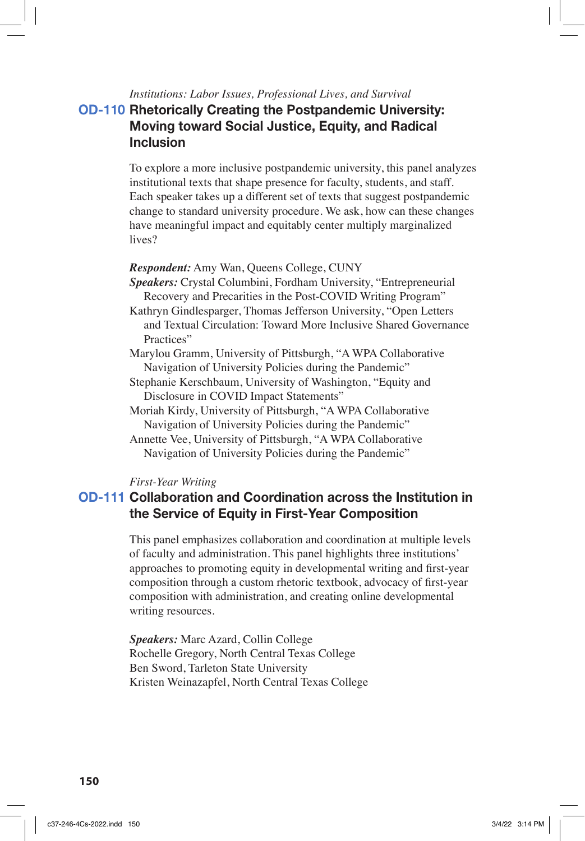*Institutions: Labor Issues, Professional Lives, and Survival*

# **OD-110 Rhetorically Creating the Postpandemic University: Moving toward Social Justice, Equity, and Radical Inclusion**

To explore a more inclusive postpandemic university, this panel analyzes institutional texts that shape presence for faculty, students, and staff. Each speaker takes up a different set of texts that suggest postpandemic change to standard university procedure. We ask, how can these changes have meaningful impact and equitably center multiply marginalized lives?

#### *Respondent:* Amy Wan, Queens College, CUNY

*Speakers:* Crystal Columbini, Fordham University, "Entrepreneurial Recovery and Precarities in the Post-COVID Writing Program"

Kathryn Gindlesparger, Thomas Jefferson University, "Open Letters and Textual Circulation: Toward More Inclusive Shared Governance Practices"

Marylou Gramm, University of Pittsburgh, "A WPA Collaborative Navigation of University Policies during the Pandemic"

- Stephanie Kerschbaum, University of Washington, "Equity and Disclosure in COVID Impact Statements"
- Moriah Kirdy, University of Pittsburgh, "A WPA Collaborative Navigation of University Policies during the Pandemic"

Annette Vee, University of Pittsburgh, "A WPA Collaborative Navigation of University Policies during the Pandemic"

#### *First-Year Writing*

### **OD-111 Collaboration and Coordination across the Institution in the Service of Equity in First-Year Composition**

This panel emphasizes collaboration and coordination at multiple levels of faculty and administration. This panel highlights three institutions' approaches to promoting equity in developmental writing and first-year composition through a custom rhetoric textbook, advocacy of first-year composition with administration, and creating online developmental writing resources.

*Speakers:* Marc Azard, Collin College Rochelle Gregory, North Central Texas College Ben Sword, Tarleton State University Kristen Weinazapfel, North Central Texas College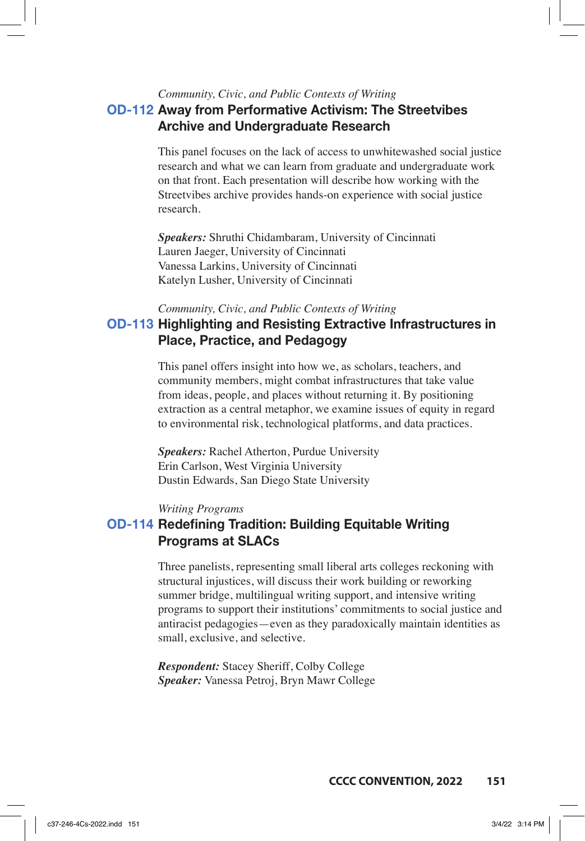# *Community, Civic, and Public Contexts of Writing* **OD-112 Away from Performative Activism: The Streetvibes Archive and Undergraduate Research**

This panel focuses on the lack of access to unwhitewashed social justice research and what we can learn from graduate and undergraduate work on that front. Each presentation will describe how working with the Streetvibes archive provides hands-on experience with social justice research.

*Speakers:* Shruthi Chidambaram, University of Cincinnati Lauren Jaeger, University of Cincinnati Vanessa Larkins, University of Cincinnati Katelyn Lusher, University of Cincinnati

*Community, Civic, and Public Contexts of Writing*

# **OD-113 Highlighting and Resisting Extractive Infrastructures in Place, Practice, and Pedagogy**

This panel offers insight into how we, as scholars, teachers, and community members, might combat infrastructures that take value from ideas, people, and places without returning it. By positioning extraction as a central metaphor, we examine issues of equity in regard to environmental risk, technological platforms, and data practices.

*Speakers:* Rachel Atherton, Purdue University Erin Carlson, West Virginia University Dustin Edwards, San Diego State University

#### *Writing Programs*

## **OD-114 Redefining Tradition: Building Equitable Writing Programs at SLACs**

Three panelists, representing small liberal arts colleges reckoning with structural injustices, will discuss their work building or reworking summer bridge, multilingual writing support, and intensive writing programs to support their institutions' commitments to social justice and antiracist pedagogies—even as they paradoxically maintain identities as small, exclusive, and selective.

*Respondent:* Stacey Sheriff, Colby College *Speaker:* Vanessa Petroj, Bryn Mawr College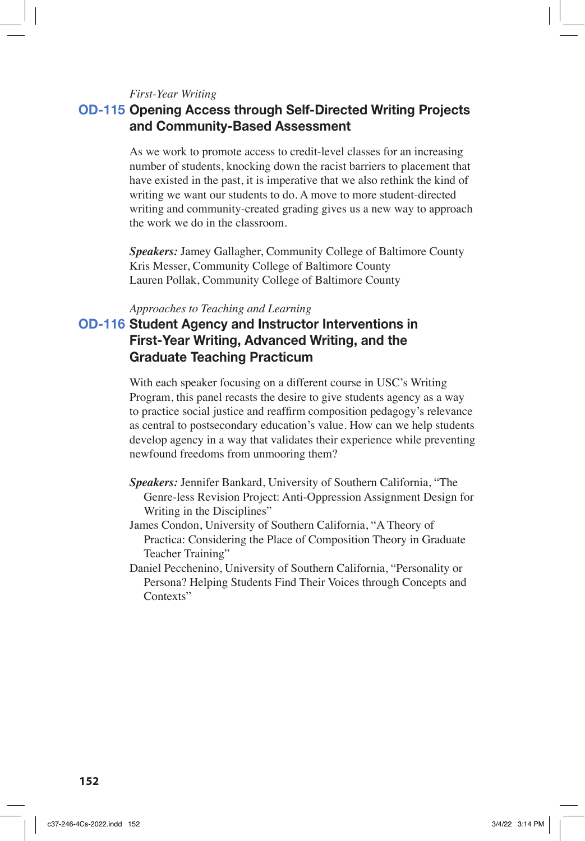#### *First-Year Writing*

## **OD-115 Opening Access through Self-Directed Writing Projects and Community-Based Assessment**

As we work to promote access to credit-level classes for an increasing number of students, knocking down the racist barriers to placement that have existed in the past, it is imperative that we also rethink the kind of writing we want our students to do. A move to more student-directed writing and community-created grading gives us a new way to approach the work we do in the classroom.

*Speakers:* Jamey Gallagher, Community College of Baltimore County Kris Messer, Community College of Baltimore County Lauren Pollak, Community College of Baltimore County

#### *Approaches to Teaching and Learning*

# **OD-116 Student Agency and Instructor Interventions in First-Year Writing, Advanced Writing, and the Graduate Teaching Practicum**

With each speaker focusing on a different course in USC's Writing Program, this panel recasts the desire to give students agency as a way to practice social justice and reaffirm composition pedagogy's relevance as central to postsecondary education's value. How can we help students develop agency in a way that validates their experience while preventing newfound freedoms from unmooring them?

- *Speakers:* Jennifer Bankard, University of Southern California, "The Genre-less Revision Project: Anti-Oppression Assignment Design for Writing in the Disciplines"
- James Condon, University of Southern California, "A Theory of Practica: Considering the Place of Composition Theory in Graduate Teacher Training"
- Daniel Pecchenino, University of Southern California, "Personality or Persona? Helping Students Find Their Voices through Concepts and Contexts"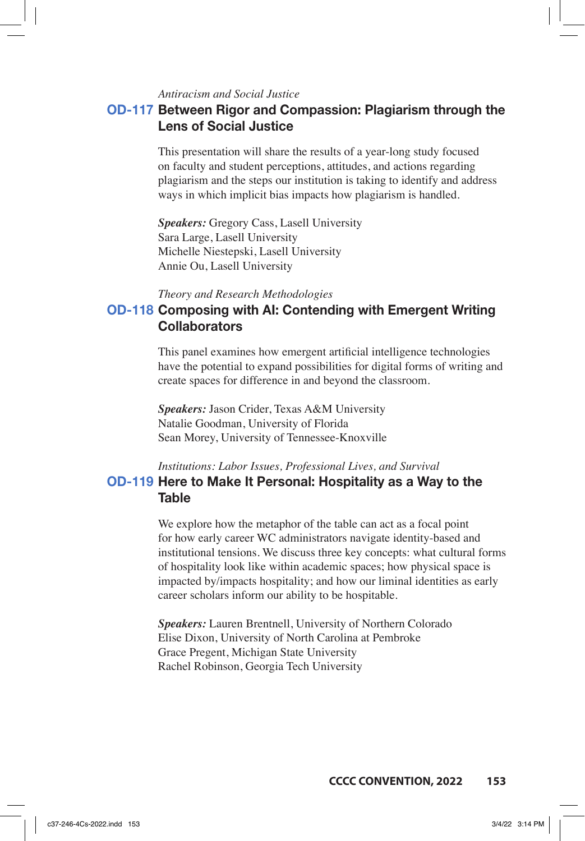### *Antiracism and Social Justice*

## **OD-117 Between Rigor and Compassion: Plagiarism through the Lens of Social Justice**

This presentation will share the results of a year-long study focused on faculty and student perceptions, attitudes, and actions regarding plagiarism and the steps our institution is taking to identify and address ways in which implicit bias impacts how plagiarism is handled.

*Speakers:* Gregory Cass, Lasell University Sara Large, Lasell University Michelle Niestepski, Lasell University Annie Ou, Lasell University

#### *Theory and Research Methodologies*

# **OD-118 Composing with AI: Contending with Emergent Writing Collaborators**

This panel examines how emergent artificial intelligence technologies have the potential to expand possibilities for digital forms of writing and create spaces for difference in and beyond the classroom.

*Speakers:* Jason Crider, Texas A&M University Natalie Goodman, University of Florida Sean Morey, University of Tennessee-Knoxville

## *Institutions: Labor Issues, Professional Lives, and Survival* **OD-119 Here to Make It Personal: Hospitality as a Way to the Table**

We explore how the metaphor of the table can act as a focal point for how early career WC administrators navigate identity-based and institutional tensions. We discuss three key concepts: what cultural forms of hospitality look like within academic spaces; how physical space is impacted by/impacts hospitality; and how our liminal identities as early career scholars inform our ability to be hospitable.

*Speakers:* Lauren Brentnell, University of Northern Colorado Elise Dixon, University of North Carolina at Pembroke Grace Pregent, Michigan State University Rachel Robinson, Georgia Tech University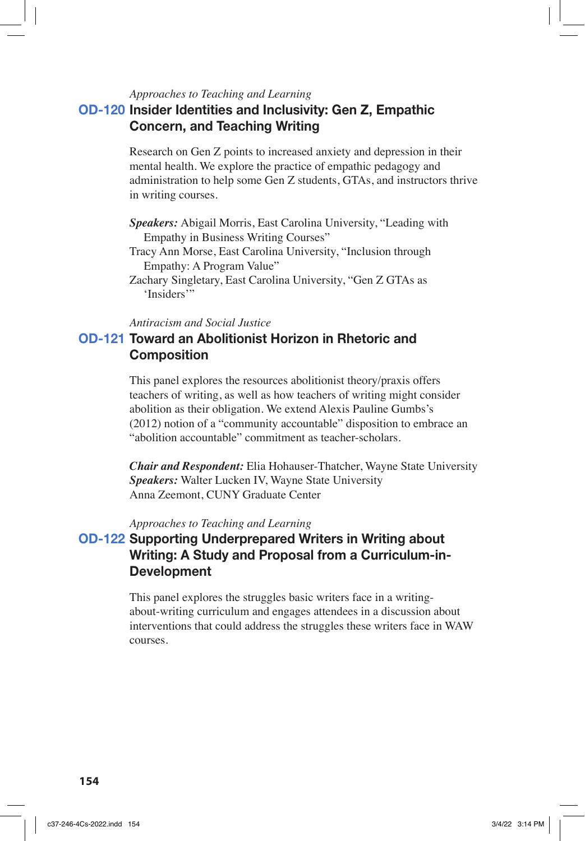#### *Approaches to Teaching and Learning*

# **OD-120 Insider Identities and Inclusivity: Gen Z, Empathic Concern, and Teaching Writing**

Research on Gen Z points to increased anxiety and depression in their mental health. We explore the practice of empathic pedagogy and administration to help some Gen Z students, GTAs, and instructors thrive in writing courses.

- *Speakers:* Abigail Morris, East Carolina University, "Leading with Empathy in Business Writing Courses"
- Tracy Ann Morse, East Carolina University, "Inclusion through Empathy: A Program Value"
- Zachary Singletary, East Carolina University, "Gen Z GTAs as 'Insiders'"

*Antiracism and Social Justice*

# **OD-121 Toward an Abolitionist Horizon in Rhetoric and Composition**

This panel explores the resources abolitionist theory/praxis offers teachers of writing, as well as how teachers of writing might consider abolition as their obligation. We extend Alexis Pauline Gumbs's (2012) notion of a "community accountable" disposition to embrace an "abolition accountable" commitment as teacher-scholars.

*Chair and Respondent:* Elia Hohauser-Thatcher, Wayne State University *Speakers:* Walter Lucken IV, Wayne State University Anna Zeemont, CUNY Graduate Center

### *Approaches to Teaching and Learning*

# **OD-122 Supporting Underprepared Writers in Writing about Writing: A Study and Proposal from a Curriculum-in-Development**

This panel explores the struggles basic writers face in a writingabout-writing curriculum and engages attendees in a discussion about interventions that could address the struggles these writers face in WAW courses.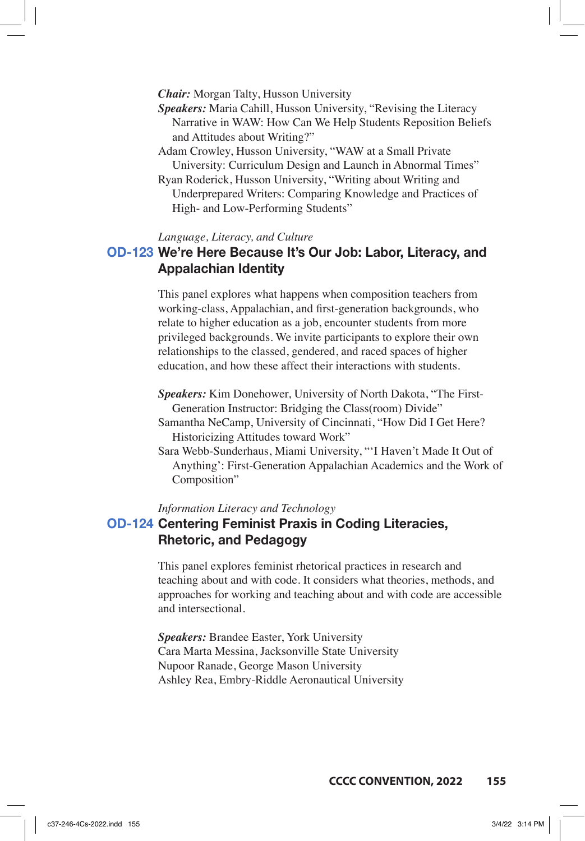*Chair:* Morgan Talty, Husson University

- *Speakers:* Maria Cahill, Husson University, "Revising the Literacy Narrative in WAW: How Can We Help Students Reposition Beliefs and Attitudes about Writing?"
- Adam Crowley, Husson University, "WAW at a Small Private University: Curriculum Design and Launch in Abnormal Times"
- Ryan Roderick, Husson University, "Writing about Writing and Underprepared Writers: Comparing Knowledge and Practices of High- and Low-Performing Students"

#### *Language, Literacy, and Culture*

# **OD-123 We're Here Because It's Our Job: Labor, Literacy, and Appalachian Identity**

This panel explores what happens when composition teachers from working-class, Appalachian, and first-generation backgrounds, who relate to higher education as a job, encounter students from more privileged backgrounds. We invite participants to explore their own relationships to the classed, gendered, and raced spaces of higher education, and how these affect their interactions with students.

*Speakers:* Kim Donehower, University of North Dakota, "The First-Generation Instructor: Bridging the Class(room) Divide"

- Samantha NeCamp, University of Cincinnati, "How Did I Get Here? Historicizing Attitudes toward Work"
- Sara Webb-Sunderhaus, Miami University, "'I Haven't Made It Out of Anything': First-Generation Appalachian Academics and the Work of Composition"

*Information Literacy and Technology*

## **OD-124 Centering Feminist Praxis in Coding Literacies, Rhetoric, and Pedagogy**

This panel explores feminist rhetorical practices in research and teaching about and with code. It considers what theories, methods, and approaches for working and teaching about and with code are accessible and intersectional.

*Speakers:* Brandee Easter, York University Cara Marta Messina, Jacksonville State University Nupoor Ranade, George Mason University Ashley Rea, Embry-Riddle Aeronautical University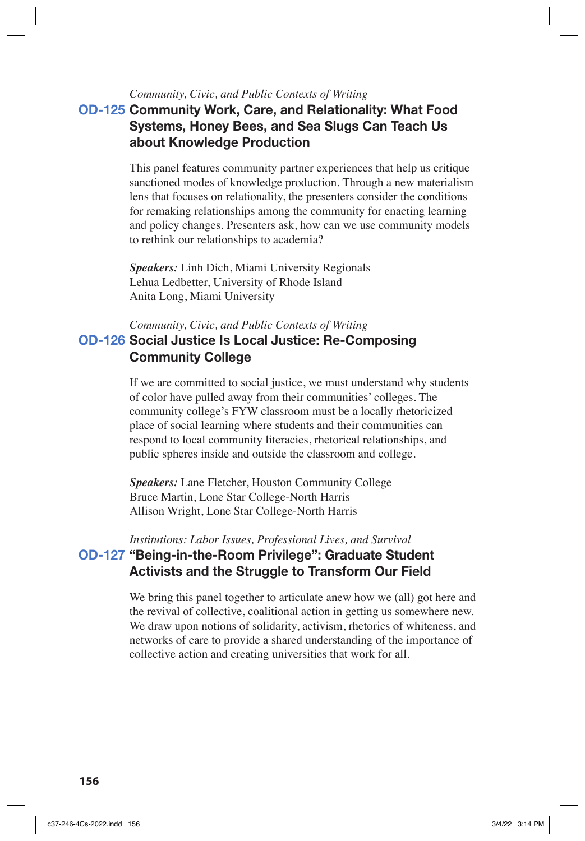### *Community, Civic, and Public Contexts of Writing*

# **OD-125 Community Work, Care, and Relationality: What Food Systems, Honey Bees, and Sea Slugs Can Teach Us about Knowledge Production**

This panel features community partner experiences that help us critique sanctioned modes of knowledge production. Through a new materialism lens that focuses on relationality, the presenters consider the conditions for remaking relationships among the community for enacting learning and policy changes. Presenters ask, how can we use community models to rethink our relationships to academia?

*Speakers:* Linh Dich, Miami University Regionals Lehua Ledbetter, University of Rhode Island Anita Long, Miami University

*Community, Civic, and Public Contexts of Writing*

### **OD-126 Social Justice Is Local Justice: Re-Composing Community College**

If we are committed to social justice, we must understand why students of color have pulled away from their communities' colleges. The community college's FYW classroom must be a locally rhetoricized place of social learning where students and their communities can respond to local community literacies, rhetorical relationships, and public spheres inside and outside the classroom and college.

*Speakers:* Lane Fletcher, Houston Community College Bruce Martin, Lone Star College-North Harris Allison Wright, Lone Star College-North Harris

*Institutions: Labor Issues, Professional Lives, and Survival* **OD-127 "Being-in-the-Room Privilege": Graduate Student Activists and the Struggle to Transform Our Field**

> We bring this panel together to articulate anew how we (all) got here and the revival of collective, coalitional action in getting us somewhere new. We draw upon notions of solidarity, activism, rhetorics of whiteness, and networks of care to provide a shared understanding of the importance of collective action and creating universities that work for all.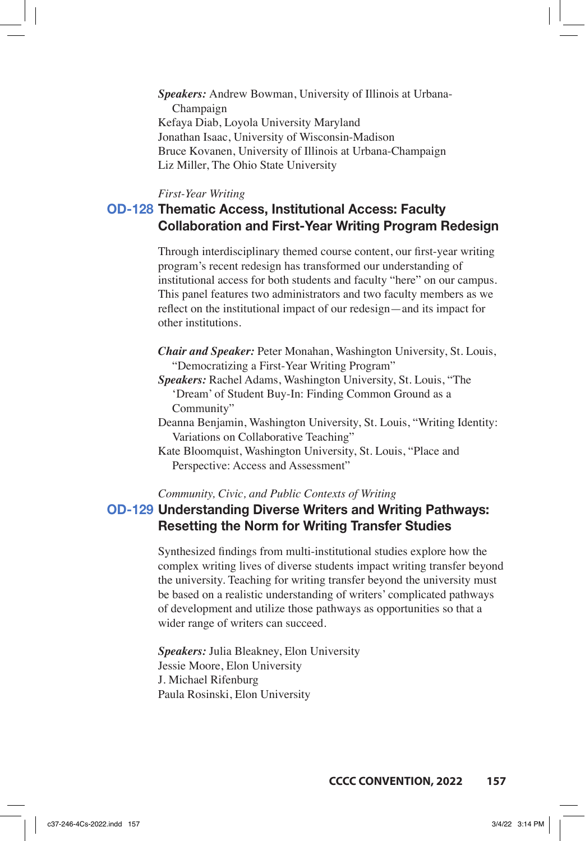*Speakers:* Andrew Bowman, University of Illinois at Urbana-Champaign Kefaya Diab, Loyola University Maryland Jonathan Isaac, University of Wisconsin-Madison Bruce Kovanen, University of Illinois at Urbana-Champaign Liz Miller, The Ohio State University

#### *First-Year Writing*

# **OD-128 Thematic Access, Institutional Access: Faculty Collaboration and First-Year Writing Program Redesign**

Through interdisciplinary themed course content, our first-year writing program's recent redesign has transformed our understanding of institutional access for both students and faculty "here" on our campus. This panel features two administrators and two faculty members as we reflect on the institutional impact of our redesign—and its impact for other institutions.

- *Chair and Speaker:* Peter Monahan, Washington University, St. Louis, "Democratizing a First-Year Writing Program"
- *Speakers:* Rachel Adams, Washington University, St. Louis, "The 'Dream' of Student Buy-In: Finding Common Ground as a Community"
- Deanna Benjamin, Washington University, St. Louis, "Writing Identity: Variations on Collaborative Teaching"
- Kate Bloomquist, Washington University, St. Louis, "Place and Perspective: Access and Assessment"

*Community, Civic, and Public Contexts of Writing*

## **OD-129 Understanding Diverse Writers and Writing Pathways: Resetting the Norm for Writing Transfer Studies**

Synthesized findings from multi-institutional studies explore how the complex writing lives of diverse students impact writing transfer beyond the university. Teaching for writing transfer beyond the university must be based on a realistic understanding of writers' complicated pathways of development and utilize those pathways as opportunities so that a wider range of writers can succeed.

*Speakers:* Julia Bleakney, Elon University Jessie Moore, Elon University J. Michael Rifenburg Paula Rosinski, Elon University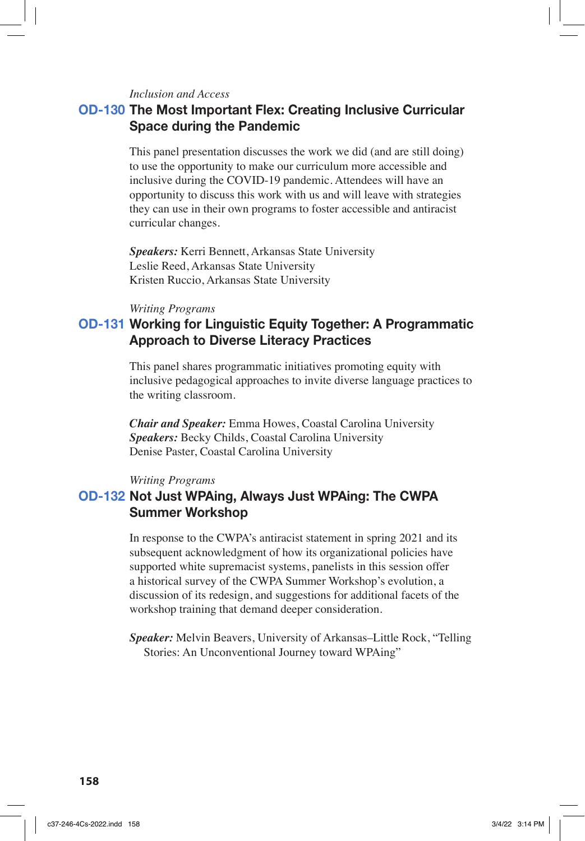#### *Inclusion and Access*

### **OD-130 The Most Important Flex: Creating Inclusive Curricular Space during the Pandemic**

This panel presentation discusses the work we did (and are still doing) to use the opportunity to make our curriculum more accessible and inclusive during the COVID-19 pandemic. Attendees will have an opportunity to discuss this work with us and will leave with strategies they can use in their own programs to foster accessible and antiracist curricular changes.

*Speakers:* Kerri Bennett, Arkansas State University Leslie Reed, Arkansas State University Kristen Ruccio, Arkansas State University

#### *Writing Programs*

# **OD-131 Working for Linguistic Equity Together: A Programmatic Approach to Diverse Literacy Practices**

This panel shares programmatic initiatives promoting equity with inclusive pedagogical approaches to invite diverse language practices to the writing classroom.

*Chair and Speaker:* Emma Howes, Coastal Carolina University *Speakers:* Becky Childs, Coastal Carolina University Denise Paster, Coastal Carolina University

#### *Writing Programs*

## **OD-132 Not Just WPAing, Always Just WPAing: The CWPA Summer Workshop**

In response to the CWPA's antiracist statement in spring 2021 and its subsequent acknowledgment of how its organizational policies have supported white supremacist systems, panelists in this session offer a historical survey of the CWPA Summer Workshop's evolution, a discussion of its redesign, and suggestions for additional facets of the workshop training that demand deeper consideration.

*Speaker:* Melvin Beavers, University of Arkansas–Little Rock, "Telling Stories: An Unconventional Journey toward WPAing"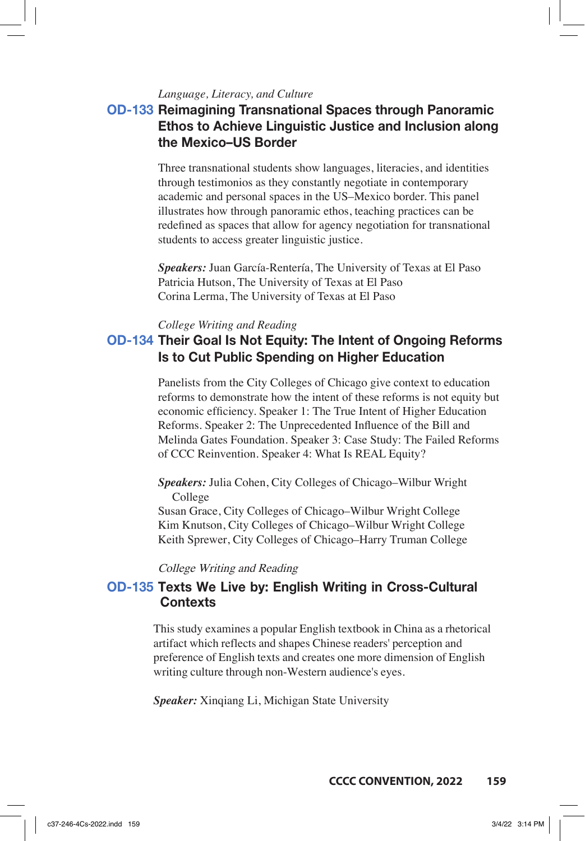### *Language, Literacy, and Culture*

# **OD-133 Reimagining Transnational Spaces through Panoramic Ethos to Achieve Linguistic Justice and Inclusion along the Mexico–US Border**

Three transnational students show languages, literacies, and identities through testimonios as they constantly negotiate in contemporary academic and personal spaces in the US–Mexico border. This panel illustrates how through panoramic ethos, teaching practices can be redefined as spaces that allow for agency negotiation for transnational students to access greater linguistic justice.

*Speakers:* Juan García-Rentería, The University of Texas at El Paso Patricia Hutson, The University of Texas at El Paso Corina Lerma, The University of Texas at El Paso

### *College Writing and Reading*

## **OD-134 Their Goal Is Not Equity: The Intent of Ongoing Reforms Is to Cut Public Spending on Higher Education**

Panelists from the City Colleges of Chicago give context to education reforms to demonstrate how the intent of these reforms is not equity but economic efficiency. Speaker 1: The True Intent of Higher Education Reforms. Speaker 2: The Unprecedented Influence of the Bill and Melinda Gates Foundation. Speaker 3: Case Study: The Failed Reforms of CCC Reinvention. Speaker 4: What Is REAL Equity?

*Speakers:* Julia Cohen, City Colleges of Chicago–Wilbur Wright College

Susan Grace, City Colleges of Chicago–Wilbur Wright College Kim Knutson, City Colleges of Chicago–Wilbur Wright College Keith Sprewer, City Colleges of Chicago–Harry Truman College

College Writing and Reading

## **OD-13**5 Texts We Live by: English Writing in Cross-Cultural **Contexts**

This study examines a popular English textbook in China as a rhetorical artifact which reflects and shapes Chinese readers' perception and preference of English texts and creates one more dimension of English writing culture through non-Western audience's eyes.

*Speaker:* Xinqiang Li, Michigan State University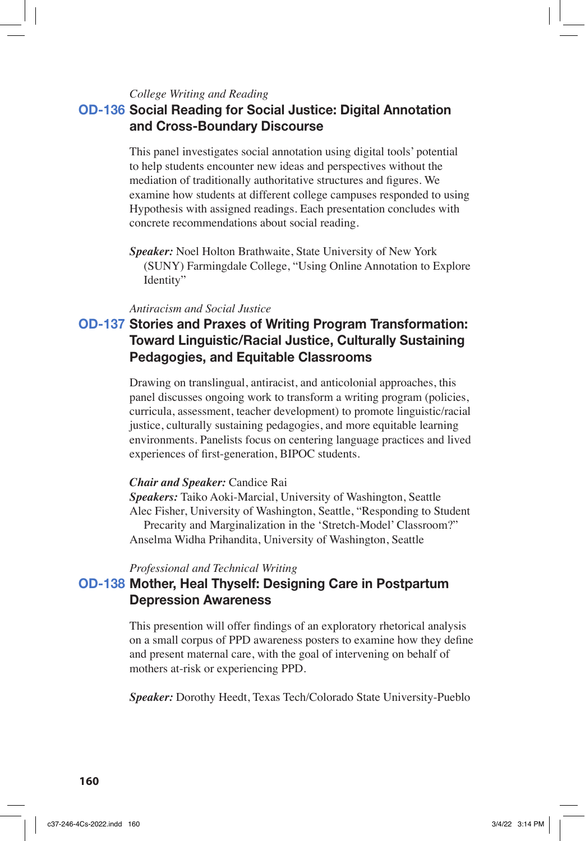#### *College Writing and Reading*

## **OD-136 Social Reading for Social Justice: Digital Annotation and Cross-Boundary Discourse**

This panel investigates social annotation using digital tools' potential to help students encounter new ideas and perspectives without the mediation of traditionally authoritative structures and figures. We examine how students at different college campuses responded to using Hypothesis with assigned readings. Each presentation concludes with concrete recommendations about social reading.

*Speaker:* Noel Holton Brathwaite, State University of New York (SUNY) Farmingdale College, "Using Online Annotation to Explore Identity"

#### *Antiracism and Social Justice*

# **OD-137 Stories and Praxes of Writing Program Transformation: Toward Linguistic/Racial Justice, Culturally Sustaining Pedagogies, and Equitable Classrooms**

Drawing on translingual, antiracist, and anticolonial approaches, this panel discusses ongoing work to transform a writing program (policies, curricula, assessment, teacher development) to promote linguistic/racial justice, culturally sustaining pedagogies, and more equitable learning environments. Panelists focus on centering language practices and lived experiences of first-generation, BIPOC students.

#### *Chair and Speaker:* Candice Rai

*Speakers:* Taiko Aoki-Marcial, University of Washington, Seattle Alec Fisher, University of Washington, Seattle, "Responding to Student Precarity and Marginalization in the 'Stretch-Model' Classroom?" Anselma Widha Prihandita, University of Washington, Seattle

#### *Professional and Technical Writing*

### **OD-138 Mother, Heal Thyself: Designing Care in Postpartum Depression Awareness**

This presention will offer findings of an exploratory rhetorical analysis on a small corpus of PPD awareness posters to examine how they define and present maternal care, with the goal of intervening on behalf of mothers at-risk or experiencing PPD.

*Speaker:* Dorothy Heedt, Texas Tech/Colorado State University-Pueblo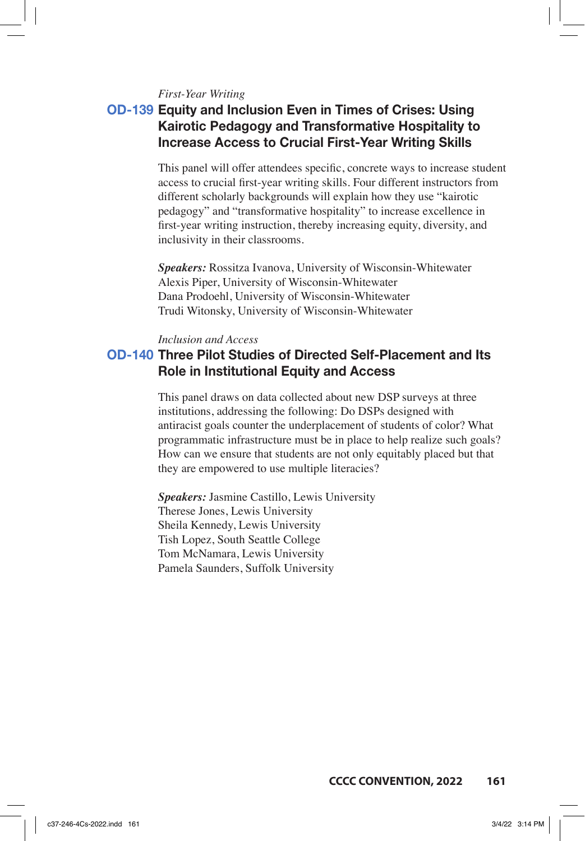#### *First-Year Writing*

# **OD-139 Equity and Inclusion Even in Times of Crises: Using Kairotic Pedagogy and Transformative Hospitality to Increase Access to Crucial First-Year Writing Skills**

This panel will offer attendees specific, concrete ways to increase student access to crucial first-year writing skills. Four different instructors from different scholarly backgrounds will explain how they use "kairotic pedagogy" and "transformative hospitality" to increase excellence in first-year writing instruction, thereby increasing equity, diversity, and inclusivity in their classrooms.

*Speakers:* Rossitza Ivanova, University of Wisconsin-Whitewater Alexis Piper, University of Wisconsin-Whitewater Dana Prodoehl, University of Wisconsin-Whitewater Trudi Witonsky, University of Wisconsin-Whitewater

#### *Inclusion and Access*

## **OD-140 Three Pilot Studies of Directed Self-Placement and Its Role in Institutional Equity and Access**

This panel draws on data collected about new DSP surveys at three institutions, addressing the following: Do DSPs designed with antiracist goals counter the underplacement of students of color? What programmatic infrastructure must be in place to help realize such goals? How can we ensure that students are not only equitably placed but that they are empowered to use multiple literacies?

*Speakers:* Jasmine Castillo, Lewis University Therese Jones, Lewis University Sheila Kennedy, Lewis University Tish Lopez, South Seattle College Tom McNamara, Lewis University Pamela Saunders, Suffolk University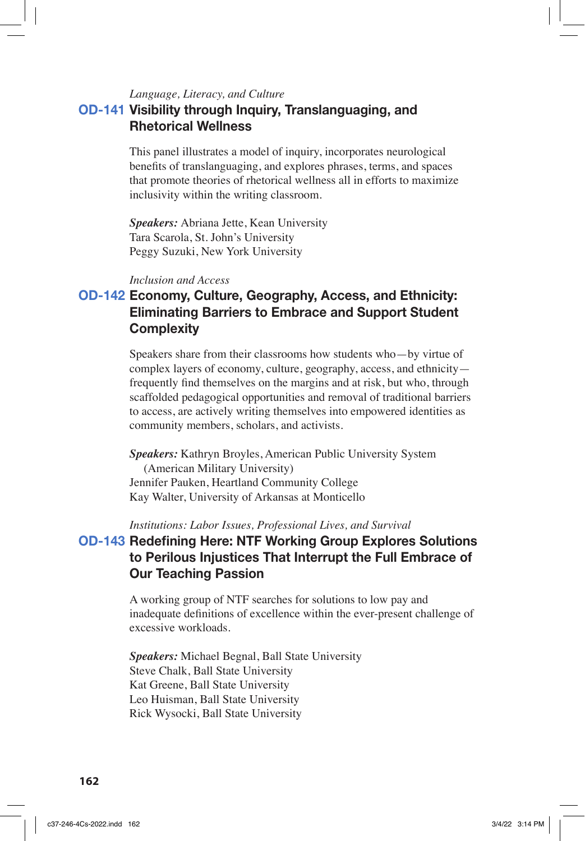#### *Language, Literacy, and Culture*

## **OD-141 Visibility through Inquiry, Translanguaging, and Rhetorical Wellness**

This panel illustrates a model of inquiry, incorporates neurological benefits of translanguaging, and explores phrases, terms, and spaces that promote theories of rhetorical wellness all in efforts to maximize inclusivity within the writing classroom.

*Speakers:* Abriana Jette, Kean University Tara Scarola, St. John's University Peggy Suzuki, New York University

#### *Inclusion and Access*

# **OD-142 Economy, Culture, Geography, Access, and Ethnicity: Eliminating Barriers to Embrace and Support Student Complexity**

Speakers share from their classrooms how students who—by virtue of complex layers of economy, culture, geography, access, and ethnicity frequently find themselves on the margins and at risk, but who, through scaffolded pedagogical opportunities and removal of traditional barriers to access, are actively writing themselves into empowered identities as community members, scholars, and activists.

*Speakers:* Kathryn Broyles, American Public University System (American Military University) Jennifer Pauken, Heartland Community College Kay Walter, University of Arkansas at Monticello

#### *Institutions: Labor Issues, Professional Lives, and Survival*

# **OD-143 Redefining Here: NTF Working Group Explores Solutions to Perilous Injustices That Interrupt the Full Embrace of Our Teaching Passion**

A working group of NTF searches for solutions to low pay and inadequate definitions of excellence within the ever-present challenge of excessive workloads.

*Speakers:* Michael Begnal, Ball State University Steve Chalk, Ball State University Kat Greene, Ball State University Leo Huisman, Ball State University Rick Wysocki, Ball State University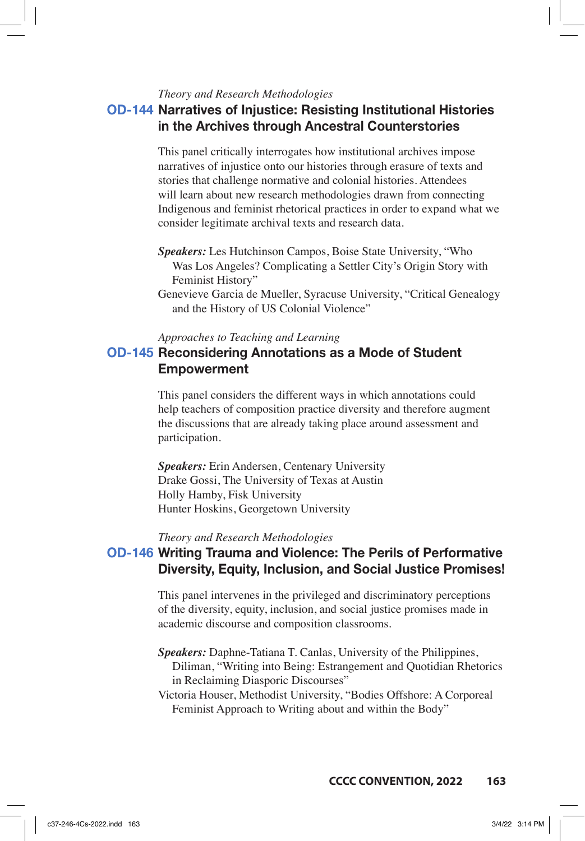#### *Theory and Research Methodologies*

## **OD-144 Narratives of Injustice: Resisting Institutional Histories in the Archives through Ancestral Counterstories**

This panel critically interrogates how institutional archives impose narratives of injustice onto our histories through erasure of texts and stories that challenge normative and colonial histories. Attendees will learn about new research methodologies drawn from connecting Indigenous and feminist rhetorical practices in order to expand what we consider legitimate archival texts and research data.

*Speakers:* Les Hutchinson Campos, Boise State University, "Who Was Los Angeles? Complicating a Settler City's Origin Story with Feminist History"

Genevieve Garcia de Mueller, Syracuse University, "Critical Genealogy and the History of US Colonial Violence"

#### *Approaches to Teaching and Learning*

### **OD-145 Reconsidering Annotations as a Mode of Student Empowerment**

This panel considers the different ways in which annotations could help teachers of composition practice diversity and therefore augment the discussions that are already taking place around assessment and participation.

*Speakers:* Erin Andersen, Centenary University Drake Gossi, The University of Texas at Austin Holly Hamby, Fisk University Hunter Hoskins, Georgetown University

*Theory and Research Methodologies*

### **OD-146 Writing Trauma and Violence: The Perils of Performative Diversity, Equity, Inclusion, and Social Justice Promises!**

This panel intervenes in the privileged and discriminatory perceptions of the diversity, equity, inclusion, and social justice promises made in academic discourse and composition classrooms.

- *Speakers:* Daphne-Tatiana T. Canlas, University of the Philippines, Diliman, "Writing into Being: Estrangement and Quotidian Rhetorics in Reclaiming Diasporic Discourses"
- Victoria Houser, Methodist University, "Bodies Offshore: A Corporeal Feminist Approach to Writing about and within the Body"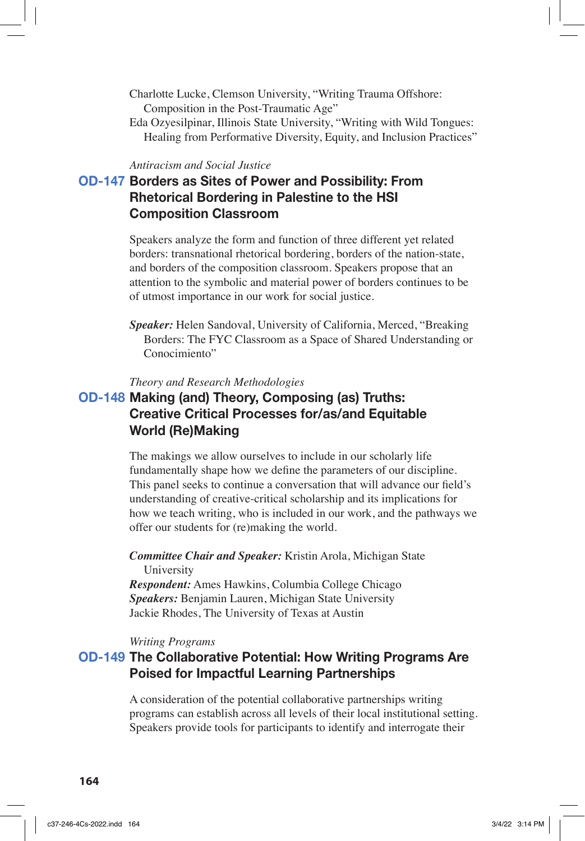- Charlotte Lucke, Clemson University, "Writing Trauma Offshore: Composition in the Post-Traumatic Age"
- Eda Ozyesilpinar, Illinois State University, "Writing with Wild Tongues: Healing from Performative Diversity, Equity, and Inclusion Practices"

#### *Antiracism and Social Justice*

# **OD-147 Borders as Sites of Power and Possibility: From Rhetorical Bordering in Palestine to the HSI Composition Classroom**

Speakers analyze the form and function of three different yet related borders: transnational rhetorical bordering, borders of the nation-state, and borders of the composition classroom. Speakers propose that an attention to the symbolic and material power of borders continues to be of utmost importance in our work for social justice.

*Speaker:* Helen Sandoval, University of California, Merced, "Breaking Borders: The FYC Classroom as a Space of Shared Understanding or Conocimiento"

#### *Theory and Research Methodologies*

## **OD-148 Making (and) Theory, Composing (as) Truths: Creative Critical Processes for/as/and Equitable World (Re)Making**

The makings we allow ourselves to include in our scholarly life fundamentally shape how we define the parameters of our discipline. This panel seeks to continue a conversation that will advance our field's understanding of creative-critical scholarship and its implications for how we teach writing, who is included in our work, and the pathways we offer our students for (re)making the world.

*Committee Chair and Speaker:* Kristin Arola, Michigan State University

*Respondent:* Ames Hawkins, Columbia College Chicago *Speakers:* Benjamin Lauren, Michigan State University Jackie Rhodes, The University of Texas at Austin

*Writing Programs*

# **OD-149 The Collaborative Potential: How Writing Programs Are Poised for Impactful Learning Partnerships**

A consideration of the potential collaborative partnerships writing programs can establish across all levels of their local institutional setting. Speakers provide tools for participants to identify and interrogate their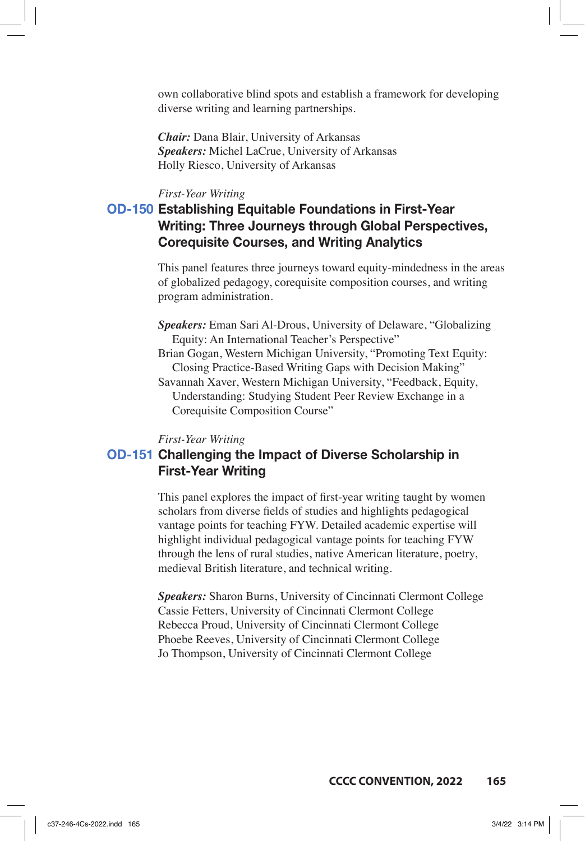own collaborative blind spots and establish a framework for developing diverse writing and learning partnerships.

*Chair:* Dana Blair, University of Arkansas *Speakers:* Michel LaCrue, University of Arkansas Holly Riesco, University of Arkansas

#### *First-Year Writing*

# **OD-150 Establishing Equitable Foundations in First-Year Writing: Three Journeys through Global Perspectives, Corequisite Courses, and Writing Analytics**

This panel features three journeys toward equity-mindedness in the areas of globalized pedagogy, corequisite composition courses, and writing program administration.

- *Speakers:* Eman Sari Al-Drous, University of Delaware, "Globalizing Equity: An International Teacher's Perspective"
- Brian Gogan, Western Michigan University, "Promoting Text Equity: Closing Practice-Based Writing Gaps with Decision Making"
- Savannah Xaver, Western Michigan University, "Feedback, Equity, Understanding: Studying Student Peer Review Exchange in a Corequisite Composition Course"

#### *First-Year Writing*

### **OD-151 Challenging the Impact of Diverse Scholarship in First-Year Writing**

This panel explores the impact of first-year writing taught by women scholars from diverse fields of studies and highlights pedagogical vantage points for teaching FYW. Detailed academic expertise will highlight individual pedagogical vantage points for teaching FYW through the lens of rural studies, native American literature, poetry, medieval British literature, and technical writing.

*Speakers:* Sharon Burns, University of Cincinnati Clermont College Cassie Fetters, University of Cincinnati Clermont College Rebecca Proud, University of Cincinnati Clermont College Phoebe Reeves, University of Cincinnati Clermont College Jo Thompson, University of Cincinnati Clermont College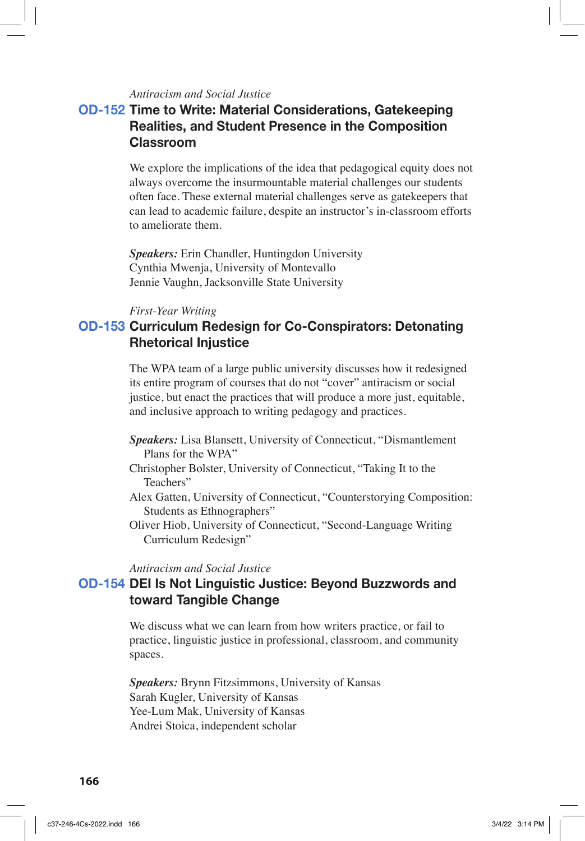### *Antiracism and Social Justice*

# **OD-152 Time to Write: Material Considerations, Gatekeeping Realities, and Student Presence in the Composition Classroom**

We explore the implications of the idea that pedagogical equity does not always overcome the insurmountable material challenges our students often face. These external material challenges serve as gatekeepers that can lead to academic failure, despite an instructor's in-classroom efforts to ameliorate them.

*Speakers:* Erin Chandler, Huntingdon University Cynthia Mwenja, University of Montevallo Jennie Vaughn, Jacksonville State University

#### *First-Year Writing*

### **OD-153 Curriculum Redesign for Co-Conspirators: Detonating Rhetorical Injustice**

The WPA team of a large public university discusses how it redesigned its entire program of courses that do not "cover" antiracism or social justice, but enact the practices that will produce a more just, equitable, and inclusive approach to writing pedagogy and practices.

- *Speakers:* Lisa Blansett, University of Connecticut, "Dismantlement Plans for the WPA"
- Christopher Bolster, University of Connecticut, "Taking It to the Teachers"
- Alex Gatten, University of Connecticut, "Counterstorying Composition: Students as Ethnographers"
- Oliver Hiob, University of Connecticut, "Second-Language Writing Curriculum Redesign"

#### *Antiracism and Social Justice*

### **OD-154 DEI Is Not Linguistic Justice: Beyond Buzzwords and toward Tangible Change**

We discuss what we can learn from how writers practice, or fail to practice, linguistic justice in professional, classroom, and community spaces.

*Speakers:* Brynn Fitzsimmons, University of Kansas Sarah Kugler, University of Kansas Yee-Lum Mak, University of Kansas Andrei Stoica, independent scholar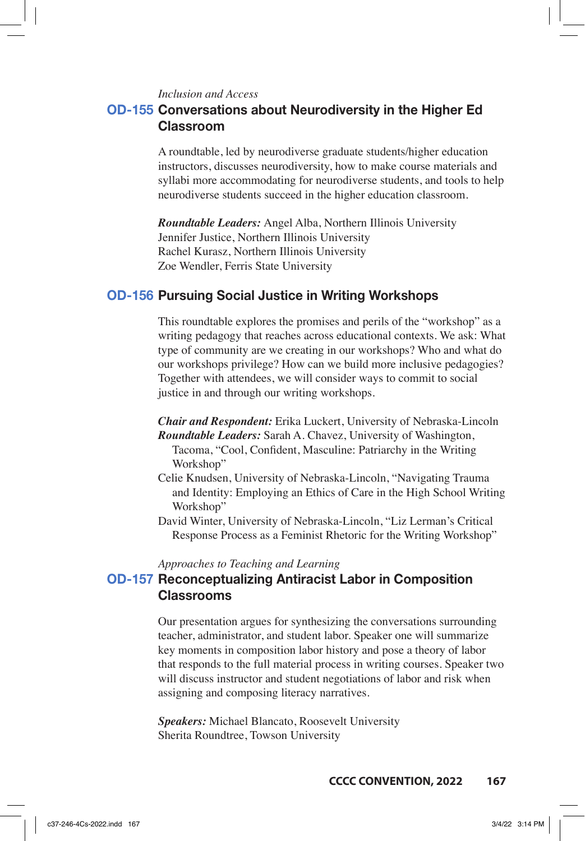*Inclusion and Access*

## **OD-155 Conversations about Neurodiversity in the Higher Ed Classroom**

A roundtable, led by neurodiverse graduate students/higher education instructors, discusses neurodiversity, how to make course materials and syllabi more accommodating for neurodiverse students, and tools to help neurodiverse students succeed in the higher education classroom.

*Roundtable Leaders:* Angel Alba, Northern Illinois University Jennifer Justice, Northern Illinois University Rachel Kurasz, Northern Illinois University Zoe Wendler, Ferris State University

### **OD-156 Pursuing Social Justice in Writing Workshops**

This roundtable explores the promises and perils of the "workshop" as a writing pedagogy that reaches across educational contexts. We ask: What type of community are we creating in our workshops? Who and what do our workshops privilege? How can we build more inclusive pedagogies? Together with attendees, we will consider ways to commit to social justice in and through our writing workshops.

*Chair and Respondent:* Erika Luckert, University of Nebraska-Lincoln *Roundtable Leaders:* Sarah A. Chavez, University of Washington, Tacoma, "Cool, Confident, Masculine: Patriarchy in the Writing Workshop"

- Celie Knudsen, University of Nebraska-Lincoln, "Navigating Trauma and Identity: Employing an Ethics of Care in the High School Writing Workshop"
- David Winter, University of Nebraska-Lincoln, "Liz Lerman's Critical Response Process as a Feminist Rhetoric for the Writing Workshop"

*Approaches to Teaching and Learning*

## **OD-157 Reconceptualizing Antiracist Labor in Composition Classrooms**

Our presentation argues for synthesizing the conversations surrounding teacher, administrator, and student labor. Speaker one will summarize key moments in composition labor history and pose a theory of labor that responds to the full material process in writing courses. Speaker two will discuss instructor and student negotiations of labor and risk when assigning and composing literacy narratives.

*Speakers:* Michael Blancato, Roosevelt University Sherita Roundtree, Towson University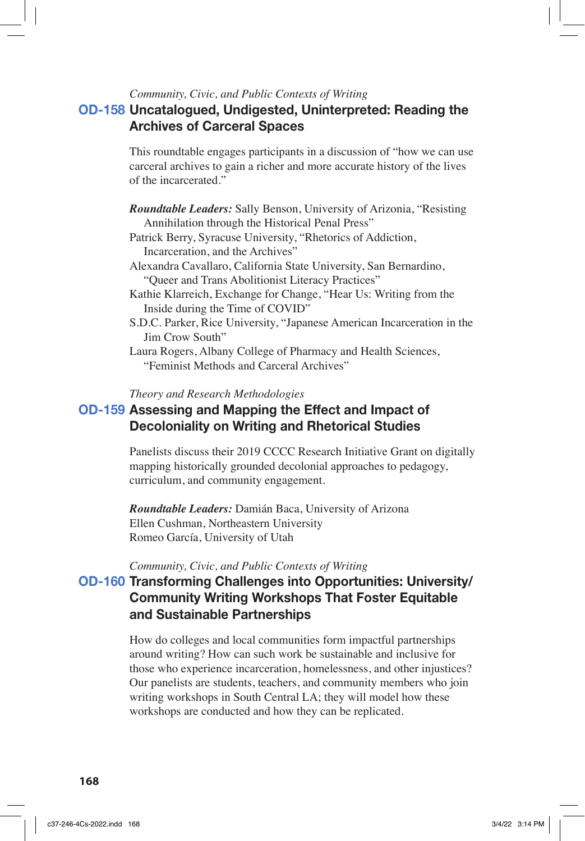*Community, Civic, and Public Contexts of Writing*

# **OD-158 Uncatalogued, Undigested, Uninterpreted: Reading the Archives of Carceral Spaces**

This roundtable engages participants in a discussion of "how we can use carceral archives to gain a richer and more accurate history of the lives of the incarcerated."

- *Roundtable Leaders:* Sally Benson, University of Arizonia, "Resisting Annihilation through the Historical Penal Press"
- Patrick Berry, Syracuse University, "Rhetorics of Addiction, Incarceration, and the Archives"
- Alexandra Cavallaro, California State University, San Bernardino, "Queer and Trans Abolitionist Literacy Practices"
- Kathie Klarreich, Exchange for Change, "Hear Us: Writing from the Inside during the Time of COVID"
- S.D.C. Parker, Rice University, "Japanese American Incarceration in the Jim Crow South"
- Laura Rogers, Albany College of Pharmacy and Health Sciences, "Feminist Methods and Carceral Archives"

*Theory and Research Methodologies*

# **OD-159 Assessing and Mapping the Effect and Impact of Decoloniality on Writing and Rhetorical Studies**

Panelists discuss their 2019 CCCC Research Initiative Grant on digitally mapping historically grounded decolonial approaches to pedagogy, curriculum, and community engagement.

*Roundtable Leaders:* Damián Baca, University of Arizona Ellen Cushman, Northeastern University Romeo García, University of Utah

*Community, Civic, and Public Contexts of Writing*

# **OD-160 Transforming Challenges into Opportunities: University/ Community Writing Workshops That Foster Equitable and Sustainable Partnerships**

How do colleges and local communities form impactful partnerships around writing? How can such work be sustainable and inclusive for those who experience incarceration, homelessness, and other injustices? Our panelists are students, teachers, and community members who join writing workshops in South Central LA; they will model how these workshops are conducted and how they can be replicated.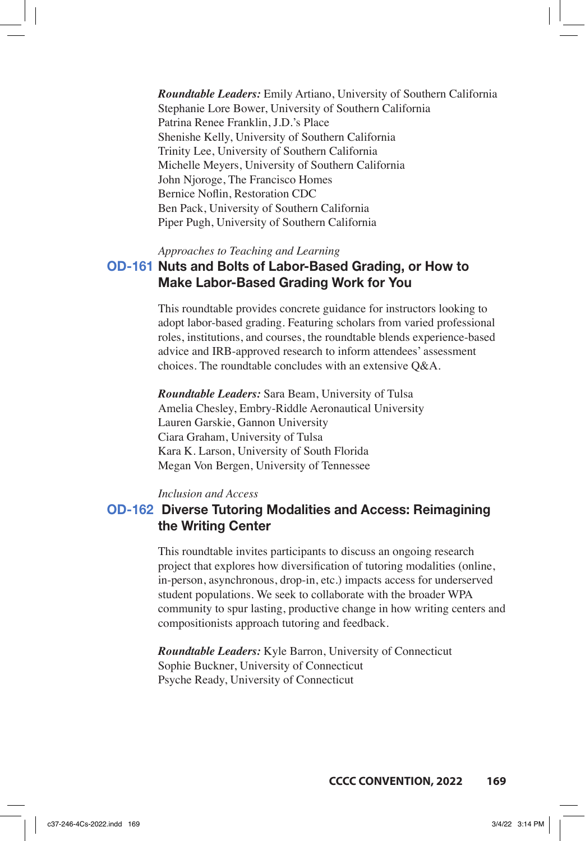*Roundtable Leaders:* Emily Artiano, University of Southern California Stephanie Lore Bower, University of Southern California Patrina Renee Franklin, J.D.'s Place Shenishe Kelly, University of Southern California Trinity Lee, University of Southern California Michelle Meyers, University of Southern California John Njoroge, The Francisco Homes Bernice Noflin, Restoration CDC Ben Pack, University of Southern California Piper Pugh, University of Southern California

*Approaches to Teaching and Learning*

## **OD-161 Nuts and Bolts of Labor-Based Grading, or How to Make Labor-Based Grading Work for You**

This roundtable provides concrete guidance for instructors looking to adopt labor-based grading. Featuring scholars from varied professional roles, institutions, and courses, the roundtable blends experience-based advice and IRB-approved research to inform attendees' assessment choices. The roundtable concludes with an extensive Q&A.

*Roundtable Leaders:* Sara Beam, University of Tulsa Amelia Chesley, Embry-Riddle Aeronautical University Lauren Garskie, Gannon University Ciara Graham, University of Tulsa Kara K. Larson, University of South Florida Megan Von Bergen, University of Tennessee

*Inclusion and Access*

## **OD-162 Diverse Tutoring Modalities and Access: Reimagining the Writing Center**

This roundtable invites participants to discuss an ongoing research project that explores how diversification of tutoring modalities (online, in-person, asynchronous, drop-in, etc.) impacts access for underserved student populations. We seek to collaborate with the broader WPA community to spur lasting, productive change in how writing centers and compositionists approach tutoring and feedback.

*Roundtable Leaders:* Kyle Barron, University of Connecticut Sophie Buckner, University of Connecticut Psyche Ready, University of Connecticut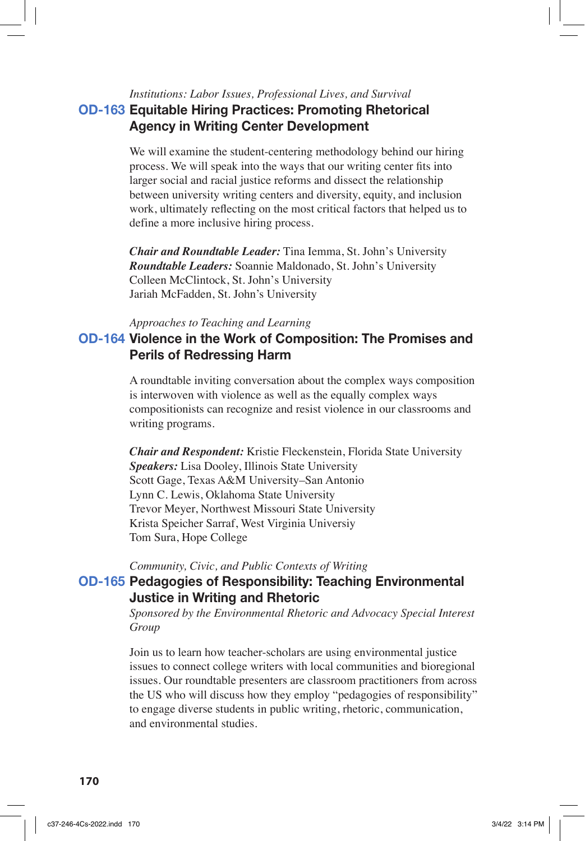# *Institutions: Labor Issues, Professional Lives, and Survival* **OD-163 Equitable Hiring Practices: Promoting Rhetorical Agency in Writing Center Development**

We will examine the student-centering methodology behind our hiring process. We will speak into the ways that our writing center fits into larger social and racial justice reforms and dissect the relationship between university writing centers and diversity, equity, and inclusion work, ultimately reflecting on the most critical factors that helped us to define a more inclusive hiring process.

*Chair and Roundtable Leader:* Tina Iemma, St. John's University *Roundtable Leaders:* Soannie Maldonado, St. John's University Colleen McClintock, St. John's University Jariah McFadden, St. John's University

#### *Approaches to Teaching and Learning*

## **OD-164 Violence in the Work of Composition: The Promises and Perils of Redressing Harm**

A roundtable inviting conversation about the complex ways composition is interwoven with violence as well as the equally complex ways compositionists can recognize and resist violence in our classrooms and writing programs.

*Chair and Respondent:* Kristie Fleckenstein, Florida State University *Speakers:* Lisa Dooley, Illinois State University Scott Gage, Texas A&M University–San Antonio Lynn C. Lewis, Oklahoma State University Trevor Meyer, Northwest Missouri State University Krista Speicher Sarraf, West Virginia Universiy Tom Sura, Hope College

*Community, Civic, and Public Contexts of Writing*

### **OD-165 Pedagogies of Responsibility: Teaching Environmental Justice in Writing and Rhetoric**

*Sponsored by the Environmental Rhetoric and Advocacy Special Interest Group*

Join us to learn how teacher-scholars are using environmental justice issues to connect college writers with local communities and bioregional issues. Our roundtable presenters are classroom practitioners from across the US who will discuss how they employ "pedagogies of responsibility" to engage diverse students in public writing, rhetoric, communication, and environmental studies.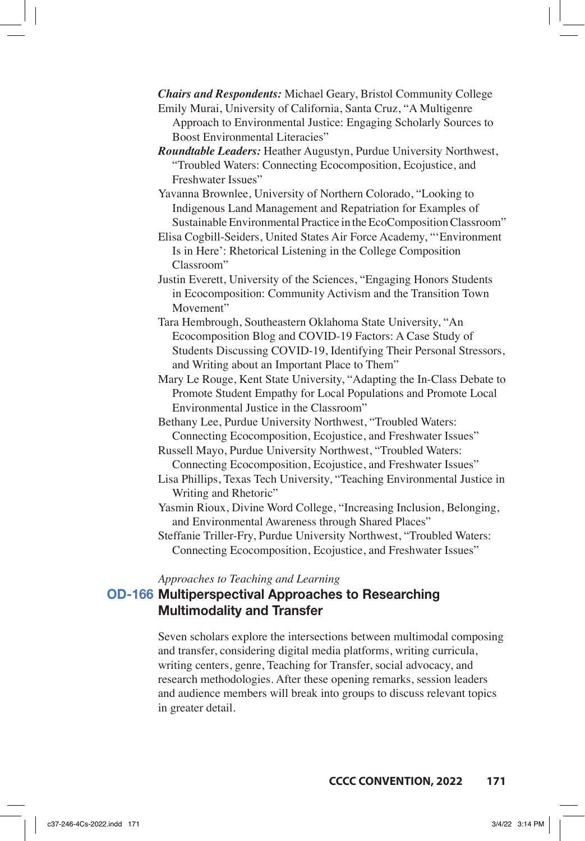*Chairs and Respondents:* Michael Geary, Bristol Community College Emily Murai, University of California, Santa Cruz, "A Multigenre

Approach to Environmental Justice: Engaging Scholarly Sources to Boost Environmental Literacies"

*Roundtable Leaders:* Heather Augustyn, Purdue University Northwest, "Troubled Waters: Connecting Ecocomposition, Ecojustice, and Freshwater Issues"

Yavanna Brownlee, University of Northern Colorado, "Looking to Indigenous Land Management and Repatriation for Examples of Sustainable Environmental Practice in the EcoComposition Classroom"

Elisa Cogbill-Seiders, United States Air Force Academy, "'Environment Is in Here': Rhetorical Listening in the College Composition Classroom"

Justin Everett, University of the Sciences, "Engaging Honors Students in Ecocomposition: Community Activism and the Transition Town Movement"

Tara Hembrough, Southeastern Oklahoma State University, "An Ecocomposition Blog and COVID-19 Factors: A Case Study of Students Discussing COVID-19, Identifying Their Personal Stressors, and Writing about an Important Place to Them"

Mary Le Rouge, Kent State University, "Adapting the In-Class Debate to Promote Student Empathy for Local Populations and Promote Local Environmental Justice in the Classroom"

Bethany Lee, Purdue University Northwest, "Troubled Waters: Connecting Ecocomposition, Ecojustice, and Freshwater Issues"

Russell Mayo, Purdue University Northwest, "Troubled Waters: Connecting Ecocomposition, Ecojustice, and Freshwater Issues"

Lisa Phillips, Texas Tech University, "Teaching Environmental Justice in Writing and Rhetoric"

Yasmin Rioux, Divine Word College, "Increasing Inclusion, Belonging, and Environmental Awareness through Shared Places"

Steffanie Triller-Fry, Purdue University Northwest, "Troubled Waters: Connecting Ecocomposition, Ecojustice, and Freshwater Issues"

*Approaches to Teaching and Learning*

# **OD-166 Multiperspectival Approaches to Researching Multimodality and Transfer**

Seven scholars explore the intersections between multimodal composing and transfer, considering digital media platforms, writing curricula, writing centers, genre, Teaching for Transfer, social advocacy, and research methodologies. After these opening remarks, session leaders and audience members will break into groups to discuss relevant topics in greater detail.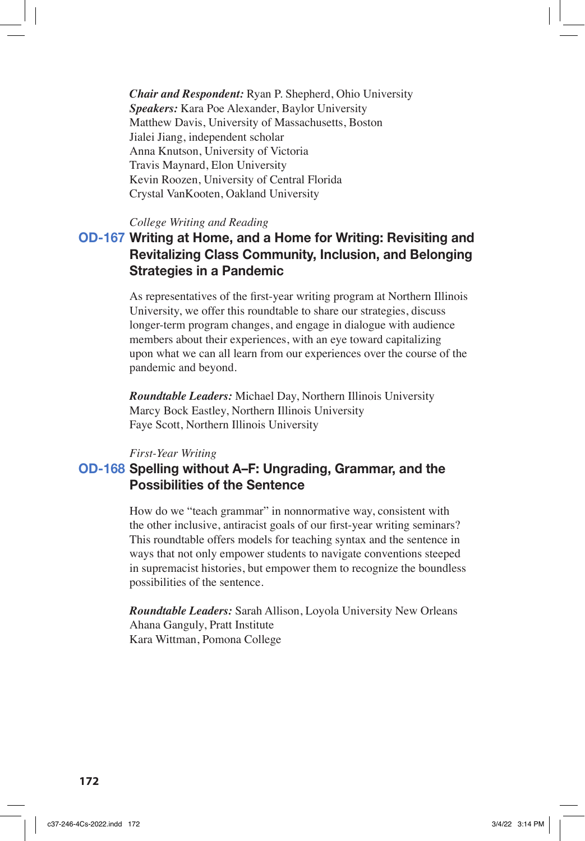*Chair and Respondent:* Ryan P. Shepherd, Ohio University *Speakers:* Kara Poe Alexander, Baylor University Matthew Davis, University of Massachusetts, Boston Jialei Jiang, independent scholar Anna Knutson, University of Victoria Travis Maynard, Elon University Kevin Roozen, University of Central Florida Crystal VanKooten, Oakland University

### *College Writing and Reading*

# **OD-167 Writing at Home, and a Home for Writing: Revisiting and Revitalizing Class Community, Inclusion, and Belonging Strategies in a Pandemic**

As representatives of the first-year writing program at Northern Illinois University, we offer this roundtable to share our strategies, discuss longer-term program changes, and engage in dialogue with audience members about their experiences, with an eye toward capitalizing upon what we can all learn from our experiences over the course of the pandemic and beyond.

*Roundtable Leaders:* Michael Day, Northern Illinois University Marcy Bock Eastley, Northern Illinois University Faye Scott, Northern Illinois University

#### *First-Year Writing*

## **OD-168 Spelling without A–F: Ungrading, Grammar, and the Possibilities of the Sentence**

How do we "teach grammar" in nonnormative way, consistent with the other inclusive, antiracist goals of our first-year writing seminars? This roundtable offers models for teaching syntax and the sentence in ways that not only empower students to navigate conventions steeped in supremacist histories, but empower them to recognize the boundless possibilities of the sentence.

*Roundtable Leaders:* Sarah Allison, Loyola University New Orleans Ahana Ganguly, Pratt Institute Kara Wittman, Pomona College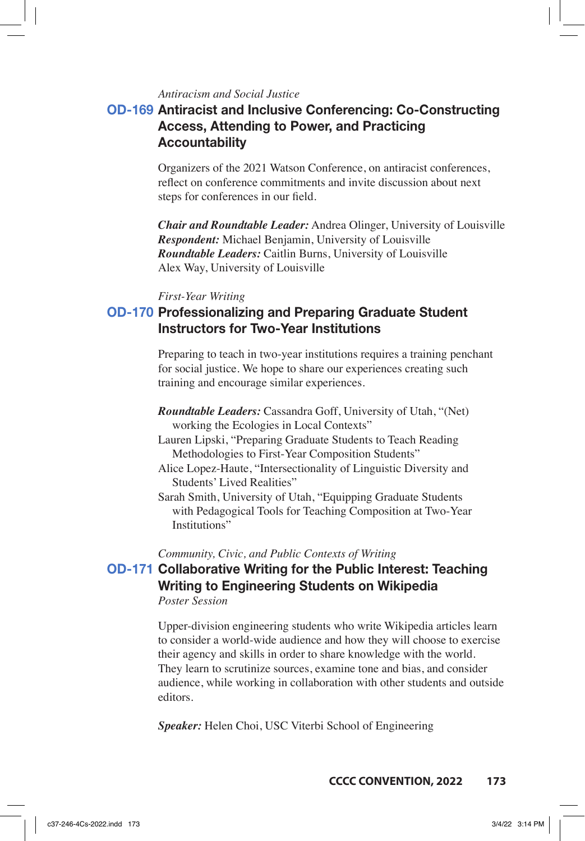### *Antiracism and Social Justice*

# **OD-169 Antiracist and Inclusive Conferencing: Co-Constructing Access, Attending to Power, and Practicing Accountability**

Organizers of the 2021 Watson Conference, on antiracist conferences, reflect on conference commitments and invite discussion about next steps for conferences in our field.

*Chair and Roundtable Leader:* Andrea Olinger, University of Louisville *Respondent:* Michael Benjamin, University of Louisville *Roundtable Leaders:* Caitlin Burns, University of Louisville Alex Way, University of Louisville

#### *First-Year Writing*

# **OD-170 Professionalizing and Preparing Graduate Student Instructors for Two-Year Institutions**

Preparing to teach in two-year institutions requires a training penchant for social justice. We hope to share our experiences creating such training and encourage similar experiences.

- *Roundtable Leaders:* Cassandra Goff, University of Utah, "(Net) working the Ecologies in Local Contexts"
- Lauren Lipski, "Preparing Graduate Students to Teach Reading Methodologies to First-Year Composition Students"
- Alice Lopez-Haute, "Intersectionality of Linguistic Diversity and Students' Lived Realities"
- Sarah Smith, University of Utah, "Equipping Graduate Students with Pedagogical Tools for Teaching Composition at Two-Year Institutions"

*Community, Civic, and Public Contexts of Writing*

# **OD-171 Collaborative Writing for the Public Interest: Teaching Writing to Engineering Students on Wikipedia**

### *Poster Session*

Upper-division engineering students who write Wikipedia articles learn to consider a world-wide audience and how they will choose to exercise their agency and skills in order to share knowledge with the world. They learn to scrutinize sources, examine tone and bias, and consider audience, while working in collaboration with other students and outside editors.

*Speaker:* Helen Choi, USC Viterbi School of Engineering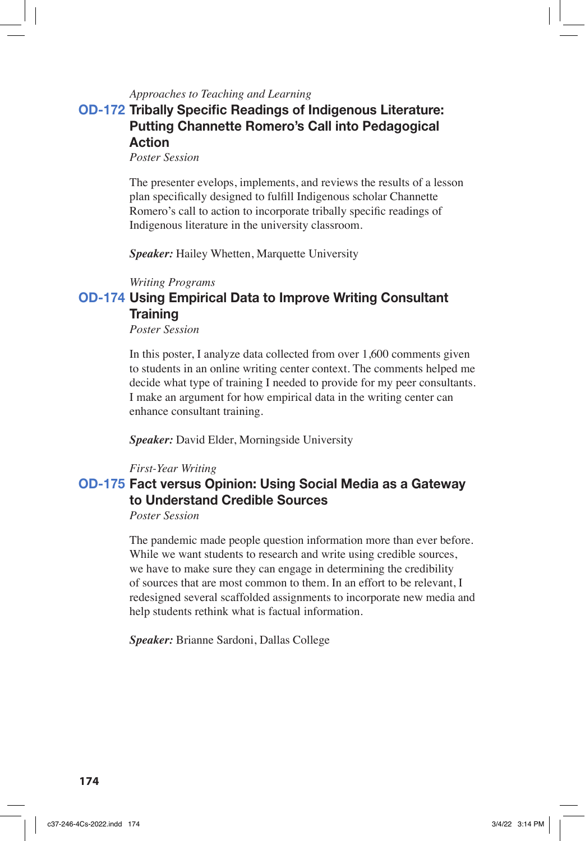### *Approaches to Teaching and Learning*

# **OD-172 Tribally Specific Readings of Indigenous Literature: Putting Channette Romero's Call into Pedagogical Action**

*Poster Session*

The presenter evelops, implements, and reviews the results of a lesson plan specifically designed to fulfill Indigenous scholar Channette Romero's call to action to incorporate tribally specific readings of Indigenous literature in the university classroom.

*Speaker:* Hailey Whetten, Marquette University

#### *Writing Programs*

# **OD-174 Using Empirical Data to Improve Writing Consultant Training**

*Poster Session*

In this poster, I analyze data collected from over 1,600 comments given to students in an online writing center context. The comments helped me decide what type of training I needed to provide for my peer consultants. I make an argument for how empirical data in the writing center can enhance consultant training.

*Speaker:* David Elder, Morningside University

#### *First-Year Writing*

# **OD-175 Fact versus Opinion: Using Social Media as a Gateway to Understand Credible Sources**

*Poster Session*

The pandemic made people question information more than ever before. While we want students to research and write using credible sources, we have to make sure they can engage in determining the credibility of sources that are most common to them. In an effort to be relevant, I redesigned several scaffolded assignments to incorporate new media and help students rethink what is factual information.

*Speaker:* Brianne Sardoni, Dallas College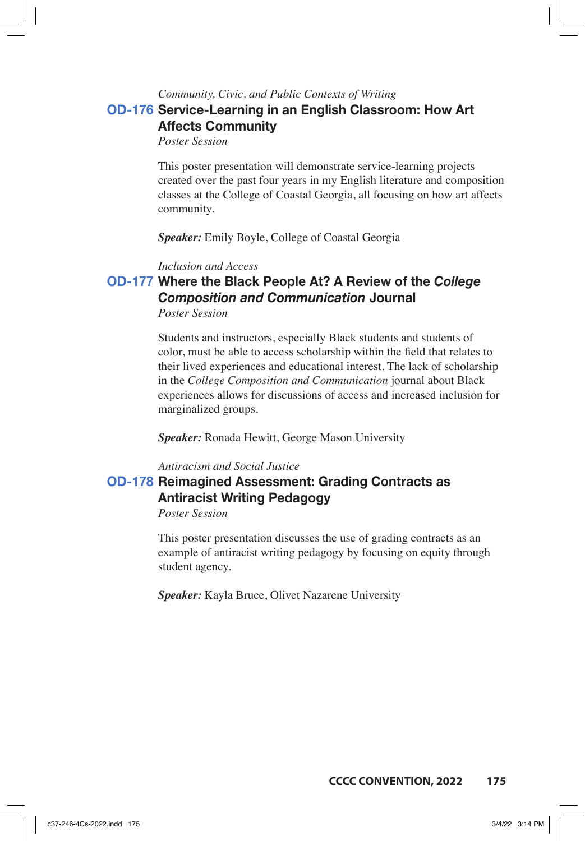# *Community, Civic, and Public Contexts of Writing* **OD-176 Service-Learning in an English Classroom: How Art Affects Community**

*Poster Session*

This poster presentation will demonstrate service-learning projects created over the past four years in my English literature and composition classes at the College of Coastal Georgia, all focusing on how art affects community.

*Speaker:* Emily Boyle, College of Coastal Georgia

*Inclusion and Access*

### **OD-177 Where the Black People At? A Review of the** *College Composition and Communication* **Journal** *Poster Session*

Students and instructors, especially Black students and students of color, must be able to access scholarship within the field that relates to their lived experiences and educational interest. The lack of scholarship in the *College Composition and Communication* journal about Black experiences allows for discussions of access and increased inclusion for marginalized groups.

*Speaker:* Ronada Hewitt, George Mason University

#### *Antiracism and Social Justice*

## **OD-178 Reimagined Assessment: Grading Contracts as Antiracist Writing Pedagogy**

*Poster Session*

This poster presentation discusses the use of grading contracts as an example of antiracist writing pedagogy by focusing on equity through student agency.

*Speaker:* Kayla Bruce, Olivet Nazarene University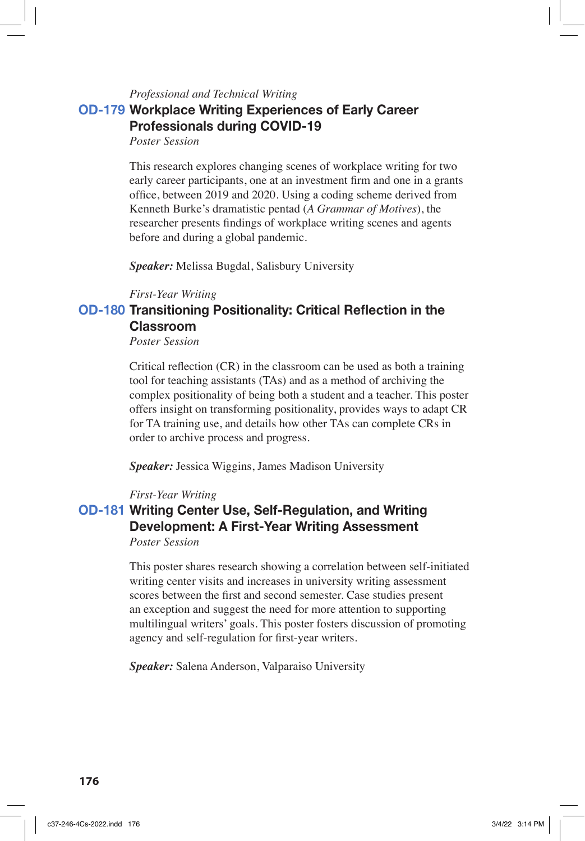# *Professional and Technical Writing* **OD-179 Workplace Writing Experiences of Early Career Professionals during COVID-19**

*Poster Session*

This research explores changing scenes of workplace writing for two early career participants, one at an investment firm and one in a grants office, between 2019 and 2020. Using a coding scheme derived from Kenneth Burke's dramatistic pentad (*A Grammar of Motives*), the researcher presents findings of workplace writing scenes and agents before and during a global pandemic.

*Speaker:* Melissa Bugdal, Salisbury University

*First-Year Writing*

## **OD-180 Transitioning Positionality: Critical Reflection in the Classroom**

*Poster Session*

Critical reflection (CR) in the classroom can be used as both a training tool for teaching assistants (TAs) and as a method of archiving the complex positionality of being both a student and a teacher. This poster offers insight on transforming positionality, provides ways to adapt CR for TA training use, and details how other TAs can complete CRs in order to archive process and progress.

*Speaker:* Jessica Wiggins, James Madison University

#### *First-Year Writing*

# **OD-181 Writing Center Use, Self-Regulation, and Writing Development: A First-Year Writing Assessment**

*Poster Session*

This poster shares research showing a correlation between self-initiated writing center visits and increases in university writing assessment scores between the first and second semester. Case studies present an exception and suggest the need for more attention to supporting multilingual writers' goals. This poster fosters discussion of promoting agency and self-regulation for first-year writers.

*Speaker:* Salena Anderson, Valparaiso University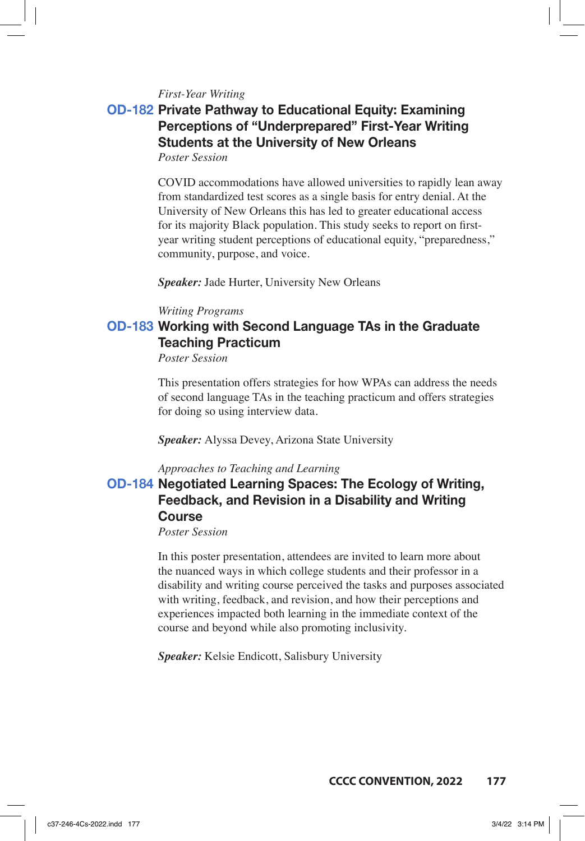*First-Year Writing*

# **OD-182 Private Pathway to Educational Equity: Examining Perceptions of "Underprepared" First-Year Writing Students at the University of New Orleans**

*Poster Session*

COVID accommodations have allowed universities to rapidly lean away from standardized test scores as a single basis for entry denial. At the University of New Orleans this has led to greater educational access for its majority Black population. This study seeks to report on firstyear writing student perceptions of educational equity, "preparedness," community, purpose, and voice.

*Speaker:* Jade Hurter, University New Orleans

#### *Writing Programs*

## **OD-183 Working with Second Language TAs in the Graduate Teaching Practicum**

*Poster Session*

This presentation offers strategies for how WPAs can address the needs of second language TAs in the teaching practicum and offers strategies for doing so using interview data.

*Speaker:* Alyssa Devey, Arizona State University

#### *Approaches to Teaching and Learning*

# **OD-184 Negotiated Learning Spaces: The Ecology of Writing, Feedback, and Revision in a Disability and Writing Course**

*Poster Session*

In this poster presentation, attendees are invited to learn more about the nuanced ways in which college students and their professor in a disability and writing course perceived the tasks and purposes associated with writing, feedback, and revision, and how their perceptions and experiences impacted both learning in the immediate context of the course and beyond while also promoting inclusivity.

*Speaker:* Kelsie Endicott, Salisbury University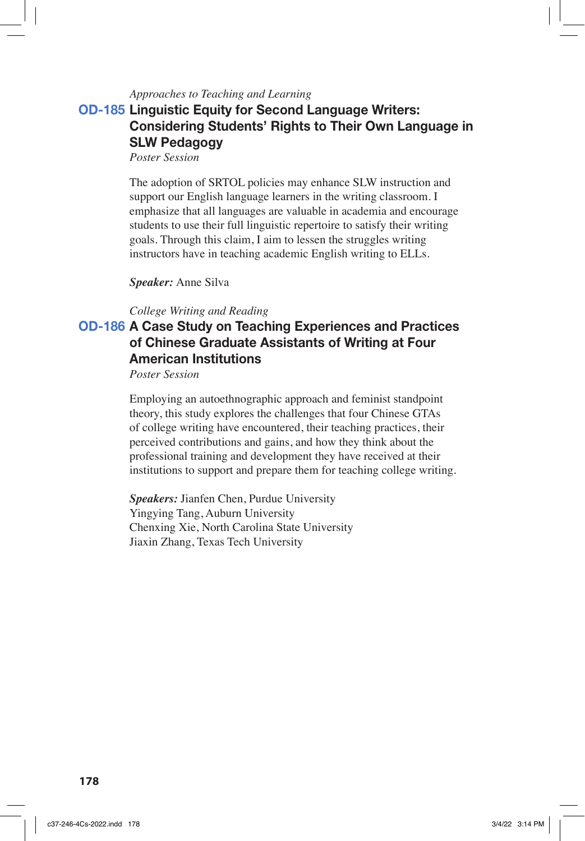### *Approaches to Teaching and Learning*

# **OD-185 Linguistic Equity for Second Language Writers: Considering Students' Rights to Their Own Language in SLW Pedagogy**

*Poster Session*

The adoption of SRTOL policies may enhance SLW instruction and support our English language learners in the writing classroom. I emphasize that all languages are valuable in academia and encourage students to use their full linguistic repertoire to satisfy their writing goals. Through this claim, I aim to lessen the struggles writing instructors have in teaching academic English writing to ELLs.

#### *Speaker:* Anne Silva

#### *College Writing and Reading*

# **OD-186 A Case Study on Teaching Experiences and Practices of Chinese Graduate Assistants of Writing at Four American Institutions**

*Poster Session*

Employing an autoethnographic approach and feminist standpoint theory, this study explores the challenges that four Chinese GTAs of college writing have encountered, their teaching practices, their perceived contributions and gains, and how they think about the professional training and development they have received at their institutions to support and prepare them for teaching college writing.

*Speakers:* Jianfen Chen, Purdue University Yingying Tang, Auburn University Chenxing Xie, North Carolina State University Jiaxin Zhang, Texas Tech University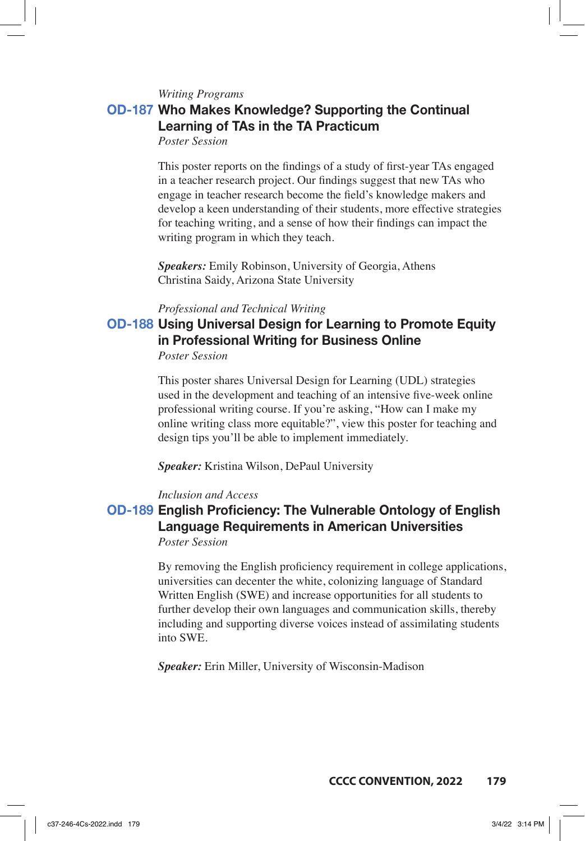*Writing Programs*

## **OD-187 Who Makes Knowledge? Supporting the Continual Learning of TAs in the TA Practicum**

*Poster Session*

This poster reports on the findings of a study of first-year TAs engaged in a teacher research project. Our findings suggest that new TAs who engage in teacher research become the field's knowledge makers and develop a keen understanding of their students, more effective strategies for teaching writing, and a sense of how their findings can impact the writing program in which they teach.

*Speakers:* Emily Robinson, University of Georgia, Athens Christina Saidy, Arizona State University

#### *Professional and Technical Writing*

### **OD-188 Using Universal Design for Learning to Promote Equity in Professional Writing for Business Online** *Poster Session*

This poster shares Universal Design for Learning (UDL) strategies used in the development and teaching of an intensive five-week online professional writing course. If you're asking, "How can I make my online writing class more equitable?", view this poster for teaching and design tips you'll be able to implement immediately.

*Speaker:* Kristina Wilson, DePaul University

#### *Inclusion and Access*

# **OD-189 English Proficiency: The Vulnerable Ontology of English Language Requirements in American Universities**

*Poster Session*

By removing the English proficiency requirement in college applications, universities can decenter the white, colonizing language of Standard Written English (SWE) and increase opportunities for all students to further develop their own languages and communication skills, thereby including and supporting diverse voices instead of assimilating students into SWE.

*Speaker:* Erin Miller, University of Wisconsin-Madison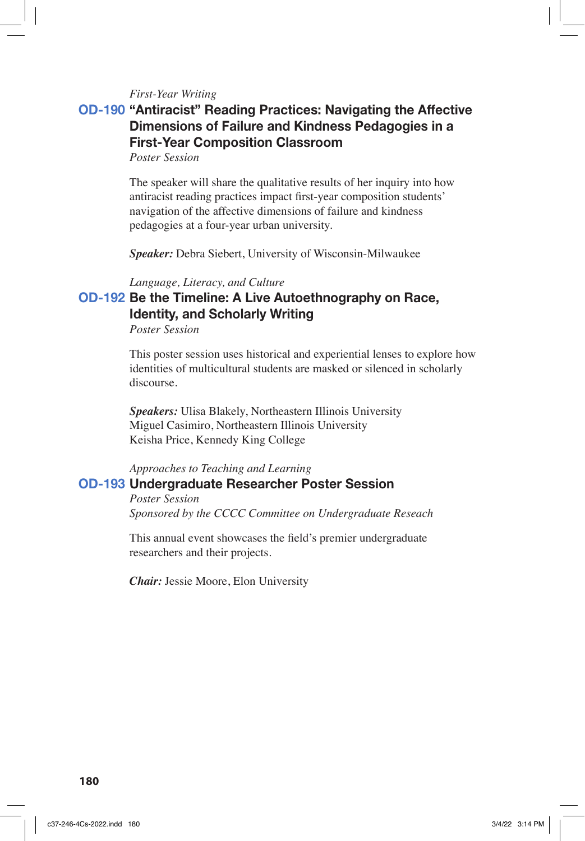#### *First-Year Writing*

## **OD-190 "Antiracist" Reading Practices: Navigating the Affective Dimensions of Failure and Kindness Pedagogies in a First-Year Composition Classroom**

*Poster Session*

The speaker will share the qualitative results of her inquiry into how antiracist reading practices impact first-year composition students' navigation of the affective dimensions of failure and kindness pedagogies at a four-year urban university.

*Speaker:* Debra Siebert, University of Wisconsin-Milwaukee

#### *Language, Literacy, and Culture*

## **OD-192 Be the Timeline: A Live Autoethnography on Race, Identity, and Scholarly Writing**

*Poster Session*

This poster session uses historical and experiential lenses to explore how identities of multicultural students are masked or silenced in scholarly discourse.

*Speakers:* Ulisa Blakely, Northeastern Illinois University Miguel Casimiro, Northeastern Illinois University Keisha Price, Kennedy King College

## *Approaches to Teaching and Learning* **OD-193 Undergraduate Researcher Poster Session**

*Poster Session Sponsored by the CCCC Committee on Undergraduate Reseach*

This annual event showcases the field's premier undergraduate researchers and their projects.

*Chair:* Jessie Moore, Elon University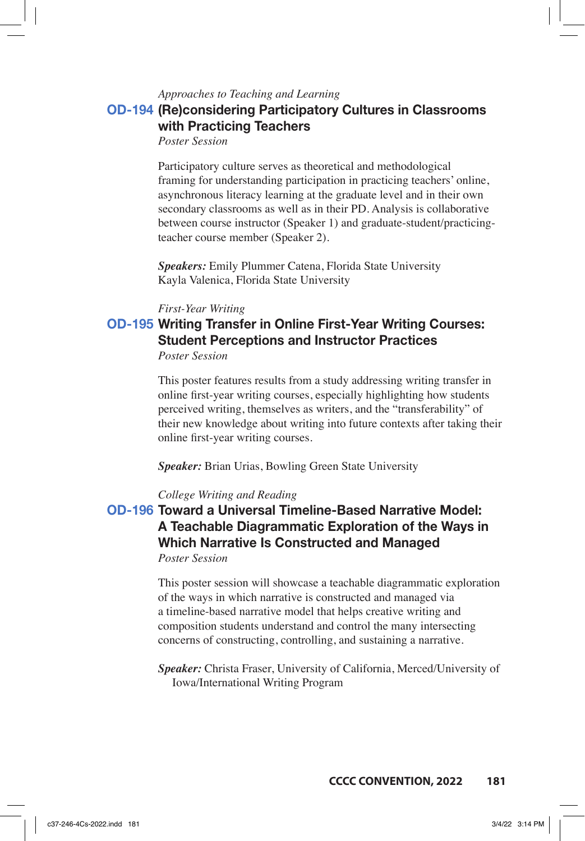#### *Approaches to Teaching and Learning*

## **OD-194 (Re)considering Participatory Cultures in Classrooms with Practicing Teachers**

*Poster Session*

Participatory culture serves as theoretical and methodological framing for understanding participation in practicing teachers' online, asynchronous literacy learning at the graduate level and in their own secondary classrooms as well as in their PD. Analysis is collaborative between course instructor (Speaker 1) and graduate-student/practicingteacher course member (Speaker 2).

*Speakers:* Emily Plummer Catena, Florida State University Kayla Valenica, Florida State University

### *First-Year Writing*

# **OD-195 Writing Transfer in Online First-Year Writing Courses: Student Perceptions and Instructor Practices**

*Poster Session*

This poster features results from a study addressing writing transfer in online first-year writing courses, especially highlighting how students perceived writing, themselves as writers, and the "transferability" of their new knowledge about writing into future contexts after taking their online first-year writing courses.

*Speaker:* Brian Urias, Bowling Green State University

### *College Writing and Reading*

## **OD-196 Toward a Universal Timeline-Based Narrative Model: A Teachable Diagrammatic Exploration of the Ways in Which Narrative Is Constructed and Managed** *Poster Session*

This poster session will showcase a teachable diagrammatic exploration of the ways in which narrative is constructed and managed via a timeline-based narrative model that helps creative writing and composition students understand and control the many intersecting concerns of constructing, controlling, and sustaining a narrative.

*Speaker:* Christa Fraser, University of California, Merced/University of Iowa/International Writing Program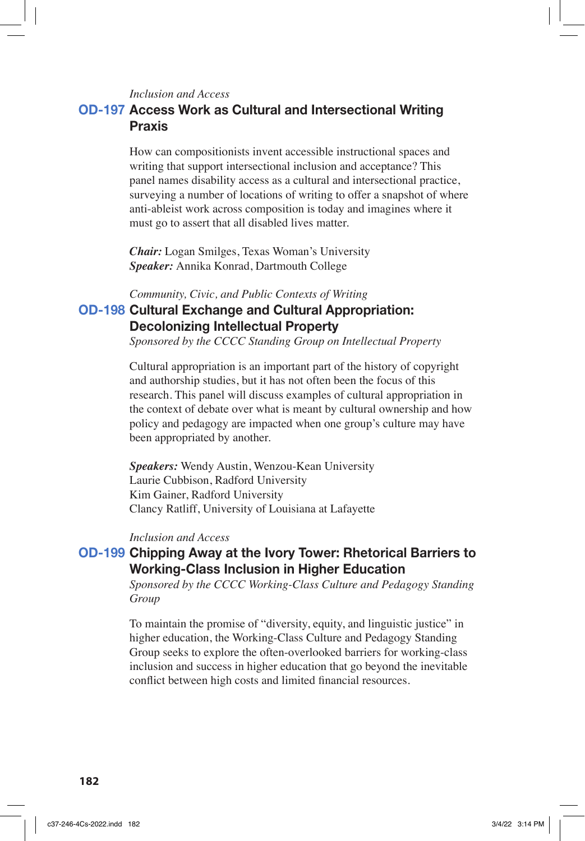### *Inclusion and Access*

## **OD-197 Access Work as Cultural and Intersectional Writing Praxis**

How can compositionists invent accessible instructional spaces and writing that support intersectional inclusion and acceptance? This panel names disability access as a cultural and intersectional practice, surveying a number of locations of writing to offer a snapshot of where anti-ableist work across composition is today and imagines where it must go to assert that all disabled lives matter.

*Chair:* Logan Smilges, Texas Woman's University *Speaker:* Annika Konrad, Dartmouth College

#### *Community, Civic, and Public Contexts of Writing*

## **OD-198 Cultural Exchange and Cultural Appropriation: Decolonizing Intellectual Property**

*Sponsored by the CCCC Standing Group on Intellectual Property*

Cultural appropriation is an important part of the history of copyright and authorship studies, but it has not often been the focus of this research. This panel will discuss examples of cultural appropriation in the context of debate over what is meant by cultural ownership and how policy and pedagogy are impacted when one group's culture may have been appropriated by another.

*Speakers:* Wendy Austin, Wenzou-Kean University Laurie Cubbison, Radford University Kim Gainer, Radford University Clancy Ratliff, University of Louisiana at Lafayette

### *Inclusion and Access*

## **OD-199 Chipping Away at the Ivory Tower: Rhetorical Barriers to Working-Class Inclusion in Higher Education**

*Sponsored by the CCCC Working-Class Culture and Pedagogy Standing Group*

To maintain the promise of "diversity, equity, and linguistic justice" in higher education, the Working-Class Culture and Pedagogy Standing Group seeks to explore the often-overlooked barriers for working-class inclusion and success in higher education that go beyond the inevitable conflict between high costs and limited financial resources.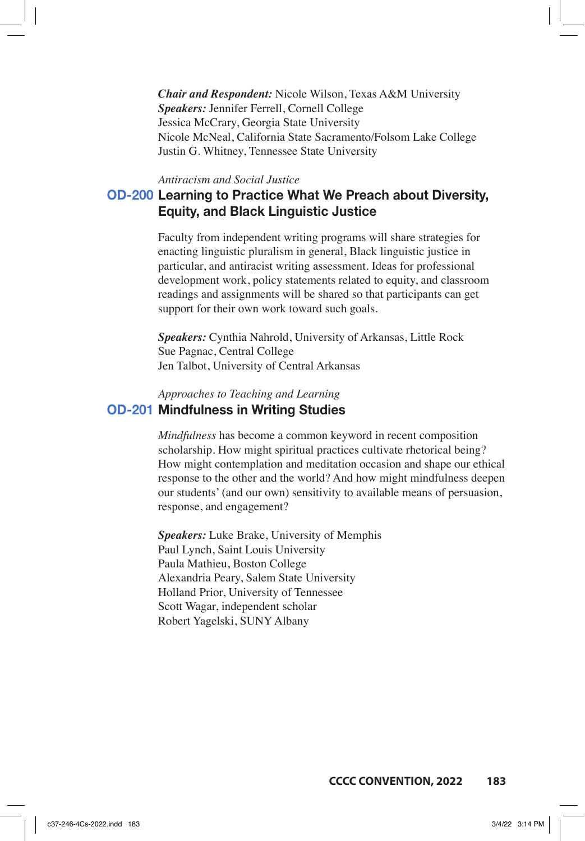*Chair and Respondent:* Nicole Wilson, Texas A&M University *Speakers:* Jennifer Ferrell, Cornell College Jessica McCrary, Georgia State University Nicole McNeal, California State Sacramento/Folsom Lake College Justin G. Whitney, Tennessee State University

#### *Antiracism and Social Justice*

## **OD-200 Learning to Practice What We Preach about Diversity, Equity, and Black Linguistic Justice**

Faculty from independent writing programs will share strategies for enacting linguistic pluralism in general, Black linguistic justice in particular, and antiracist writing assessment. Ideas for professional development work, policy statements related to equity, and classroom readings and assignments will be shared so that participants can get support for their own work toward such goals.

*Speakers:* Cynthia Nahrold, University of Arkansas, Little Rock Sue Pagnac, Central College Jen Talbot, University of Central Arkansas

### *Approaches to Teaching and Learning* **OD-201 Mindfulness in Writing Studies**

*Mindfulness* has become a common keyword in recent composition scholarship. How might spiritual practices cultivate rhetorical being? How might contemplation and meditation occasion and shape our ethical response to the other and the world? And how might mindfulness deepen our students' (and our own) sensitivity to available means of persuasion, response, and engagement?

*Speakers:* Luke Brake, University of Memphis Paul Lynch, Saint Louis University Paula Mathieu, Boston College Alexandria Peary, Salem State University Holland Prior, University of Tennessee Scott Wagar, independent scholar Robert Yagelski, SUNY Albany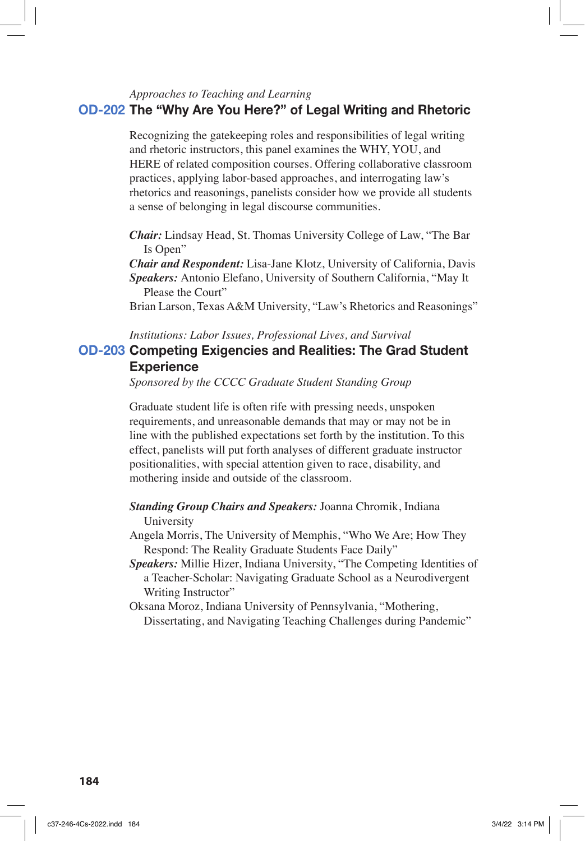## *Approaches to Teaching and Learning* **OD-202 The "Why Are You Here?" of Legal Writing and Rhetoric**

Recognizing the gatekeeping roles and responsibilities of legal writing and rhetoric instructors, this panel examines the WHY, YOU, and HERE of related composition courses. Offering collaborative classroom practices, applying labor-based approaches, and interrogating law's rhetorics and reasonings, panelists consider how we provide all students a sense of belonging in legal discourse communities.

*Chair:* Lindsay Head, St. Thomas University College of Law, "The Bar Is Open"

*Chair and Respondent:* Lisa-Jane Klotz, University of California, Davis *Speakers:* Antonio Elefano, University of Southern California, "May It Please the Court"

Brian Larson, Texas A&M University, "Law's Rhetorics and Reasonings"

#### *Institutions: Labor Issues, Professional Lives, and Survival*

## **OD-203 Competing Exigencies and Realities: The Grad Student Experience**

*Sponsored by the CCCC Graduate Student Standing Group*

Graduate student life is often rife with pressing needs, unspoken requirements, and unreasonable demands that may or may not be in line with the published expectations set forth by the institution. To this effect, panelists will put forth analyses of different graduate instructor positionalities, with special attention given to race, disability, and mothering inside and outside of the classroom.

*Standing Group Chairs and Speakers:* Joanna Chromik, Indiana University

Angela Morris, The University of Memphis, "Who We Are; How They Respond: The Reality Graduate Students Face Daily"

*Speakers:* Millie Hizer, Indiana University, "The Competing Identities of a Teacher-Scholar: Navigating Graduate School as a Neurodivergent Writing Instructor"

Oksana Moroz, Indiana University of Pennsylvania, "Mothering, Dissertating, and Navigating Teaching Challenges during Pandemic"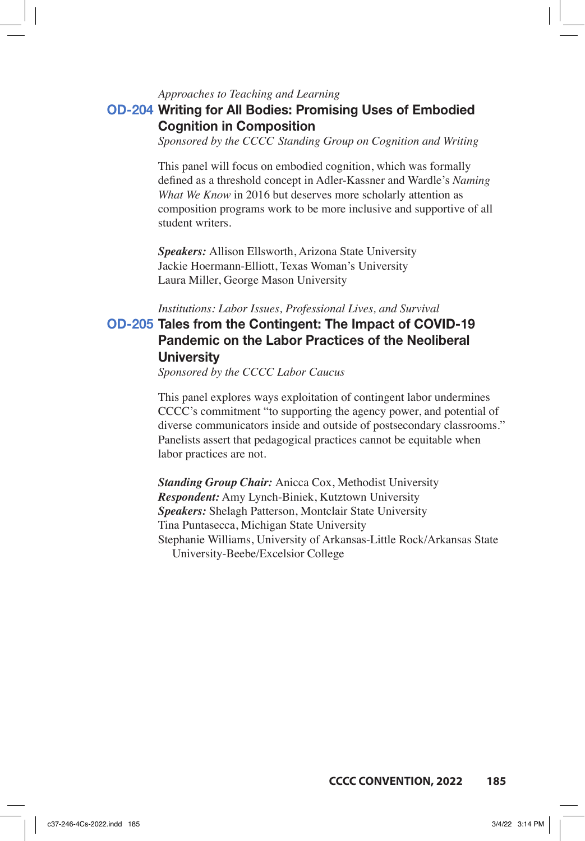#### *Approaches to Teaching and Learning*

## **OD-204 Writing for All Bodies: Promising Uses of Embodied Cognition in Composition**

*Sponsored by the CCCC Standing Group on Cognition and Writing*

This panel will focus on embodied cognition, which was formally defined as a threshold concept in Adler-Kassner and Wardle's *Naming What We Know* in 2016 but deserves more scholarly attention as composition programs work to be more inclusive and supportive of all student writers.

*Speakers:* Allison Ellsworth, Arizona State University Jackie Hoermann-Elliott, Texas Woman's University Laura Miller, George Mason University

#### *Institutions: Labor Issues, Professional Lives, and Survival*

## **OD-205 Tales from the Contingent: The Impact of COVID-19 Pandemic on the Labor Practices of the Neoliberal University**

*Sponsored by the CCCC Labor Caucus*

This panel explores ways exploitation of contingent labor undermines CCCC's commitment "to supporting the agency power, and potential of diverse communicators inside and outside of postsecondary classrooms." Panelists assert that pedagogical practices cannot be equitable when labor practices are not.

*Standing Group Chair:* Anicca Cox, Methodist University *Respondent:* Amy Lynch-Biniek, Kutztown University *Speakers:* Shelagh Patterson, Montclair State University Tina Puntasecca, Michigan State University Stephanie Williams, University of Arkansas-Little Rock/Arkansas State University-Beebe/Excelsior College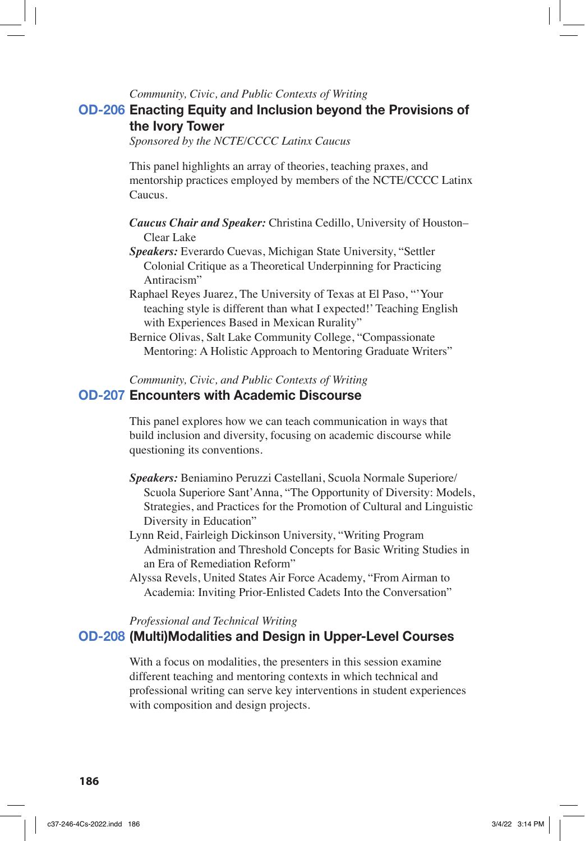#### *Community, Civic, and Public Contexts of Writing*

## **OD-206 Enacting Equity and Inclusion beyond the Provisions of the Ivory Tower**

*Sponsored by the NCTE/CCCC Latinx Caucus*

This panel highlights an array of theories, teaching praxes, and mentorship practices employed by members of the NCTE/CCCC Latinx Caucus.

- *Caucus Chair and Speaker:* Christina Cedillo, University of Houston– Clear Lake
- *Speakers:* Everardo Cuevas, Michigan State University, "Settler Colonial Critique as a Theoretical Underpinning for Practicing Antiracism"
- Raphael Reyes Juarez, The University of Texas at El Paso, "'Your teaching style is different than what I expected!' Teaching English with Experiences Based in Mexican Rurality"
- Bernice Olivas, Salt Lake Community College, "Compassionate Mentoring: A Holistic Approach to Mentoring Graduate Writers"

### *Community, Civic, and Public Contexts of Writing* **OD-207 Encounters with Academic Discourse**

This panel explores how we can teach communication in ways that build inclusion and diversity, focusing on academic discourse while questioning its conventions.

- *Speakers:* Beniamino Peruzzi Castellani, Scuola Normale Superiore/ Scuola Superiore Sant'Anna, "The Opportunity of Diversity: Models, Strategies, and Practices for the Promotion of Cultural and Linguistic Diversity in Education"
- Lynn Reid, Fairleigh Dickinson University, "Writing Program Administration and Threshold Concepts for Basic Writing Studies in an Era of Remediation Reform"
- Alyssa Revels, United States Air Force Academy, "From Airman to Academia: Inviting Prior-Enlisted Cadets Into the Conversation"

#### *Professional and Technical Writing*

### **OD-208 (Multi)Modalities and Design in Upper-Level Courses**

With a focus on modalities, the presenters in this session examine different teaching and mentoring contexts in which technical and professional writing can serve key interventions in student experiences with composition and design projects.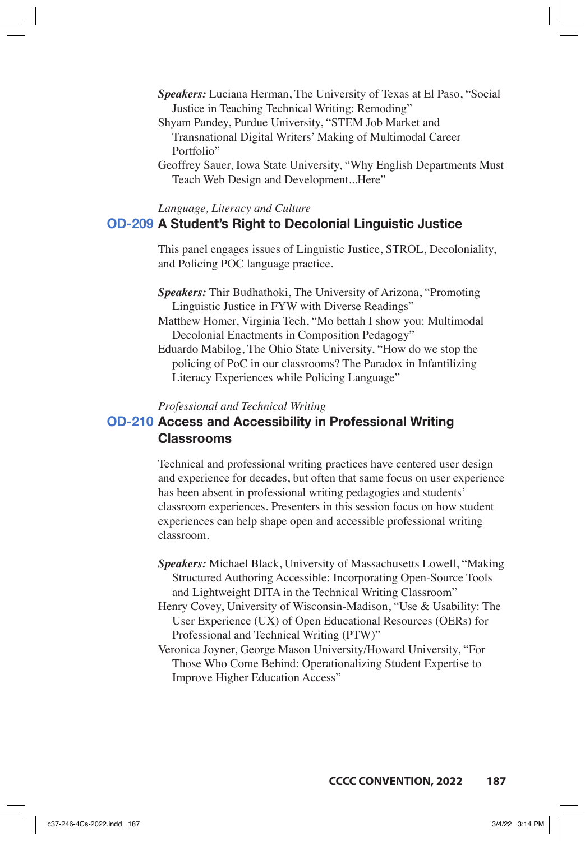- *Speakers:* Luciana Herman, The University of Texas at El Paso, "Social Justice in Teaching Technical Writing: Remoding"
- Shyam Pandey, Purdue University, "STEM Job Market and Transnational Digital Writers' Making of Multimodal Career Portfolio"
- Geoffrey Sauer, Iowa State University, "Why English Departments Must Teach Web Design and Development...Here"

*Language, Literacy and Culture*

### **OD-209 A Student's Right to Decolonial Linguistic Justice**

This panel engages issues of Linguistic Justice, STROL, Decoloniality, and Policing POC language practice.

- *Speakers:* Thir Budhathoki, The University of Arizona, "Promoting Linguistic Justice in FYW with Diverse Readings"
- Matthew Homer, Virginia Tech, "Mo bettah I show you: Multimodal Decolonial Enactments in Composition Pedagogy"

Eduardo Mabilog, The Ohio State University, "How do we stop the policing of PoC in our classrooms? The Paradox in Infantilizing Literacy Experiences while Policing Language"

#### *Professional and Technical Writing*

## **OD-210 Access and Accessibility in Professional Writing Classrooms**

Technical and professional writing practices have centered user design and experience for decades, but often that same focus on user experience has been absent in professional writing pedagogies and students' classroom experiences. Presenters in this session focus on how student experiences can help shape open and accessible professional writing classroom.

- *Speakers:* Michael Black, University of Massachusetts Lowell, "Making Structured Authoring Accessible: Incorporating Open-Source Tools and Lightweight DITA in the Technical Writing Classroom"
- Henry Covey, University of Wisconsin-Madison, "Use & Usability: The User Experience (UX) of Open Educational Resources (OERs) for Professional and Technical Writing (PTW)"
- Veronica Joyner, George Mason University/Howard University, "For Those Who Come Behind: Operationalizing Student Expertise to Improve Higher Education Access"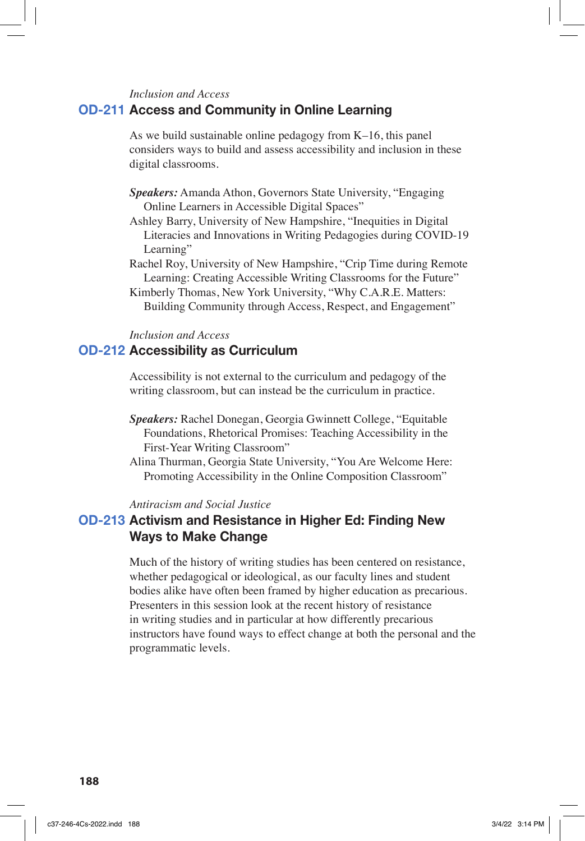#### *Inclusion and Access*

### **OD-211 Access and Community in Online Learning**

As we build sustainable online pedagogy from K–16, this panel considers ways to build and assess accessibility and inclusion in these digital classrooms.

- *Speakers:* Amanda Athon, Governors State University, "Engaging Online Learners in Accessible Digital Spaces"
- Ashley Barry, University of New Hampshire, "Inequities in Digital Literacies and Innovations in Writing Pedagogies during COVID-19 Learning"
- Rachel Roy, University of New Hampshire, "Crip Time during Remote Learning: Creating Accessible Writing Classrooms for the Future"
- Kimberly Thomas, New York University, "Why C.A.R.E. Matters: Building Community through Access, Respect, and Engagement"

#### *Inclusion and Access*

### **OD-212 Accessibility as Curriculum**

Accessibility is not external to the curriculum and pedagogy of the writing classroom, but can instead be the curriculum in practice.

- *Speakers:* Rachel Donegan, Georgia Gwinnett College, "Equitable Foundations, Rhetorical Promises: Teaching Accessibility in the First-Year Writing Classroom"
- Alina Thurman, Georgia State University, "You Are Welcome Here: Promoting Accessibility in the Online Composition Classroom"

*Antiracism and Social Justice*

## **OD-213 Activism and Resistance in Higher Ed: Finding New Ways to Make Change**

Much of the history of writing studies has been centered on resistance, whether pedagogical or ideological, as our faculty lines and student bodies alike have often been framed by higher education as precarious. Presenters in this session look at the recent history of resistance in writing studies and in particular at how differently precarious instructors have found ways to effect change at both the personal and the programmatic levels.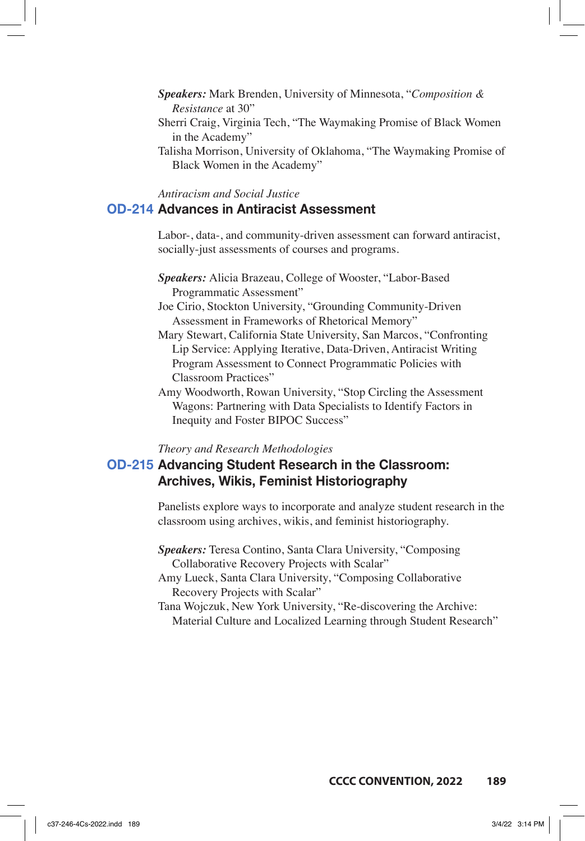- *Speakers:* Mark Brenden, University of Minnesota, "*Composition & Resistance* at 30"
- Sherri Craig, Virginia Tech, "The Waymaking Promise of Black Women in the Academy"
- Talisha Morrison, University of Oklahoma, "The Waymaking Promise of Black Women in the Academy"

*Antiracism and Social Justice*

### **OD-214 Advances in Antiracist Assessment**

Labor-, data-, and community-driven assessment can forward antiracist, socially-just assessments of courses and programs.

- *Speakers:* Alicia Brazeau, College of Wooster, "Labor-Based Programmatic Assessment"
- Joe Cirio, Stockton University, "Grounding Community-Driven Assessment in Frameworks of Rhetorical Memory"
- Mary Stewart, California State University, San Marcos, "Confronting Lip Service: Applying Iterative, Data-Driven, Antiracist Writing Program Assessment to Connect Programmatic Policies with Classroom Practices"
- Amy Woodworth, Rowan University, "Stop Circling the Assessment Wagons: Partnering with Data Specialists to Identify Factors in Inequity and Foster BIPOC Success"

### *Theory and Research Methodologies*

## **OD-215 Advancing Student Research in the Classroom: Archives, Wikis, Feminist Historiography**

Panelists explore ways to incorporate and analyze student research in the classroom using archives, wikis, and feminist historiography.

- *Speakers:* Teresa Contino, Santa Clara University, "Composing Collaborative Recovery Projects with Scalar"
- Amy Lueck, Santa Clara University, "Composing Collaborative Recovery Projects with Scalar"
- Tana Wojczuk, New York University, "Re-discovering the Archive: Material Culture and Localized Learning through Student Research"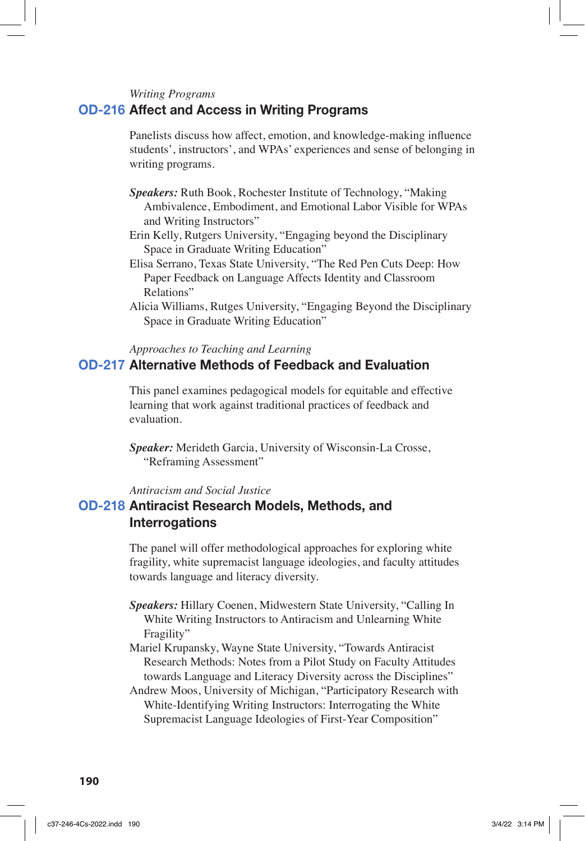#### *Writing Programs*

### **OD-216 Affect and Access in Writing Programs**

Panelists discuss how affect, emotion, and knowledge-making influence students', instructors', and WPAs' experiences and sense of belonging in writing programs.

- *Speakers:* Ruth Book, Rochester Institute of Technology, "Making Ambivalence, Embodiment, and Emotional Labor Visible for WPAs and Writing Instructors"
- Erin Kelly, Rutgers University, "Engaging beyond the Disciplinary Space in Graduate Writing Education"
- Elisa Serrano, Texas State University, "The Red Pen Cuts Deep: How Paper Feedback on Language Affects Identity and Classroom Relations"
- Alicia Williams, Rutges University, "Engaging Beyond the Disciplinary Space in Graduate Writing Education"

*Approaches to Teaching and Learning*

## **OD-217 Alternative Methods of Feedback and Evaluation**

This panel examines pedagogical models for equitable and effective learning that work against traditional practices of feedback and evaluation.

*Speaker:* Merideth Garcia, University of Wisconsin-La Crosse, "Reframing Assessment"

*Antiracism and Social Justice*

## **OD-218 Antiracist Research Models, Methods, and Interrogations**

The panel will offer methodological approaches for exploring white fragility, white supremacist language ideologies, and faculty attitudes towards language and literacy diversity.

- *Speakers:* Hillary Coenen, Midwestern State University, "Calling In White Writing Instructors to Antiracism and Unlearning White Fragility"
- Mariel Krupansky, Wayne State University, "Towards Antiracist Research Methods: Notes from a Pilot Study on Faculty Attitudes towards Language and Literacy Diversity across the Disciplines"

Andrew Moos, University of Michigan, "Participatory Research with White-Identifying Writing Instructors: Interrogating the White Supremacist Language Ideologies of First-Year Composition"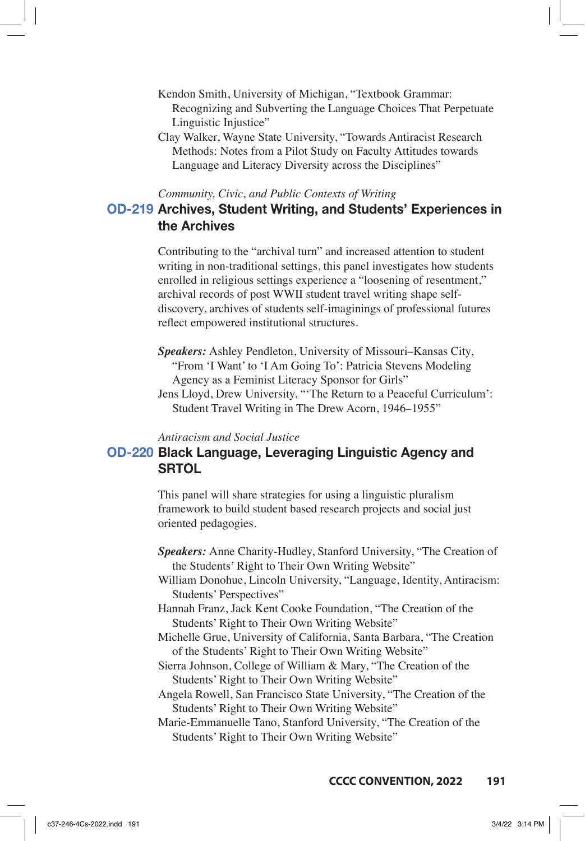- Kendon Smith, University of Michigan, "Textbook Grammar: Recognizing and Subverting the Language Choices That Perpetuate Linguistic Injustice"
- Clay Walker, Wayne State University, "Towards Antiracist Research Methods: Notes from a Pilot Study on Faculty Attitudes towards Language and Literacy Diversity across the Disciplines"

#### *Community, Civic, and Public Contexts of Writing*

## **OD-219 Archives, Student Writing, and Students' Experiences in the Archives**

Contributing to the "archival turn" and increased attention to student writing in non-traditional settings, this panel investigates how students enrolled in religious settings experience a "loosening of resentment," archival records of post WWII student travel writing shape selfdiscovery, archives of students self-imaginings of professional futures reflect empowered institutional structures.

- *Speakers:* Ashley Pendleton, University of Missouri–Kansas City, "From 'I Want' to 'I Am Going To': Patricia Stevens Modeling Agency as a Feminist Literacy Sponsor for Girls"
- Jens Lloyd, Drew University, "'The Return to a Peaceful Curriculum': Student Travel Writing in The Drew Acorn, 1946–1955"

*Antiracism and Social Justice*

## **OD-220 Black Language, Leveraging Linguistic Agency and SRTOL**

This panel will share strategies for using a linguistic pluralism framework to build student based research projects and social just oriented pedagogies.

- *Speakers:* Anne Charity-Hudley, Stanford University, "The Creation of the Students' Right to Their Own Writing Website"
- William Donohue, Lincoln University, "Language, Identity, Antiracism: Students' Perspectives"
- Hannah Franz, Jack Kent Cooke Foundation, "The Creation of the Students' Right to Their Own Writing Website"
- Michelle Grue, University of California, Santa Barbara, "The Creation of the Students' Right to Their Own Writing Website"
- Sierra Johnson, College of William & Mary, "The Creation of the Students' Right to Their Own Writing Website"
- Angela Rowell, San Francisco State University, "The Creation of the Students' Right to Their Own Writing Website"
- Marie-Emmanuelle Tano, Stanford University, "The Creation of the Students' Right to Their Own Writing Website"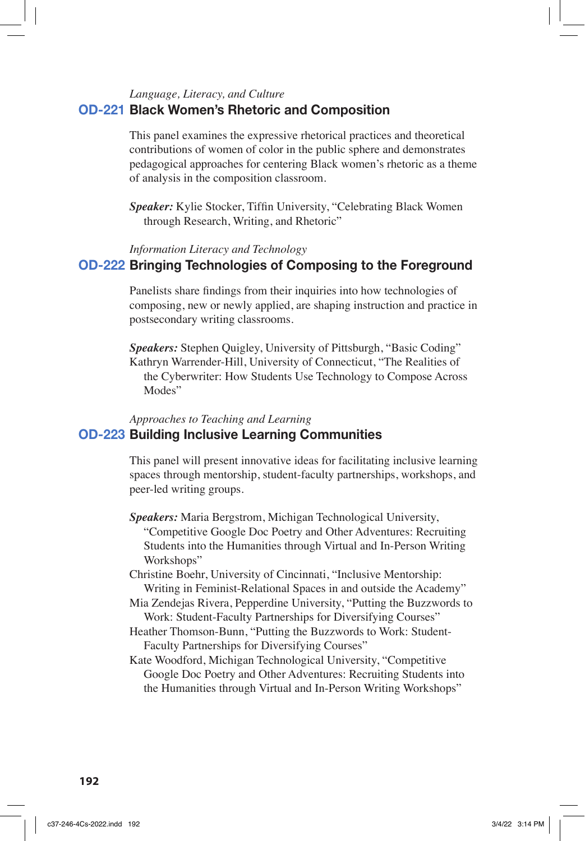#### *Language, Literacy, and Culture*

### **OD-221 Black Women's Rhetoric and Composition**

This panel examines the expressive rhetorical practices and theoretical contributions of women of color in the public sphere and demonstrates pedagogical approaches for centering Black women's rhetoric as a theme of analysis in the composition classroom.

*Speaker:* Kylie Stocker, Tiffin University, "Celebrating Black Women through Research, Writing, and Rhetoric"

### *Information Literacy and Technology*

## **OD-222 Bringing Technologies of Composing to the Foreground**

Panelists share findings from their inquiries into how technologies of composing, new or newly applied, are shaping instruction and practice in postsecondary writing classrooms.

*Speakers:* Stephen Quigley, University of Pittsburgh, "Basic Coding" Kathryn Warrender-Hill, University of Connecticut, "The Realities of the Cyberwriter: How Students Use Technology to Compose Across Modes"

## *Approaches to Teaching and Learning* **OD-223 Building Inclusive Learning Communities**

This panel will present innovative ideas for facilitating inclusive learning spaces through mentorship, student-faculty partnerships, workshops, and peer-led writing groups.

- *Speakers:* Maria Bergstrom, Michigan Technological University, "Competitive Google Doc Poetry and Other Adventures: Recruiting Students into the Humanities through Virtual and In-Person Writing Workshops"
- Christine Boehr, University of Cincinnati, "Inclusive Mentorship: Writing in Feminist-Relational Spaces in and outside the Academy"
- Mia Zendejas Rivera, Pepperdine University, "Putting the Buzzwords to Work: Student-Faculty Partnerships for Diversifying Courses"
- Heather Thomson-Bunn, "Putting the Buzzwords to Work: Student-Faculty Partnerships for Diversifying Courses"
- Kate Woodford, Michigan Technological University, "Competitive Google Doc Poetry and Other Adventures: Recruiting Students into the Humanities through Virtual and In-Person Writing Workshops"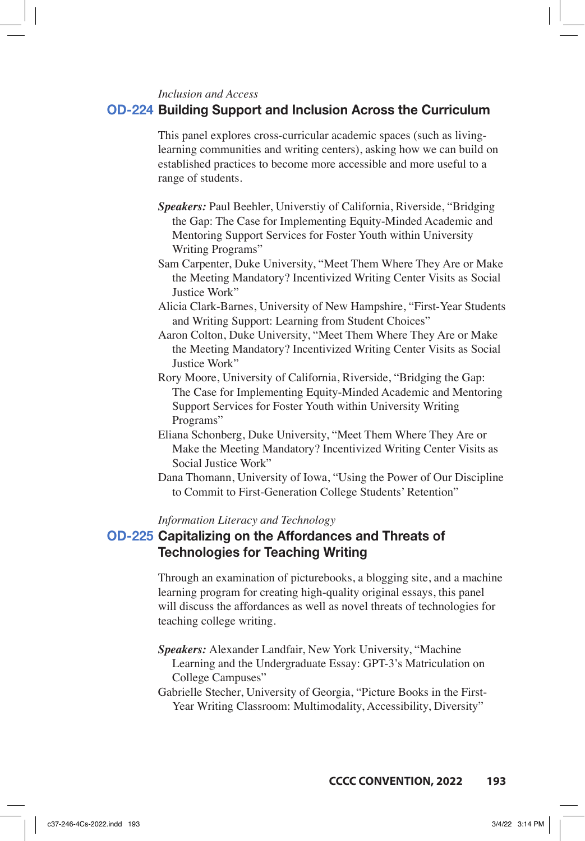*Inclusion and Access*

### **OD-224 Building Support and Inclusion Across the Curriculum**

This panel explores cross-curricular academic spaces (such as livinglearning communities and writing centers), asking how we can build on established practices to become more accessible and more useful to a range of students.

- *Speakers:* Paul Beehler, Universtiy of California, Riverside, "Bridging the Gap: The Case for Implementing Equity-Minded Academic and Mentoring Support Services for Foster Youth within University Writing Programs"
- Sam Carpenter, Duke University, "Meet Them Where They Are or Make the Meeting Mandatory? Incentivized Writing Center Visits as Social Justice Work"
- Alicia Clark-Barnes, University of New Hampshire, "First-Year Students and Writing Support: Learning from Student Choices"
- Aaron Colton, Duke University, "Meet Them Where They Are or Make the Meeting Mandatory? Incentivized Writing Center Visits as Social Justice Work"
- Rory Moore, University of California, Riverside, "Bridging the Gap: The Case for Implementing Equity-Minded Academic and Mentoring Support Services for Foster Youth within University Writing Programs"
- Eliana Schonberg, Duke University, "Meet Them Where They Are or Make the Meeting Mandatory? Incentivized Writing Center Visits as Social Justice Work"
- Dana Thomann, University of Iowa, "Using the Power of Our Discipline to Commit to First-Generation College Students' Retention"

### *Information Literacy and Technology*

## **OD-225 Capitalizing on the Affordances and Threats of Technologies for Teaching Writing**

Through an examination of picturebooks, a blogging site, and a machine learning program for creating high-quality original essays, this panel will discuss the affordances as well as novel threats of technologies for teaching college writing.

- *Speakers:* Alexander Landfair, New York University, "Machine Learning and the Undergraduate Essay: GPT-3's Matriculation on College Campuses"
- Gabrielle Stecher, University of Georgia, "Picture Books in the First-Year Writing Classroom: Multimodality, Accessibility, Diversity"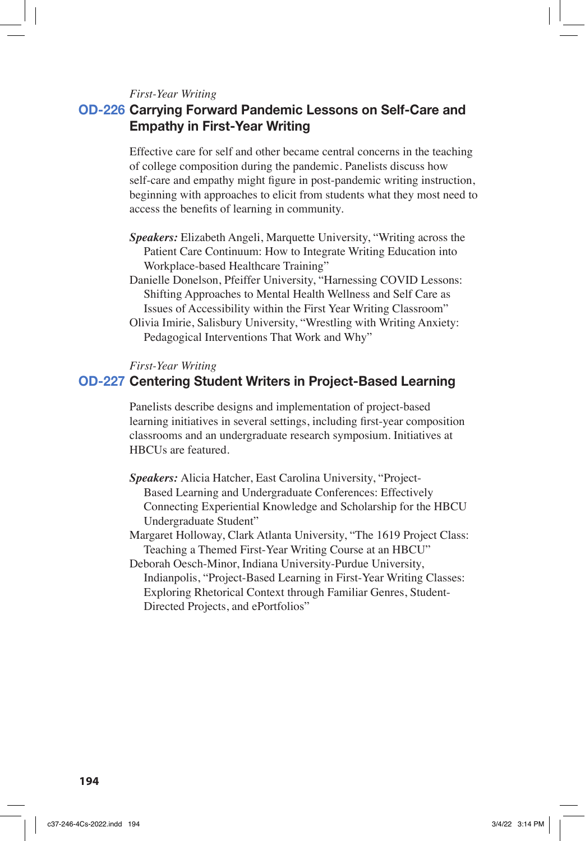#### *First-Year Writing*

## **OD-226 Carrying Forward Pandemic Lessons on Self-Care and Empathy in First-Year Writing**

Effective care for self and other became central concerns in the teaching of college composition during the pandemic. Panelists discuss how self-care and empathy might figure in post-pandemic writing instruction, beginning with approaches to elicit from students what they most need to access the benefits of learning in community.

- *Speakers:* Elizabeth Angeli, Marquette University, "Writing across the Patient Care Continuum: How to Integrate Writing Education into Workplace-based Healthcare Training"
- Danielle Donelson, Pfeiffer University, "Harnessing COVID Lessons: Shifting Approaches to Mental Health Wellness and Self Care as Issues of Accessibility within the First Year Writing Classroom"
- Olivia Imirie, Salisbury University, "Wrestling with Writing Anxiety: Pedagogical Interventions That Work and Why"

*First-Year Writing*

### **OD-227 Centering Student Writers in Project-Based Learning**

Panelists describe designs and implementation of project-based learning initiatives in several settings, including first-year composition classrooms and an undergraduate research symposium. Initiatives at HBCUs are featured.

- *Speakers:* Alicia Hatcher, East Carolina University, "Project-Based Learning and Undergraduate Conferences: Effectively Connecting Experiential Knowledge and Scholarship for the HBCU Undergraduate Student"
- Margaret Holloway, Clark Atlanta University, "The 1619 Project Class: Teaching a Themed First-Year Writing Course at an HBCU"

Deborah Oesch-Minor, Indiana University-Purdue University, Indianpolis, "Project-Based Learning in First-Year Writing Classes: Exploring Rhetorical Context through Familiar Genres, Student-Directed Projects, and ePortfolios"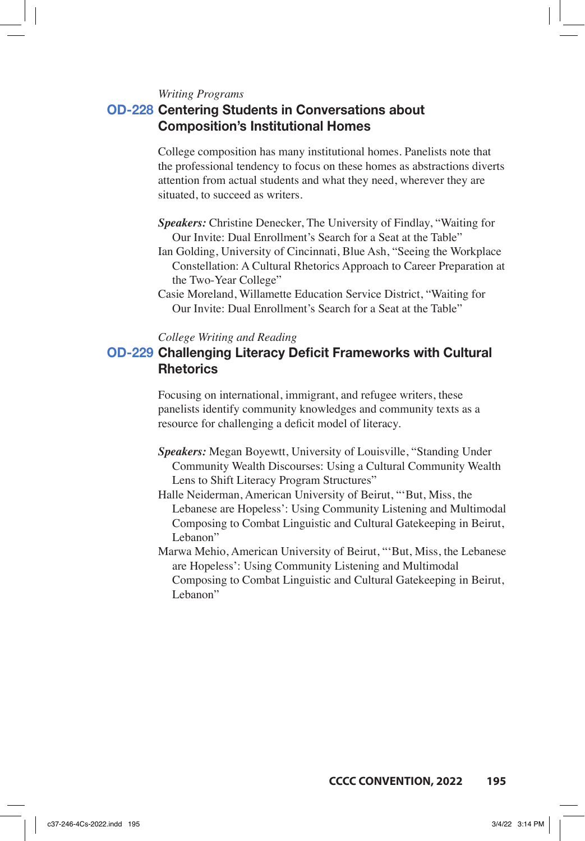*Writing Programs*

## **OD-228 Centering Students in Conversations about Composition's Institutional Homes**

College composition has many institutional homes. Panelists note that the professional tendency to focus on these homes as abstractions diverts attention from actual students and what they need, wherever they are situated, to succeed as writers.

- *Speakers:* Christine Denecker, The University of Findlay, "Waiting for Our Invite: Dual Enrollment's Search for a Seat at the Table"
- Ian Golding, University of Cincinnati, Blue Ash, "Seeing the Workplace Constellation: A Cultural Rhetorics Approach to Career Preparation at the Two-Year College"
- Casie Moreland, Willamette Education Service District, "Waiting for Our Invite: Dual Enrollment's Search for a Seat at the Table"

### *College Writing and Reading*

## **OD-229 Challenging Literacy Deficit Frameworks with Cultural Rhetorics**

Focusing on international, immigrant, and refugee writers, these panelists identify community knowledges and community texts as a resource for challenging a deficit model of literacy.

- *Speakers:* Megan Boyewtt, University of Louisville, "Standing Under Community Wealth Discourses: Using a Cultural Community Wealth Lens to Shift Literacy Program Structures"
- Halle Neiderman, American University of Beirut, "'But, Miss, the Lebanese are Hopeless': Using Community Listening and Multimodal Composing to Combat Linguistic and Cultural Gatekeeping in Beirut, Lebanon"
- Marwa Mehio, American University of Beirut, "'But, Miss, the Lebanese are Hopeless': Using Community Listening and Multimodal Composing to Combat Linguistic and Cultural Gatekeeping in Beirut, Lebanon"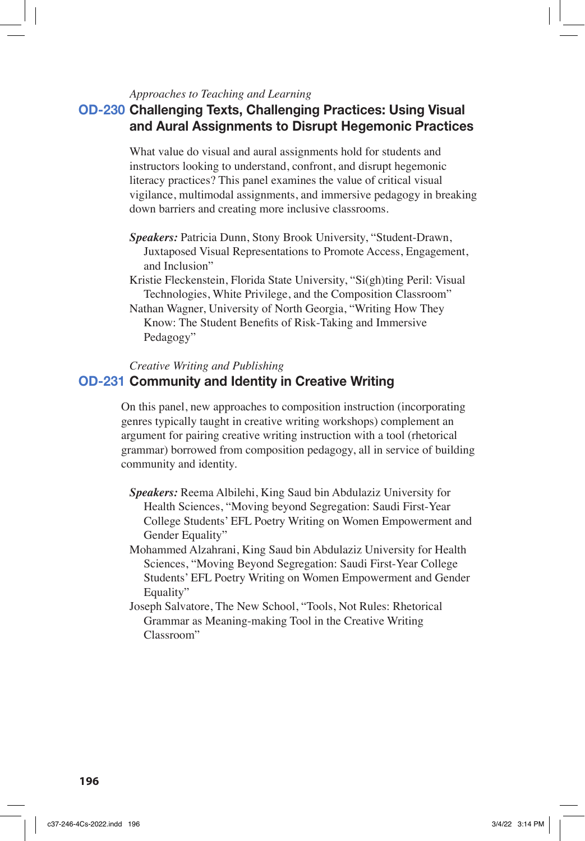### *Approaches to Teaching and Learning*

## **OD-230 Challenging Texts, Challenging Practices: Using Visual and Aural Assignments to Disrupt Hegemonic Practices**

What value do visual and aural assignments hold for students and instructors looking to understand, confront, and disrupt hegemonic literacy practices? This panel examines the value of critical visual vigilance, multimodal assignments, and immersive pedagogy in breaking down barriers and creating more inclusive classrooms.

- *Speakers:* Patricia Dunn, Stony Brook University, "Student-Drawn, Juxtaposed Visual Representations to Promote Access, Engagement, and Inclusion"
- Kristie Fleckenstein, Florida State University, "Si(gh)ting Peril: Visual Technologies, White Privilege, and the Composition Classroom"

Nathan Wagner, University of North Georgia, "Writing How They Know: The Student Benefits of Risk-Taking and Immersive Pedagogy"

*Creative Writing and Publishing*

## **OD-231 Community and Identity in Creative Writing**

On this panel, new approaches to composition instruction (incorporating genres typically taught in creative writing workshops) complement an argument for pairing creative writing instruction with a tool (rhetorical grammar) borrowed from composition pedagogy, all in service of building community and identity.

- *Speakers:* Reema Albilehi, King Saud bin Abdulaziz University for Health Sciences, "Moving beyond Segregation: Saudi First-Year College Students' EFL Poetry Writing on Women Empowerment and Gender Equality"
- Mohammed Alzahrani, King Saud bin Abdulaziz University for Health Sciences, "Moving Beyond Segregation: Saudi First-Year College Students' EFL Poetry Writing on Women Empowerment and Gender Equality"
- Joseph Salvatore, The New School, "Tools, Not Rules: Rhetorical Grammar as Meaning-making Tool in the Creative Writing Classroom"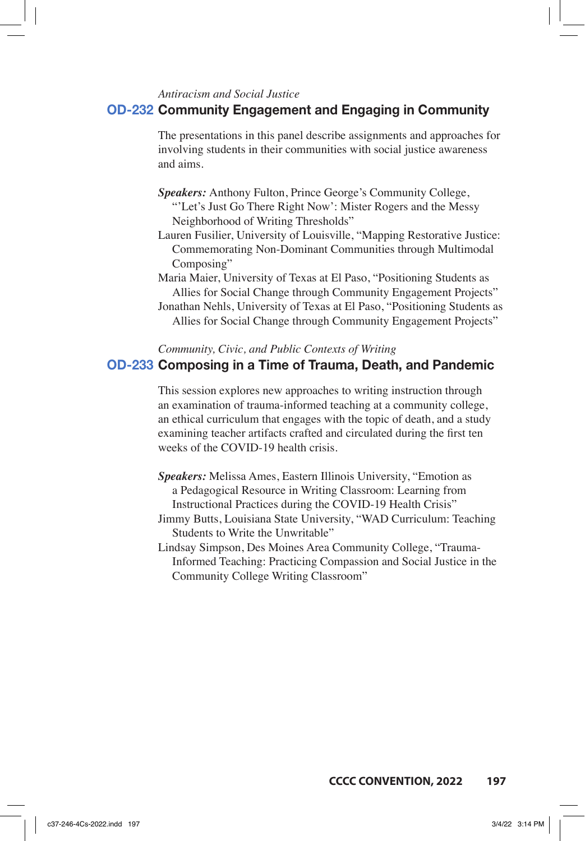### *Antiracism and Social Justice*

### **OD-232 Community Engagement and Engaging in Community**

The presentations in this panel describe assignments and approaches for involving students in their communities with social justice awareness and aims.

- *Speakers:* Anthony Fulton, Prince George's Community College, "'Let's Just Go There Right Now': Mister Rogers and the Messy Neighborhood of Writing Thresholds"
- Lauren Fusilier, University of Louisville, "Mapping Restorative Justice: Commemorating Non-Dominant Communities through Multimodal Composing"
- Maria Maier, University of Texas at El Paso, "Positioning Students as Allies for Social Change through Community Engagement Projects" Jonathan Nehls, University of Texas at El Paso, "Positioning Students as

Allies for Social Change through Community Engagement Projects"

*Community, Civic, and Public Contexts of Writing*

### **OD-233 Composing in a Time of Trauma, Death, and Pandemic**

This session explores new approaches to writing instruction through an examination of trauma-informed teaching at a community college, an ethical curriculum that engages with the topic of death, and a study examining teacher artifacts crafted and circulated during the first ten weeks of the COVID-19 health crisis.

- *Speakers:* Melissa Ames, Eastern Illinois University, "Emotion as a Pedagogical Resource in Writing Classroom: Learning from Instructional Practices during the COVID-19 Health Crisis"
- Jimmy Butts, Louisiana State University, "WAD Curriculum: Teaching Students to Write the Unwritable"
- Lindsay Simpson, Des Moines Area Community College, "Trauma-Informed Teaching: Practicing Compassion and Social Justice in the Community College Writing Classroom"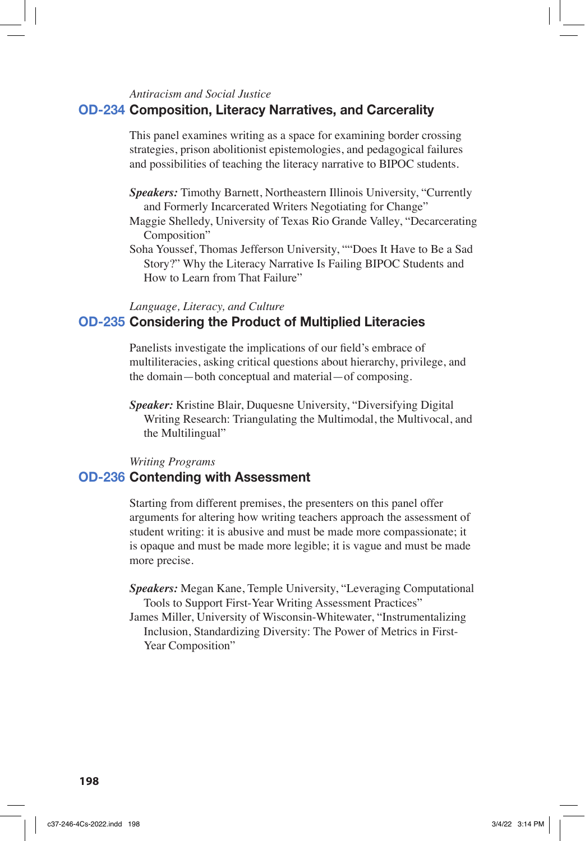### *Antiracism and Social Justice*

### **OD-234 Composition, Literacy Narratives, and Carcerality**

This panel examines writing as a space for examining border crossing strategies, prison abolitionist epistemologies, and pedagogical failures and possibilities of teaching the literacy narrative to BIPOC students.

- *Speakers:* Timothy Barnett, Northeastern Illinois University, "Currently and Formerly Incarcerated Writers Negotiating for Change"
- Maggie Shelledy, University of Texas Rio Grande Valley, "Decarcerating Composition"
- Soha Youssef, Thomas Jefferson University, ""Does It Have to Be a Sad Story?" Why the Literacy Narrative Is Failing BIPOC Students and How to Learn from That Failure"

#### *Language, Literacy, and Culture*

## **OD-235 Considering the Product of Multiplied Literacies**

Panelists investigate the implications of our field's embrace of multiliteracies, asking critical questions about hierarchy, privilege, and the domain—both conceptual and material—of composing.

*Speaker:* Kristine Blair, Duquesne University, "Diversifying Digital Writing Research: Triangulating the Multimodal, the Multivocal, and the Multilingual"

### *Writing Programs*

### **OD-236 Contending with Assessment**

Starting from different premises, the presenters on this panel offer arguments for altering how writing teachers approach the assessment of student writing: it is abusive and must be made more compassionate; it is opaque and must be made more legible; it is vague and must be made more precise.

- *Speakers:* Megan Kane, Temple University, "Leveraging Computational Tools to Support First-Year Writing Assessment Practices"
- James Miller, University of Wisconsin-Whitewater, "Instrumentalizing Inclusion, Standardizing Diversity: The Power of Metrics in First-Year Composition"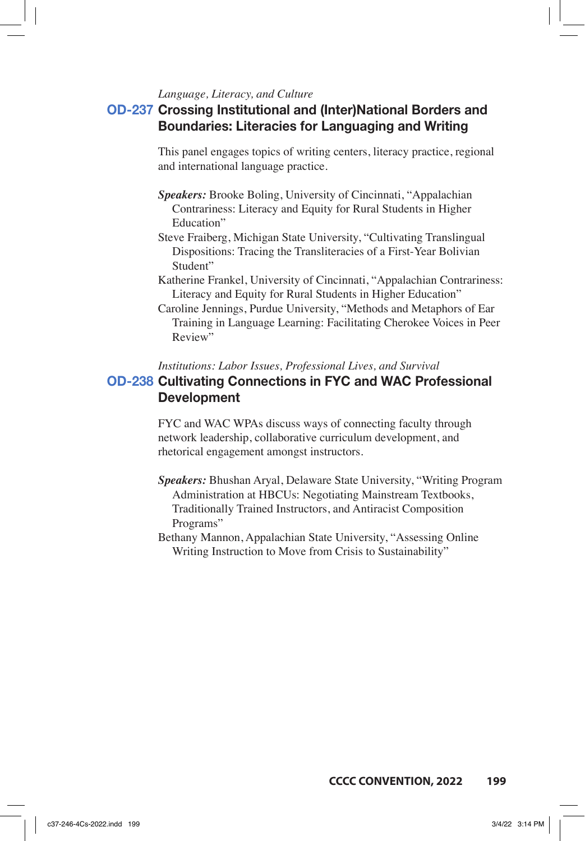### *Language, Literacy, and Culture*

## **OD-237 Crossing Institutional and (Inter)National Borders and Boundaries: Literacies for Languaging and Writing**

This panel engages topics of writing centers, literacy practice, regional and international language practice.

- *Speakers:* Brooke Boling, University of Cincinnati, "Appalachian Contrariness: Literacy and Equity for Rural Students in Higher Education"
- Steve Fraiberg, Michigan State University, "Cultivating Translingual Dispositions: Tracing the Transliteracies of a First-Year Bolivian Student"
- Katherine Frankel, University of Cincinnati, "Appalachian Contrariness: Literacy and Equity for Rural Students in Higher Education"
- Caroline Jennings, Purdue University, "Methods and Metaphors of Ear Training in Language Learning: Facilitating Cherokee Voices in Peer Review"

### *Institutions: Labor Issues, Professional Lives, and Survival*

## **OD-238 Cultivating Connections in FYC and WAC Professional Development**

FYC and WAC WPAs discuss ways of connecting faculty through network leadership, collaborative curriculum development, and rhetorical engagement amongst instructors.

- *Speakers:* Bhushan Aryal, Delaware State University, "Writing Program Administration at HBCUs: Negotiating Mainstream Textbooks, Traditionally Trained Instructors, and Antiracist Composition Programs"
- Bethany Mannon, Appalachian State University, "Assessing Online Writing Instruction to Move from Crisis to Sustainability"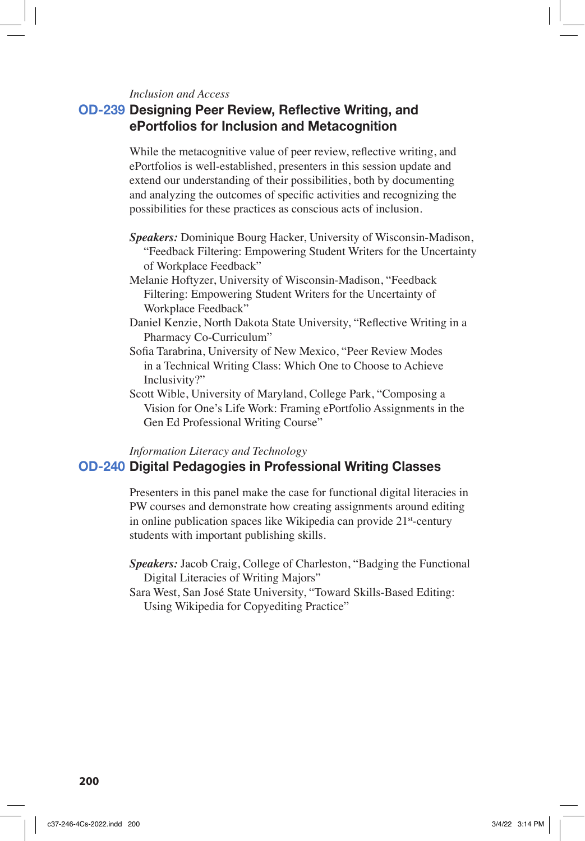#### *Inclusion and Access*

## **OD-239 Designing Peer Review, Reflective Writing, and ePortfolios for Inclusion and Metacognition**

While the metacognitive value of peer review, reflective writing, and ePortfolios is well-established, presenters in this session update and extend our understanding of their possibilities, both by documenting and analyzing the outcomes of specific activities and recognizing the possibilities for these practices as conscious acts of inclusion.

- *Speakers:* Dominique Bourg Hacker, University of Wisconsin-Madison, "Feedback Filtering: Empowering Student Writers for the Uncertainty of Workplace Feedback"
- Melanie Hoftyzer, University of Wisconsin-Madison, "Feedback Filtering: Empowering Student Writers for the Uncertainty of Workplace Feedback"
- Daniel Kenzie, North Dakota State University, "Reflective Writing in a Pharmacy Co-Curriculum"
- Sofia Tarabrina, University of New Mexico, "Peer Review Modes in a Technical Writing Class: Which One to Choose to Achieve Inclusivity?"
- Scott Wible, University of Maryland, College Park, "Composing a Vision for One's Life Work: Framing ePortfolio Assignments in the Gen Ed Professional Writing Course"

## *Information Literacy and Technology* **OD-240 Digital Pedagogies in Professional Writing Classes**

Presenters in this panel make the case for functional digital literacies in PW courses and demonstrate how creating assignments around editing in online publication spaces like Wikipedia can provide 21st-century students with important publishing skills.

- *Speakers:* Jacob Craig, College of Charleston, "Badging the Functional Digital Literacies of Writing Majors"
- Sara West, San José State University, "Toward Skills-Based Editing: Using Wikipedia for Copyediting Practice"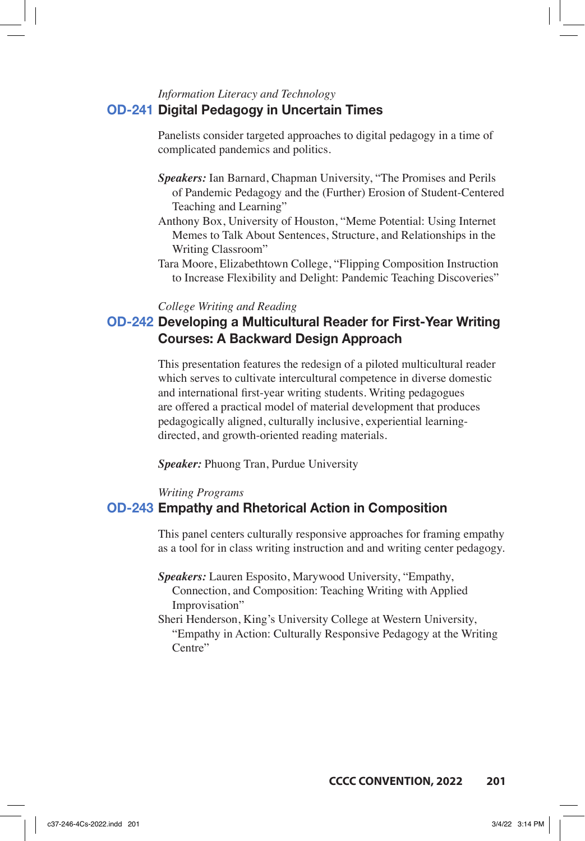## *Information Literacy and Technology* **OD-241 Digital Pedagogy in Uncertain Times**

Panelists consider targeted approaches to digital pedagogy in a time of complicated pandemics and politics.

- *Speakers:* Ian Barnard, Chapman University, "The Promises and Perils of Pandemic Pedagogy and the (Further) Erosion of Student-Centered Teaching and Learning"
- Anthony Box, University of Houston, "Meme Potential: Using Internet Memes to Talk About Sentences, Structure, and Relationships in the Writing Classroom"
- Tara Moore, Elizabethtown College, "Flipping Composition Instruction to Increase Flexibility and Delight: Pandemic Teaching Discoveries"

### *College Writing and Reading*

## **OD-242 Developing a Multicultural Reader for First-Year Writing Courses: A Backward Design Approach**

This presentation features the redesign of a piloted multicultural reader which serves to cultivate intercultural competence in diverse domestic and international first-year writing students. Writing pedagogues are offered a practical model of material development that produces pedagogically aligned, culturally inclusive, experiential learningdirected, and growth-oriented reading materials.

*Speaker:* Phuong Tran, Purdue University

#### *Writing Programs*

### **OD-243 Empathy and Rhetorical Action in Composition**

This panel centers culturally responsive approaches for framing empathy as a tool for in class writing instruction and and writing center pedagogy.

*Speakers:* Lauren Esposito, Marywood University, "Empathy, Connection, and Composition: Teaching Writing with Applied Improvisation"

Sheri Henderson, King's University College at Western University, "Empathy in Action: Culturally Responsive Pedagogy at the Writing Centre"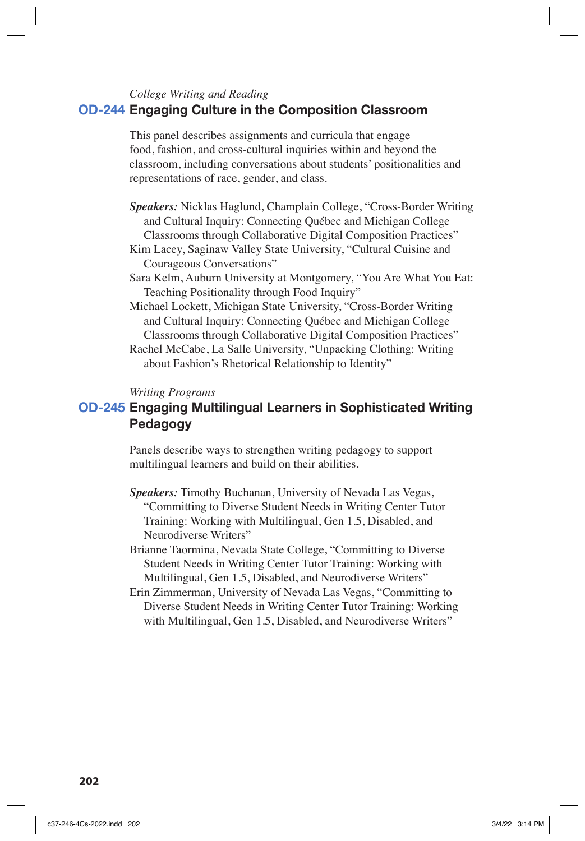### *College Writing and Reading*

### **OD-244 Engaging Culture in the Composition Classroom**

This panel describes assignments and curricula that engage food, fashion, and cross-cultural inquiries within and beyond the classroom, including conversations about students' positionalities and representations of race, gender, and class.

- *Speakers:* Nicklas Haglund, Champlain College, "Cross-Border Writing and Cultural Inquiry: Connecting Québec and Michigan College Classrooms through Collaborative Digital Composition Practices"
- Kim Lacey, Saginaw Valley State University, "Cultural Cuisine and Courageous Conversations"
- Sara Kelm, Auburn University at Montgomery, "You Are What You Eat: Teaching Positionality through Food Inquiry"
- Michael Lockett, Michigan State University, "Cross-Border Writing and Cultural Inquiry: Connecting Québec and Michigan College Classrooms through Collaborative Digital Composition Practices"
- Rachel McCabe, La Salle University, "Unpacking Clothing: Writing about Fashion's Rhetorical Relationship to Identity"

#### *Writing Programs*

## **OD-245 Engaging Multilingual Learners in Sophisticated Writing Pedagogy**

Panels describe ways to strengthen writing pedagogy to support multilingual learners and build on their abilities.

- *Speakers:* Timothy Buchanan, University of Nevada Las Vegas, "Committing to Diverse Student Needs in Writing Center Tutor Training: Working with Multilingual, Gen 1.5, Disabled, and Neurodiverse Writers"
- Brianne Taormina, Nevada State College, "Committing to Diverse Student Needs in Writing Center Tutor Training: Working with Multilingual, Gen 1.5, Disabled, and Neurodiverse Writers"
- Erin Zimmerman, University of Nevada Las Vegas, "Committing to Diverse Student Needs in Writing Center Tutor Training: Working with Multilingual, Gen 1.5, Disabled, and Neurodiverse Writers"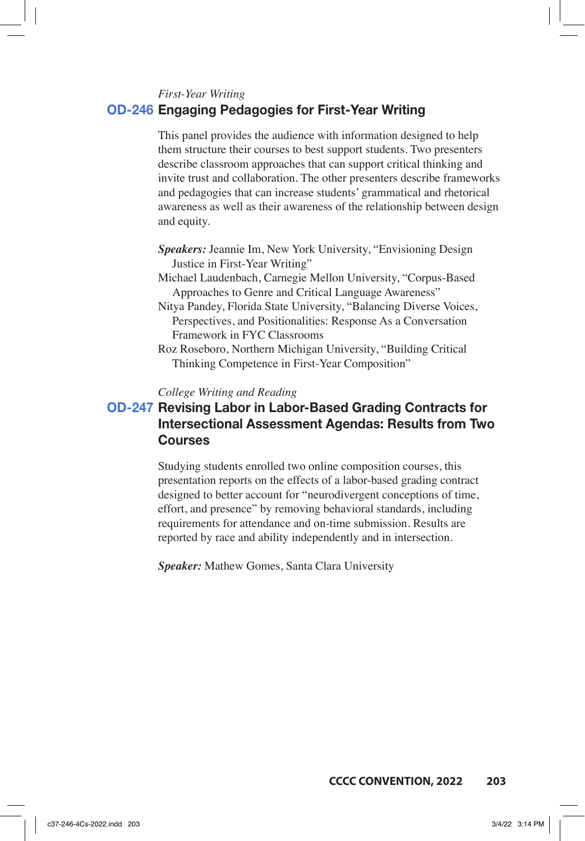*First-Year Writing*

### **OD-246 Engaging Pedagogies for First-Year Writing**

This panel provides the audience with information designed to help them structure their courses to best support students. Two presenters describe classroom approaches that can support critical thinking and invite trust and collaboration. The other presenters describe frameworks and pedagogies that can increase students' grammatical and rhetorical awareness as well as their awareness of the relationship between design and equity.

- *Speakers:* Jeannie Im, New York University, "Envisioning Design Justice in First-Year Writing"
- Michael Laudenbach, Carnegie Mellon University, "Corpus-Based Approaches to Genre and Critical Language Awareness"
- Nitya Pandey, Florida State University, "Balancing Diverse Voices, Perspectives, and Positionalities: Response As a Conversation Framework in FYC Classrooms
- Roz Roseboro, Northern Michigan University, "Building Critical Thinking Competence in First-Year Composition"

*College Writing and Reading*

## **OD-247 Revising Labor in Labor-Based Grading Contracts for Intersectional Assessment Agendas: Results from Two Courses**

Studying students enrolled two online composition courses, this presentation reports on the effects of a labor-based grading contract designed to better account for "neurodivergent conceptions of time, effort, and presence" by removing behavioral standards, including requirements for attendance and on-time submission. Results are reported by race and ability independently and in intersection.

*Speaker:* Mathew Gomes, Santa Clara University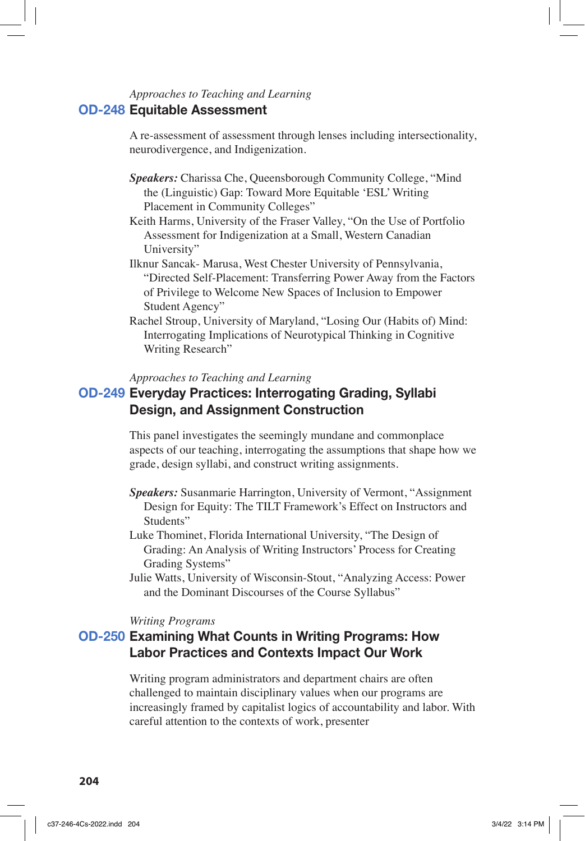## *Approaches to Teaching and Learning* **OD-248 Equitable Assessment**

A re-assessment of assessment through lenses including intersectionality, neurodivergence, and Indigenization.

- *Speakers:* Charissa Che, Queensborough Community College, "Mind the (Linguistic) Gap: Toward More Equitable 'ESL' Writing Placement in Community Colleges"
- Keith Harms, University of the Fraser Valley, "On the Use of Portfolio Assessment for Indigenization at a Small, Western Canadian University"
- Ilknur Sancak- Marusa, West Chester University of Pennsylvania, "Directed Self-Placement: Transferring Power Away from the Factors of Privilege to Welcome New Spaces of Inclusion to Empower Student Agency"
- Rachel Stroup, University of Maryland, "Losing Our (Habits of) Mind: Interrogating Implications of Neurotypical Thinking in Cognitive Writing Research"

### *Approaches to Teaching and Learning*

## **OD-249 Everyday Practices: Interrogating Grading, Syllabi Design, and Assignment Construction**

This panel investigates the seemingly mundane and commonplace aspects of our teaching, interrogating the assumptions that shape how we grade, design syllabi, and construct writing assignments.

- *Speakers:* Susanmarie Harrington, University of Vermont, "Assignment Design for Equity: The TILT Framework's Effect on Instructors and Students"
- Luke Thominet, Florida International University, "The Design of Grading: An Analysis of Writing Instructors' Process for Creating Grading Systems"
- Julie Watts, University of Wisconsin-Stout, "Analyzing Access: Power and the Dominant Discourses of the Course Syllabus"

#### *Writing Programs*

## **OD-250 Examining What Counts in Writing Programs: How Labor Practices and Contexts Impact Our Work**

Writing program administrators and department chairs are often challenged to maintain disciplinary values when our programs are increasingly framed by capitalist logics of accountability and labor. With careful attention to the contexts of work, presenter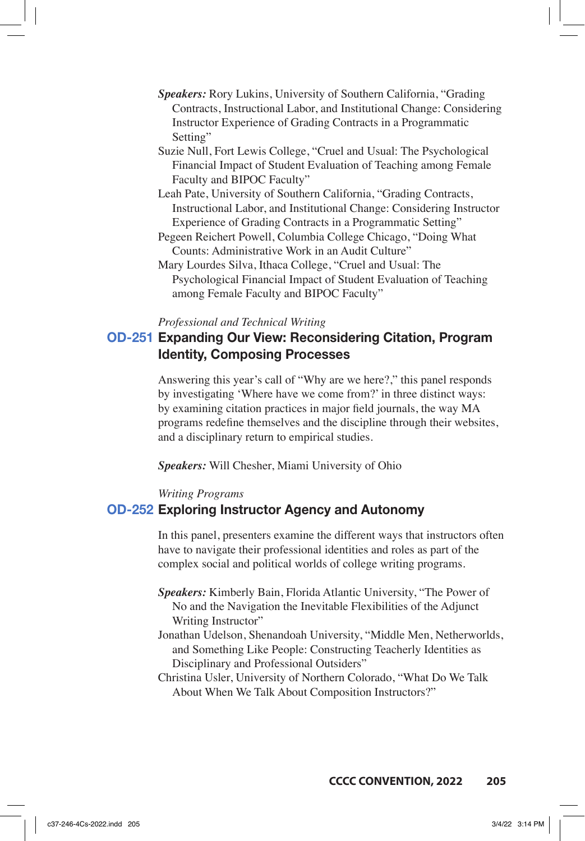- *Speakers:* Rory Lukins, University of Southern California, "Grading Contracts, Instructional Labor, and Institutional Change: Considering Instructor Experience of Grading Contracts in a Programmatic Setting"
- Suzie Null, Fort Lewis College, "Cruel and Usual: The Psychological Financial Impact of Student Evaluation of Teaching among Female Faculty and BIPOC Faculty"
- Leah Pate, University of Southern California, "Grading Contracts, Instructional Labor, and Institutional Change: Considering Instructor Experience of Grading Contracts in a Programmatic Setting"
- Pegeen Reichert Powell, Columbia College Chicago, "Doing What Counts: Administrative Work in an Audit Culture"
- Mary Lourdes Silva, Ithaca College, "Cruel and Usual: The Psychological Financial Impact of Student Evaluation of Teaching among Female Faculty and BIPOC Faculty"

#### *Professional and Technical Writing*

## **OD-251 Expanding Our View: Reconsidering Citation, Program Identity, Composing Processes**

Answering this year's call of "Why are we here?," this panel responds by investigating 'Where have we come from?' in three distinct ways: by examining citation practices in major field journals, the way MA programs redefine themselves and the discipline through their websites, and a disciplinary return to empirical studies.

*Speakers:* Will Chesher, Miami University of Ohio

#### *Writing Programs*

### **OD-252 Exploring Instructor Agency and Autonomy**

In this panel, presenters examine the different ways that instructors often have to navigate their professional identities and roles as part of the complex social and political worlds of college writing programs.

- *Speakers:* Kimberly Bain, Florida Atlantic University, "The Power of No and the Navigation the Inevitable Flexibilities of the Adjunct Writing Instructor"
- Jonathan Udelson, Shenandoah University, "Middle Men, Netherworlds, and Something Like People: Constructing Teacherly Identities as Disciplinary and Professional Outsiders"
- Christina Usler, University of Northern Colorado, "What Do We Talk About When We Talk About Composition Instructors?"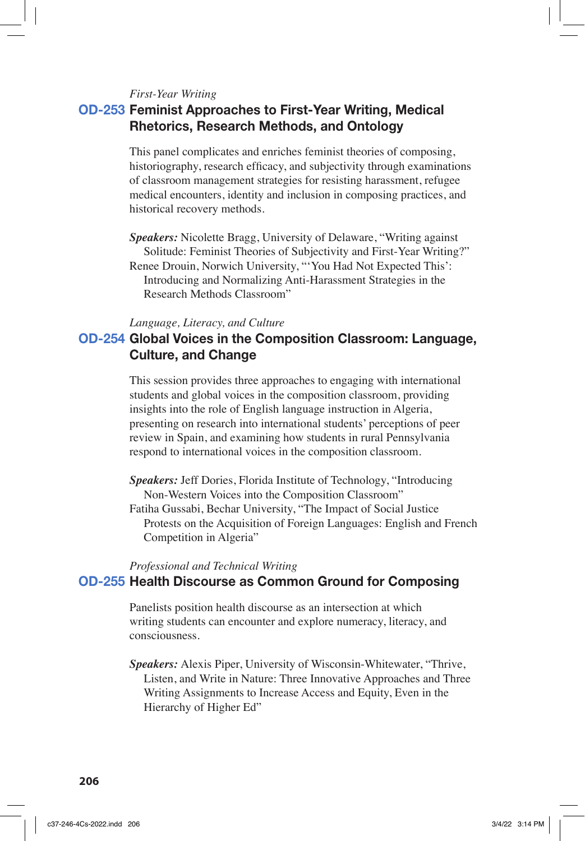#### *First-Year Writing*

## **OD-253 Feminist Approaches to First-Year Writing, Medical Rhetorics, Research Methods, and Ontology**

This panel complicates and enriches feminist theories of composing, historiography, research efficacy, and subjectivity through examinations of classroom management strategies for resisting harassment, refugee medical encounters, identity and inclusion in composing practices, and historical recovery methods.

*Speakers:* Nicolette Bragg, University of Delaware, "Writing against Solitude: Feminist Theories of Subjectivity and First-Year Writing?" Renee Drouin, Norwich University, "'You Had Not Expected This': Introducing and Normalizing Anti-Harassment Strategies in the Research Methods Classroom"

#### *Language, Literacy, and Culture*

## **OD-254 Global Voices in the Composition Classroom: Language, Culture, and Change**

This session provides three approaches to engaging with international students and global voices in the composition classroom, providing insights into the role of English language instruction in Algeria, presenting on research into international students' perceptions of peer review in Spain, and examining how students in rural Pennsylvania respond to international voices in the composition classroom.

*Speakers:* Jeff Dories, Florida Institute of Technology, "Introducing Non-Western Voices into the Composition Classroom"

Fatiha Gussabi, Bechar University, "The Impact of Social Justice Protests on the Acquisition of Foreign Languages: English and French Competition in Algeria"

### *Professional and Technical Writing* **OD-255 Health Discourse as Common Ground for Composing**

Panelists position health discourse as an intersection at which writing students can encounter and explore numeracy, literacy, and consciousness.

*Speakers:* Alexis Piper, University of Wisconsin-Whitewater, "Thrive, Listen, and Write in Nature: Three Innovative Approaches and Three Writing Assignments to Increase Access and Equity, Even in the Hierarchy of Higher Ed"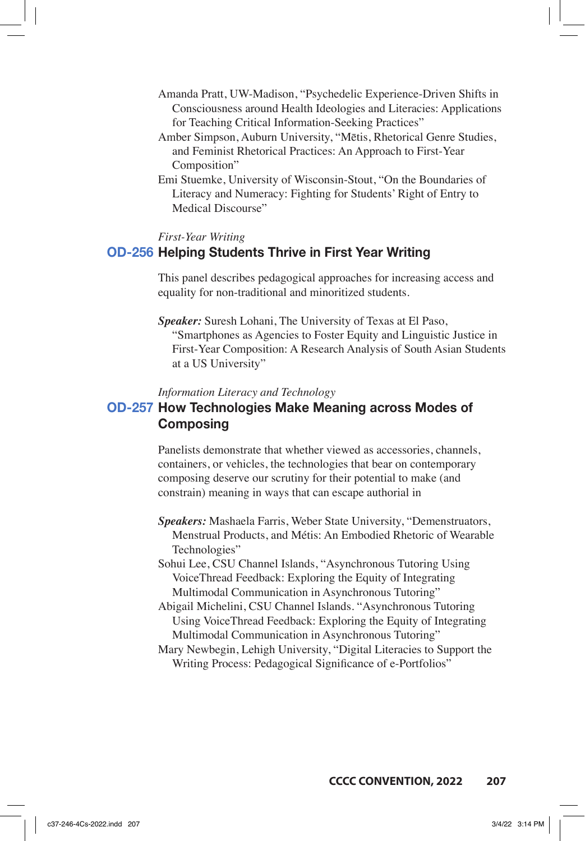- Amanda Pratt, UW-Madison, "Psychedelic Experience-Driven Shifts in Consciousness around Health Ideologies and Literacies: Applications for Teaching Critical Information-Seeking Practices"
- Amber Simpson, Auburn University, "Mētis, Rhetorical Genre Studies, and Feminist Rhetorical Practices: An Approach to First-Year Composition"
- Emi Stuemke, University of Wisconsin-Stout, "On the Boundaries of Literacy and Numeracy: Fighting for Students' Right of Entry to Medical Discourse"

### *First-Year Writing*

### **OD-256 Helping Students Thrive in First Year Writing**

This panel describes pedagogical approaches for increasing access and equality for non-traditional and minoritized students.

*Speaker:* Suresh Lohani, The University of Texas at El Paso, "Smartphones as Agencies to Foster Equity and Linguistic Justice in First-Year Composition: A Research Analysis of South Asian Students at a US University"

#### *Information Literacy and Technology*

## **OD-257 How Technologies Make Meaning across Modes of Composing**

Panelists demonstrate that whether viewed as accessories, channels, containers, or vehicles, the technologies that bear on contemporary composing deserve our scrutiny for their potential to make (and constrain) meaning in ways that can escape authorial in

- *Speakers:* Mashaela Farris, Weber State University, "Demenstruators, Menstrual Products, and Métis: An Embodied Rhetoric of Wearable Technologies"
- Sohui Lee, CSU Channel Islands, "Asynchronous Tutoring Using VoiceThread Feedback: Exploring the Equity of Integrating Multimodal Communication in Asynchronous Tutoring"
- Abigail Michelini, CSU Channel Islands. "Asynchronous Tutoring Using VoiceThread Feedback: Exploring the Equity of Integrating Multimodal Communication in Asynchronous Tutoring"
- Mary Newbegin, Lehigh University, "Digital Literacies to Support the Writing Process: Pedagogical Significance of e-Portfolios"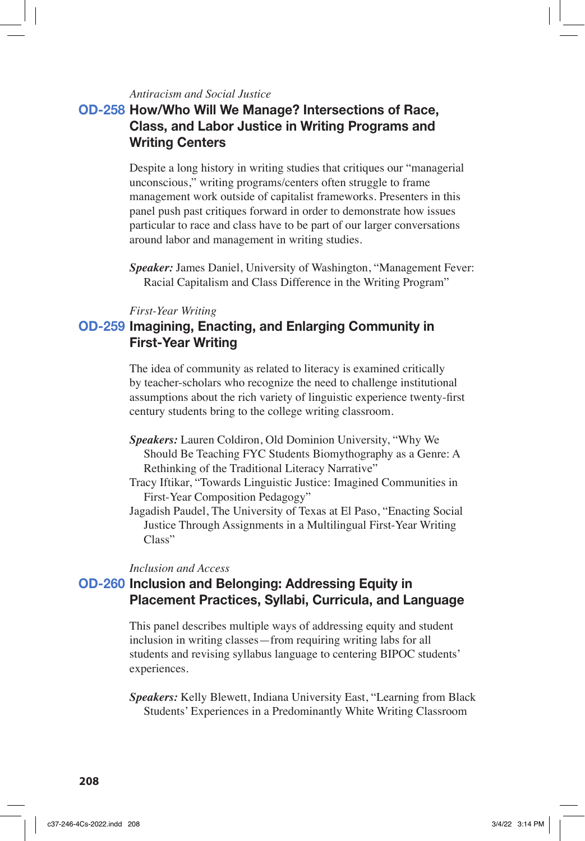### *Antiracism and Social Justice*

## **OD-258 How/Who Will We Manage? Intersections of Race, Class, and Labor Justice in Writing Programs and Writing Centers**

Despite a long history in writing studies that critiques our "managerial unconscious," writing programs/centers often struggle to frame management work outside of capitalist frameworks. Presenters in this panel push past critiques forward in order to demonstrate how issues particular to race and class have to be part of our larger conversations around labor and management in writing studies.

*Speaker:* James Daniel, University of Washington, "Management Fever: Racial Capitalism and Class Difference in the Writing Program"

### *First-Year Writing*

## **OD-259 Imagining, Enacting, and Enlarging Community in First-Year Writing**

The idea of community as related to literacy is examined critically by teacher-scholars who recognize the need to challenge institutional assumptions about the rich variety of linguistic experience twenty-first century students bring to the college writing classroom.

- *Speakers:* Lauren Coldiron, Old Dominion University, "Why We Should Be Teaching FYC Students Biomythography as a Genre: A Rethinking of the Traditional Literacy Narrative"
- Tracy Iftikar, "Towards Linguistic Justice: Imagined Communities in First-Year Composition Pedagogy"
- Jagadish Paudel, The University of Texas at El Paso, "Enacting Social Justice Through Assignments in a Multilingual First-Year Writing Class"

#### *Inclusion and Access*

## **OD-260 Inclusion and Belonging: Addressing Equity in Placement Practices, Syllabi, Curricula, and Language**

This panel describes multiple ways of addressing equity and student inclusion in writing classes—from requiring writing labs for all students and revising syllabus language to centering BIPOC students' experiences.

*Speakers:* Kelly Blewett, Indiana University East, "Learning from Black Students' Experiences in a Predominantly White Writing Classroom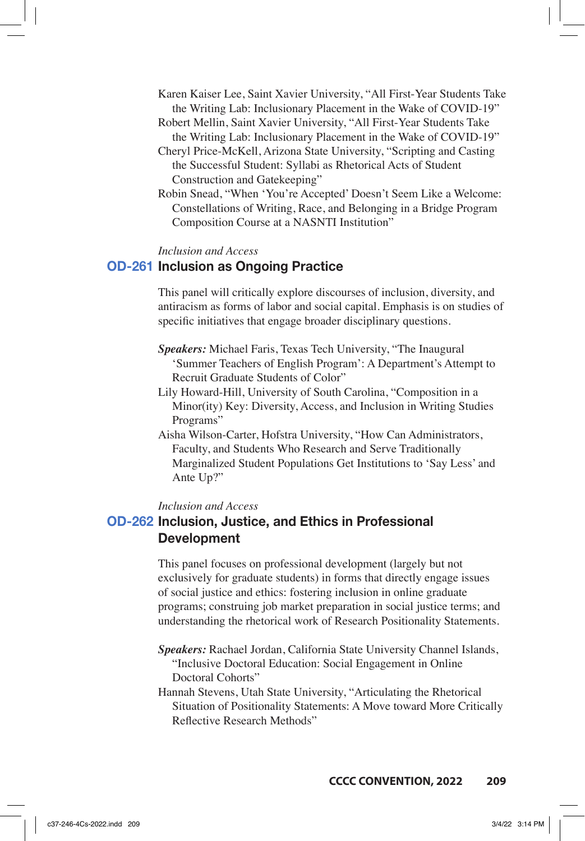- Karen Kaiser Lee, Saint Xavier University, "All First-Year Students Take the Writing Lab: Inclusionary Placement in the Wake of COVID-19"
- Robert Mellin, Saint Xavier University, "All First-Year Students Take the Writing Lab: Inclusionary Placement in the Wake of COVID-19"
- Cheryl Price-McKell, Arizona State University, "Scripting and Casting the Successful Student: Syllabi as Rhetorical Acts of Student Construction and Gatekeeping"
- Robin Snead, "When 'You're Accepted' Doesn't Seem Like a Welcome: Constellations of Writing, Race, and Belonging in a Bridge Program Composition Course at a NASNTI Institution"

#### *Inclusion and Access*

### **OD-261 Inclusion as Ongoing Practice**

This panel will critically explore discourses of inclusion, diversity, and antiracism as forms of labor and social capital. Emphasis is on studies of specific initiatives that engage broader disciplinary questions.

- *Speakers:* Michael Faris, Texas Tech University, "The Inaugural 'Summer Teachers of English Program': A Department's Attempt to Recruit Graduate Students of Color"
- Lily Howard-Hill, University of South Carolina, "Composition in a Minor(ity) Key: Diversity, Access, and Inclusion in Writing Studies Programs"
- Aisha Wilson-Carter, Hofstra University, "How Can Administrators, Faculty, and Students Who Research and Serve Traditionally Marginalized Student Populations Get Institutions to 'Say Less' and Ante Up?"

### *Inclusion and Access*

## **OD-262 Inclusion, Justice, and Ethics in Professional Development**

This panel focuses on professional development (largely but not exclusively for graduate students) in forms that directly engage issues of social justice and ethics: fostering inclusion in online graduate programs; construing job market preparation in social justice terms; and understanding the rhetorical work of Research Positionality Statements.

- *Speakers:* Rachael Jordan, California State University Channel Islands, "Inclusive Doctoral Education: Social Engagement in Online Doctoral Cohorts"
- Hannah Stevens, Utah State University, "Articulating the Rhetorical Situation of Positionality Statements: A Move toward More Critically Reflective Research Methods"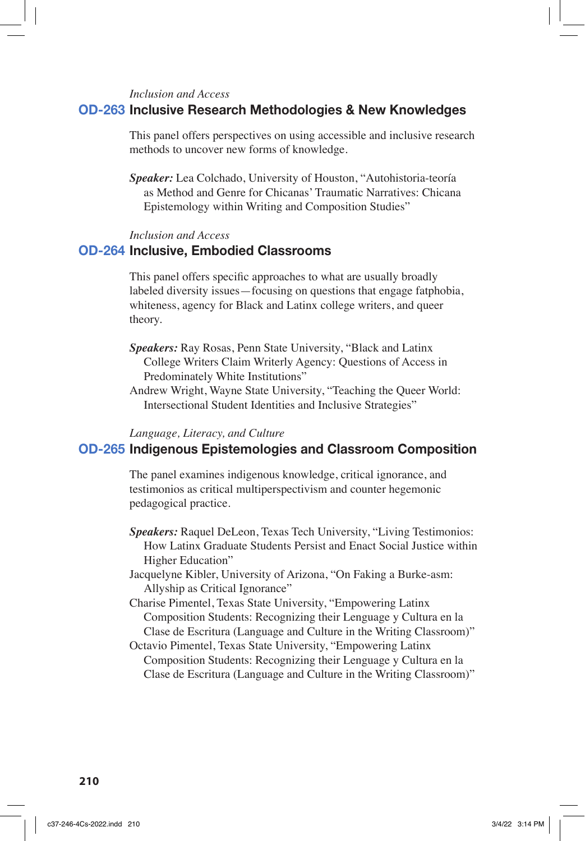#### *Inclusion and Access*

### **OD-263 Inclusive Research Methodologies & New Knowledges**

This panel offers perspectives on using accessible and inclusive research methods to uncover new forms of knowledge.

*Speaker:* Lea Colchado, University of Houston, "Autohistoria-teoría as Method and Genre for Chicanas' Traumatic Narratives: Chicana Epistemology within Writing and Composition Studies"

#### *Inclusion and Access*

### **OD-264 Inclusive, Embodied Classrooms**

This panel offers specific approaches to what are usually broadly labeled diversity issues—focusing on questions that engage fatphobia, whiteness, agency for Black and Latinx college writers, and queer theory.

- *Speakers:* Ray Rosas, Penn State University, "Black and Latinx College Writers Claim Writerly Agency: Questions of Access in Predominately White Institutions"
- Andrew Wright, Wayne State University, "Teaching the Queer World: Intersectional Student Identities and Inclusive Strategies"

### *Language, Literacy, and Culture*

## **OD-265 Indigenous Epistemologies and Classroom Composition**

The panel examines indigenous knowledge, critical ignorance, and testimonios as critical multiperspectivism and counter hegemonic pedagogical practice.

- *Speakers:* Raquel DeLeon, Texas Tech University, "Living Testimonios: How Latinx Graduate Students Persist and Enact Social Justice within Higher Education"
- Jacquelyne Kibler, University of Arizona, "On Faking a Burke-asm: Allyship as Critical Ignorance"
- Charise Pimentel, Texas State University, "Empowering Latinx Composition Students: Recognizing their Lenguage y Cultura en la Clase de Escritura (Language and Culture in the Writing Classroom)"
- Octavio Pimentel, Texas State University, "Empowering Latinx Composition Students: Recognizing their Lenguage y Cultura en la Clase de Escritura (Language and Culture in the Writing Classroom)"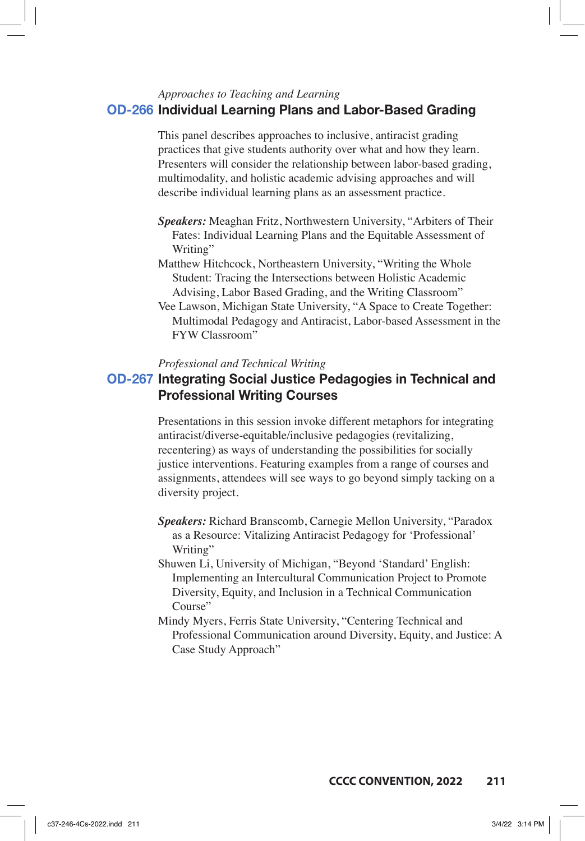## *Approaches to Teaching and Learning* **OD-266 Individual Learning Plans and Labor-Based Grading**

This panel describes approaches to inclusive, antiracist grading practices that give students authority over what and how they learn. Presenters will consider the relationship between labor-based grading, multimodality, and holistic academic advising approaches and will describe individual learning plans as an assessment practice.

- *Speakers:* Meaghan Fritz, Northwestern University, "Arbiters of Their Fates: Individual Learning Plans and the Equitable Assessment of Writing"
- Matthew Hitchcock, Northeastern University, "Writing the Whole Student: Tracing the Intersections between Holistic Academic Advising, Labor Based Grading, and the Writing Classroom"
- Vee Lawson, Michigan State University, "A Space to Create Together: Multimodal Pedagogy and Antiracist, Labor-based Assessment in the FYW Classroom"

#### *Professional and Technical Writing*

## **OD-267 Integrating Social Justice Pedagogies in Technical and Professional Writing Courses**

Presentations in this session invoke different metaphors for integrating antiracist/diverse-equitable/inclusive pedagogies (revitalizing, recentering) as ways of understanding the possibilities for socially justice interventions. Featuring examples from a range of courses and assignments, attendees will see ways to go beyond simply tacking on a diversity project.

- *Speakers:* Richard Branscomb, Carnegie Mellon University, "Paradox as a Resource: Vitalizing Antiracist Pedagogy for 'Professional' Writing"
- Shuwen Li, University of Michigan, "Beyond 'Standard' English: Implementing an Intercultural Communication Project to Promote Diversity, Equity, and Inclusion in a Technical Communication Course"
- Mindy Myers, Ferris State University, "Centering Technical and Professional Communication around Diversity, Equity, and Justice: A Case Study Approach"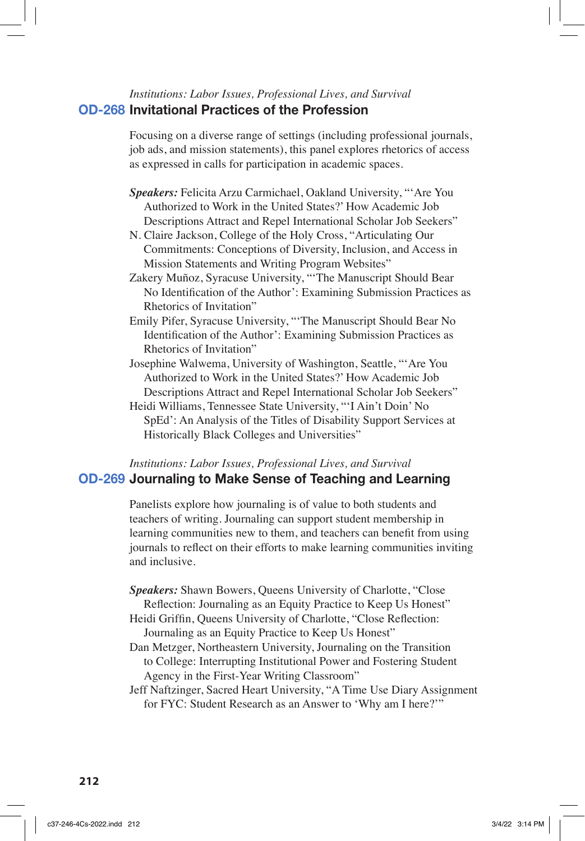## *Institutions: Labor Issues, Professional Lives, and Survival* **OD-268 Invitational Practices of the Profession**

Focusing on a diverse range of settings (including professional journals, job ads, and mission statements), this panel explores rhetorics of access as expressed in calls for participation in academic spaces.

- *Speakers:* Felicita Arzu Carmichael, Oakland University, "'Are You Authorized to Work in the United States?' How Academic Job Descriptions Attract and Repel International Scholar Job Seekers"
- N. Claire Jackson, College of the Holy Cross, "Articulating Our Commitments: Conceptions of Diversity, Inclusion, and Access in Mission Statements and Writing Program Websites"
- Zakery Muñoz, Syracuse University, "'The Manuscript Should Bear No Identification of the Author': Examining Submission Practices as Rhetorics of Invitation"
- Emily Pifer, Syracuse University, "'The Manuscript Should Bear No Identification of the Author': Examining Submission Practices as Rhetorics of Invitation"
- Josephine Walwema, University of Washington, Seattle, "'Are You Authorized to Work in the United States?' How Academic Job Descriptions Attract and Repel International Scholar Job Seekers"
- Heidi Williams, Tennessee State University, "'I Ain't Doin' No SpEd': An Analysis of the Titles of Disability Support Services at Historically Black Colleges and Universities"

## *Institutions: Labor Issues, Professional Lives, and Survival* **OD-269 Journaling to Make Sense of Teaching and Learning**

Panelists explore how journaling is of value to both students and teachers of writing. Journaling can support student membership in learning communities new to them, and teachers can benefit from using journals to reflect on their efforts to make learning communities inviting and inclusive.

- *Speakers:* Shawn Bowers, Queens University of Charlotte, "Close Reflection: Journaling as an Equity Practice to Keep Us Honest"
- Heidi Griffin, Queens University of Charlotte, "Close Reflection: Journaling as an Equity Practice to Keep Us Honest"
- Dan Metzger, Northeastern University, Journaling on the Transition to College: Interrupting Institutional Power and Fostering Student Agency in the First-Year Writing Classroom"
- Jeff Naftzinger, Sacred Heart University, "A Time Use Diary Assignment for FYC: Student Research as an Answer to 'Why am I here?'"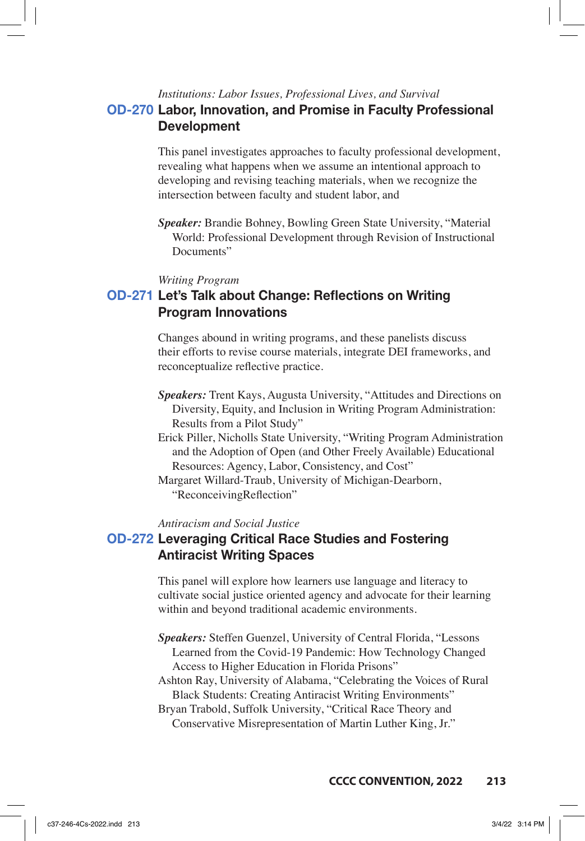## *Institutions: Labor Issues, Professional Lives, and Survival* **OD-270 Labor, Innovation, and Promise in Faculty Professional Development**

This panel investigates approaches to faculty professional development, revealing what happens when we assume an intentional approach to developing and revising teaching materials, when we recognize the intersection between faculty and student labor, and

*Speaker:* Brandie Bohney, Bowling Green State University, "Material World: Professional Development through Revision of Instructional Documents"

#### *Writing Program*

## **OD-271 Let's Talk about Change: Reflections on Writing Program Innovations**

Changes abound in writing programs, and these panelists discuss their efforts to revise course materials, integrate DEI frameworks, and reconceptualize reflective practice.

- *Speakers:* Trent Kays, Augusta University, "Attitudes and Directions on Diversity, Equity, and Inclusion in Writing Program Administration: Results from a Pilot Study"
- Erick Piller, Nicholls State University, "Writing Program Administration and the Adoption of Open (and Other Freely Available) Educational Resources: Agency, Labor, Consistency, and Cost"
- Margaret Willard-Traub, University of Michigan-Dearborn, "ReconceivingReflection"

### *Antiracism and Social Justice*

## **OD-272 Leveraging Critical Race Studies and Fostering Antiracist Writing Spaces**

This panel will explore how learners use language and literacy to cultivate social justice oriented agency and advocate for their learning within and beyond traditional academic environments.

- *Speakers:* Steffen Guenzel, University of Central Florida, "Lessons Learned from the Covid-19 Pandemic: How Technology Changed Access to Higher Education in Florida Prisons"
- Ashton Ray, University of Alabama, "Celebrating the Voices of Rural Black Students: Creating Antiracist Writing Environments"

Bryan Trabold, Suffolk University, "Critical Race Theory and Conservative Misrepresentation of Martin Luther King, Jr."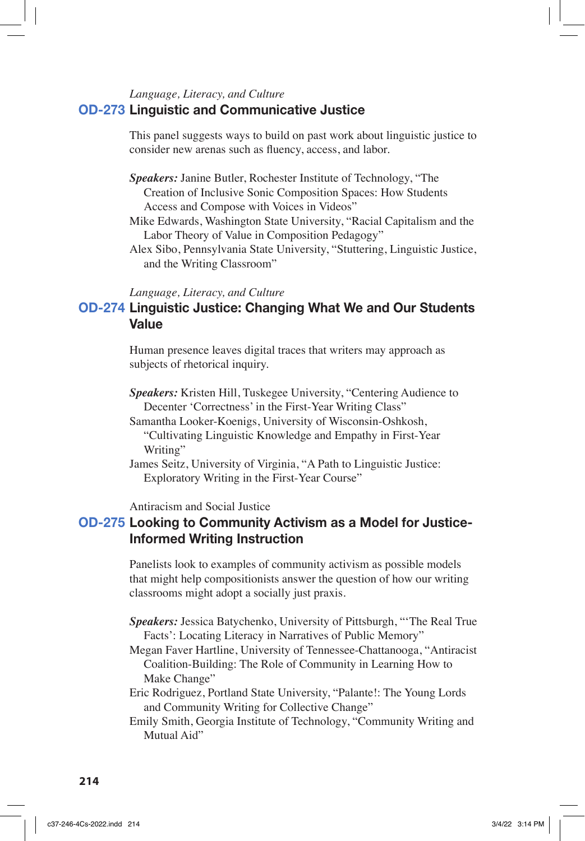## *Language, Literacy, and Culture*

## **OD-273 Linguistic and Communicative Justice**

This panel suggests ways to build on past work about linguistic justice to consider new arenas such as fluency, access, and labor.

- *Speakers:* Janine Butler, Rochester Institute of Technology, "The Creation of Inclusive Sonic Composition Spaces: How Students Access and Compose with Voices in Videos"
- Mike Edwards, Washington State University, "Racial Capitalism and the Labor Theory of Value in Composition Pedagogy"
- Alex Sibo, Pennsylvania State University, "Stuttering, Linguistic Justice, and the Writing Classroom"

### *Language, Literacy, and Culture*

## **OD-274 Linguistic Justice: Changing What We and Our Students Value**

Human presence leaves digital traces that writers may approach as subjects of rhetorical inquiry.

*Speakers:* Kristen Hill, Tuskegee University, "Centering Audience to Decenter 'Correctness' in the First-Year Writing Class"

- Samantha Looker-Koenigs, University of Wisconsin-Oshkosh, "Cultivating Linguistic Knowledge and Empathy in First-Year Writing"
- James Seitz, University of Virginia, "A Path to Linguistic Justice: Exploratory Writing in the First-Year Course"

Antiracism and Social Justice

## **OD-275 Looking to Community Activism as a Model for Justice-Informed Writing Instruction**

Panelists look to examples of community activism as possible models that might help compositionists answer the question of how our writing classrooms might adopt a socially just praxis.

*Speakers:* Jessica Batychenko, University of Pittsburgh, "'The Real True Facts': Locating Literacy in Narratives of Public Memory"

- Megan Faver Hartline, University of Tennessee-Chattanooga, "Antiracist Coalition-Building: The Role of Community in Learning How to Make Change"
- Eric Rodriguez, Portland State University, "Palante!: The Young Lords and Community Writing for Collective Change"

Emily Smith, Georgia Institute of Technology, "Community Writing and Mutual Aid"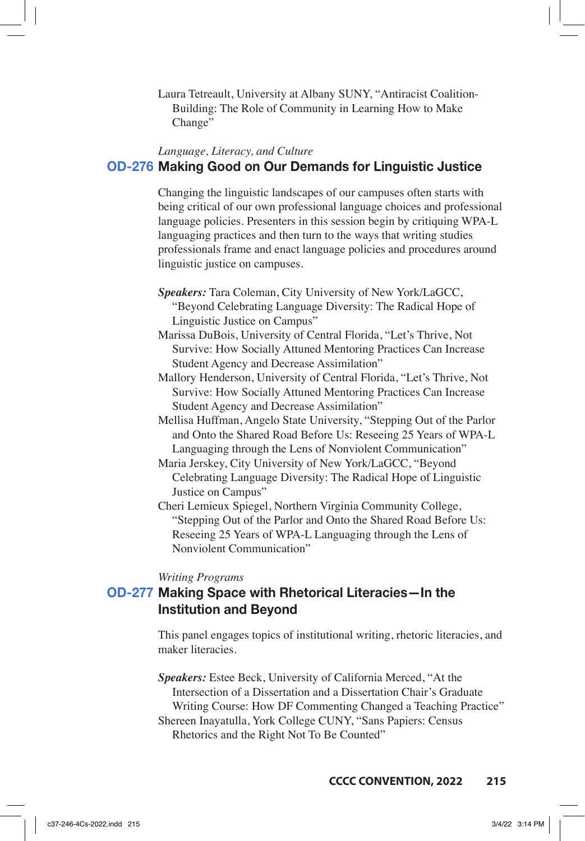Laura Tetreault, University at Albany SUNY, "Antiracist Coalition-Building: The Role of Community in Learning How to Make Change"

## *Language, Literacy, and Culture* **OD-276 Making Good on Our Demands for Linguistic Justice**

Changing the linguistic landscapes of our campuses often starts with being critical of our own professional language choices and professional language policies. Presenters in this session begin by critiquing WPA-L languaging practices and then turn to the ways that writing studies professionals frame and enact language policies and procedures around linguistic justice on campuses.

- *Speakers:* Tara Coleman, City University of New York/LaGCC, "Beyond Celebrating Language Diversity: The Radical Hope of Linguistic Justice on Campus"
- Marissa DuBois, University of Central Florida, "Let's Thrive, Not Survive: How Socially Attuned Mentoring Practices Can Increase Student Agency and Decrease Assimilation"
- Mallory Henderson, University of Central Florida, "Let's Thrive, Not Survive: How Socially Attuned Mentoring Practices Can Increase Student Agency and Decrease Assimilation"
- Mellisa Huffman, Angelo State University, "Stepping Out of the Parlor and Onto the Shared Road Before Us: Reseeing 25 Years of WPA-L Languaging through the Lens of Nonviolent Communication"
- Maria Jerskey, City University of New York/LaGCC, "Beyond Celebrating Language Diversity: The Radical Hope of Linguistic Justice on Campus"
- Cheri Lemieux Spiegel, Northern Virginia Community College, "Stepping Out of the Parlor and Onto the Shared Road Before Us: Reseeing 25 Years of WPA-L Languaging through the Lens of Nonviolent Communication"

*Writing Programs*

# **OD-277 Making Space with Rhetorical Literacies—In the Institution and Beyond**

This panel engages topics of institutional writing, rhetoric literacies, and maker literacies.

*Speakers:* Estee Beck, University of California Merced, "At the Intersection of a Dissertation and a Dissertation Chair's Graduate Writing Course: How DF Commenting Changed a Teaching Practice" Shereen Inayatulla, York College CUNY, "Sans Papiers: Census Rhetorics and the Right Not To Be Counted"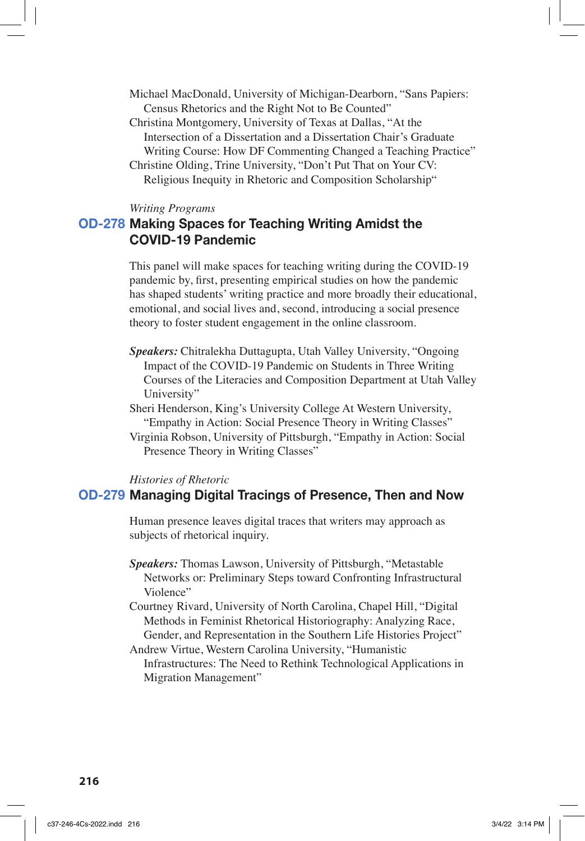Michael MacDonald, University of Michigan-Dearborn, "Sans Papiers: Census Rhetorics and the Right Not to Be Counted"

Christina Montgomery, University of Texas at Dallas, "At the Intersection of a Dissertation and a Dissertation Chair's Graduate Writing Course: How DF Commenting Changed a Teaching Practice"

Christine Olding, Trine University, "Don't Put That on Your CV: Religious Inequity in Rhetoric and Composition Scholarship"

*Writing Programs* 

# **OD-278 Making Spaces for Teaching Writing Amidst the COVID-19 Pandemic**

This panel will make spaces for teaching writing during the COVID-19 pandemic by, first, presenting empirical studies on how the pandemic has shaped students' writing practice and more broadly their educational, emotional, and social lives and, second, introducing a social presence theory to foster student engagement in the online classroom.

- *Speakers:* Chitralekha Duttagupta, Utah Valley University, "Ongoing Impact of the COVID-19 Pandemic on Students in Three Writing Courses of the Literacies and Composition Department at Utah Valley University"
- Sheri Henderson, King's University College At Western University, "Empathy in Action: Social Presence Theory in Writing Classes"
- Virginia Robson, University of Pittsburgh, "Empathy in Action: Social Presence Theory in Writing Classes"

#### *Histories of Rhetoric*

### **OD-279 Managing Digital Tracings of Presence, Then and Now**

Human presence leaves digital traces that writers may approach as subjects of rhetorical inquiry.

- *Speakers:* Thomas Lawson, University of Pittsburgh, "Metastable Networks or: Preliminary Steps toward Confronting Infrastructural Violence"
- Courtney Rivard, University of North Carolina, Chapel Hill, "Digital Methods in Feminist Rhetorical Historiography: Analyzing Race, Gender, and Representation in the Southern Life Histories Project" Andrew Virtue, Western Carolina University, "Humanistic

Infrastructures: The Need to Rethink Technological Applications in Migration Management"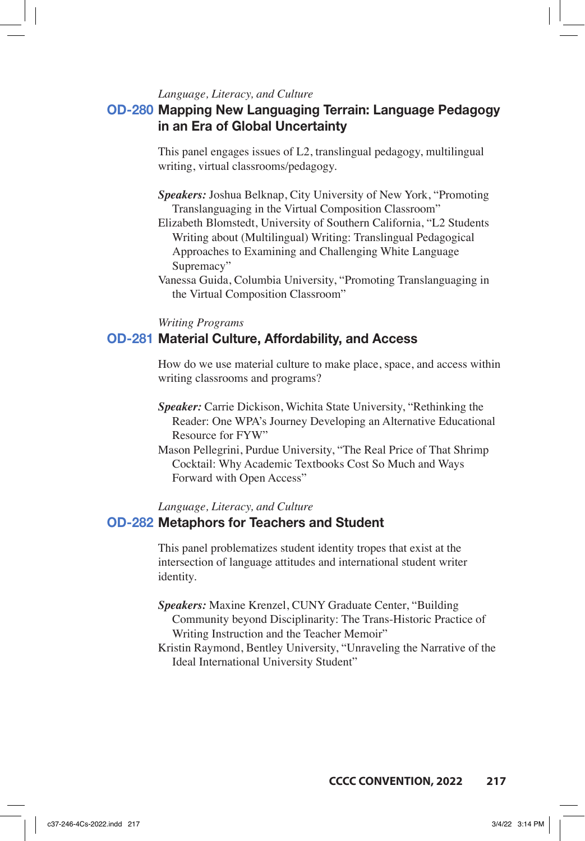### *Language, Literacy, and Culture*

# **OD-280 Mapping New Languaging Terrain: Language Pedagogy in an Era of Global Uncertainty**

This panel engages issues of L2, translingual pedagogy, multilingual writing, virtual classrooms/pedagogy.

- *Speakers:* Joshua Belknap, City University of New York, "Promoting Translanguaging in the Virtual Composition Classroom"
- Elizabeth Blomstedt, University of Southern California, "L2 Students Writing about (Multilingual) Writing: Translingual Pedagogical Approaches to Examining and Challenging White Language Supremacy"
- Vanessa Guida, Columbia University, "Promoting Translanguaging in the Virtual Composition Classroom"

### *Writing Programs*

## **OD-281 Material Culture, Affordability, and Access**

How do we use material culture to make place, space, and access within writing classrooms and programs?

- *Speaker:* Carrie Dickison, Wichita State University, "Rethinking the Reader: One WPA's Journey Developing an Alternative Educational Resource for FYW"
- Mason Pellegrini, Purdue University, "The Real Price of That Shrimp Cocktail: Why Academic Textbooks Cost So Much and Ways Forward with Open Access"

*Language, Literacy, and Culture*

## **OD-282 Metaphors for Teachers and Student**

This panel problematizes student identity tropes that exist at the intersection of language attitudes and international student writer identity.

- *Speakers:* Maxine Krenzel, CUNY Graduate Center, "Building Community beyond Disciplinarity: The Trans-Historic Practice of Writing Instruction and the Teacher Memoir"
- Kristin Raymond, Bentley University, "Unraveling the Narrative of the Ideal International University Student"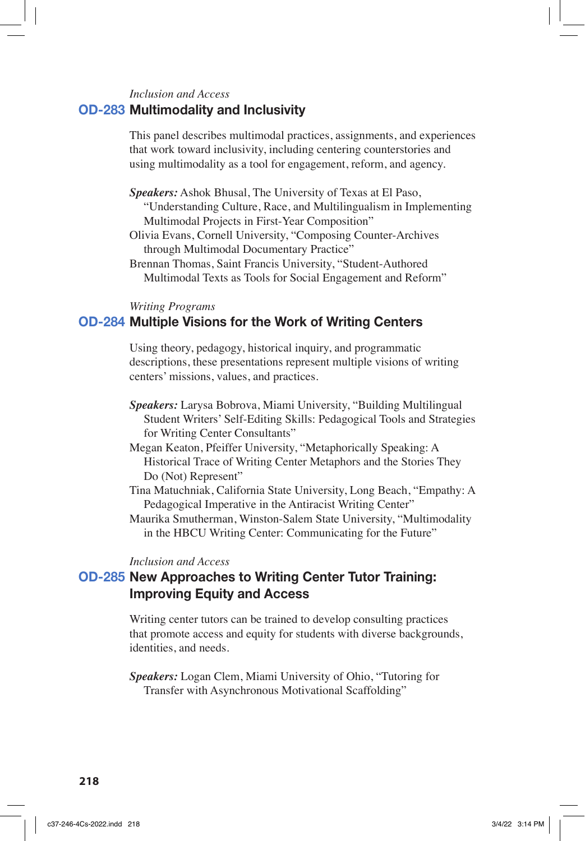## *Inclusion and Access* **OD-283 Multimodality and Inclusivity**

This panel describes multimodal practices, assignments, and experiences that work toward inclusivity, including centering counterstories and using multimodality as a tool for engagement, reform, and agency.

*Speakers:* Ashok Bhusal, The University of Texas at El Paso, "Understanding Culture, Race, and Multilingualism in Implementing Multimodal Projects in First-Year Composition"

Olivia Evans, Cornell University, "Composing Counter-Archives through Multimodal Documentary Practice"

Brennan Thomas, Saint Francis University, "Student-Authored Multimodal Texts as Tools for Social Engagement and Reform"

#### *Writing Programs*

## **OD-284 Multiple Visions for the Work of Writing Centers**

Using theory, pedagogy, historical inquiry, and programmatic descriptions, these presentations represent multiple visions of writing centers' missions, values, and practices.

- *Speakers:* Larysa Bobrova, Miami University, "Building Multilingual Student Writers' Self-Editing Skills: Pedagogical Tools and Strategies for Writing Center Consultants"
- Megan Keaton, Pfeiffer University, "Metaphorically Speaking: A Historical Trace of Writing Center Metaphors and the Stories They Do (Not) Represent"
- Tina Matuchniak, California State University, Long Beach, "Empathy: A Pedagogical Imperative in the Antiracist Writing Center"

Maurika Smutherman, Winston-Salem State University, "Multimodality in the HBCU Writing Center: Communicating for the Future"

#### *Inclusion and Access*

# **OD-285 New Approaches to Writing Center Tutor Training: Improving Equity and Access**

Writing center tutors can be trained to develop consulting practices that promote access and equity for students with diverse backgrounds, identities, and needs.

*Speakers:* Logan Clem, Miami University of Ohio, "Tutoring for Transfer with Asynchronous Motivational Scaffolding"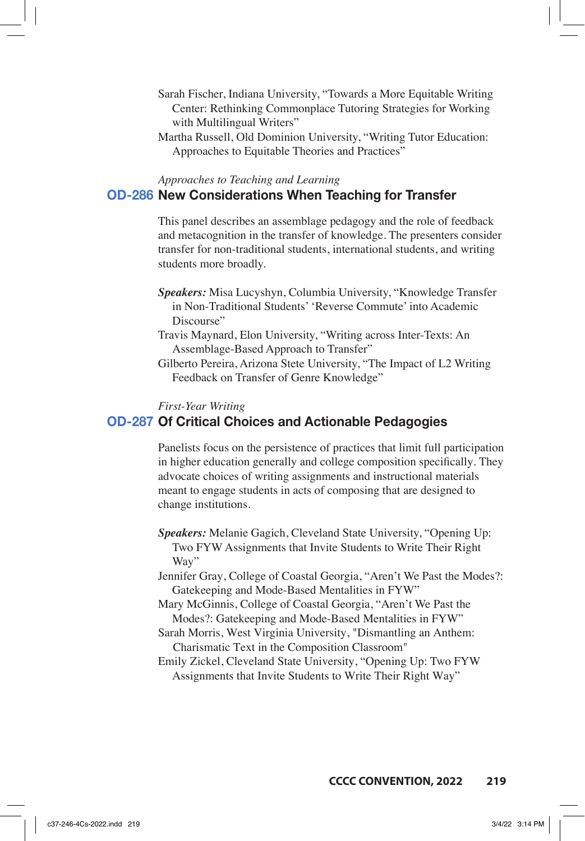- Sarah Fischer, Indiana University, "Towards a More Equitable Writing Center: Rethinking Commonplace Tutoring Strategies for Working with Multilingual Writers"
- Martha Russell, Old Dominion University, "Writing Tutor Education: Approaches to Equitable Theories and Practices"

# *Approaches to Teaching and Learning* **OD-286 New Considerations When Teaching for Transfer**

This panel describes an assemblage pedagogy and the role of feedback and metacognition in the transfer of knowledge. The presenters consider transfer for non-traditional students, international students, and writing students more broadly.

- *Speakers:* Misa Lucyshyn, Columbia University, "Knowledge Transfer in Non-Traditional Students' 'Reverse Commute' into Academic Discourse"
- Travis Maynard, Elon University, "Writing across Inter-Texts: An Assemblage-Based Approach to Transfer"
- Gilberto Pereira, Arizona Stete University, "The Impact of L2 Writing Feedback on Transfer of Genre Knowledge"

*First-Year Writing*

## **OD-287 Of Critical Choices and Actionable Pedagogies**

Panelists focus on the persistence of practices that limit full participation in higher education generally and college composition specifically. They advocate choices of writing assignments and instructional materials meant to engage students in acts of composing that are designed to change institutions.

*Speakers:* Melanie Gagich, Cleveland State University, "Opening Up: Two FYW Assignments that Invite Students to Write Their Right Way"

Jennifer Gray, College of Coastal Georgia, "Aren't We Past the Modes?: Gatekeeping and Mode-Based Mentalities in FYW"

- Mary McGinnis, College of Coastal Georgia, "Aren't We Past the Modes?: Gatekeeping and Mode-Based Mentalities in FYW"
- Sarah Morris, West Virginia University, "Dismantling an Anthem: Charismatic Text in the Composition Classroom"

Emily Zickel, Cleveland State University, "Opening Up: Two FYW Assignments that Invite Students to Write Their Right Way"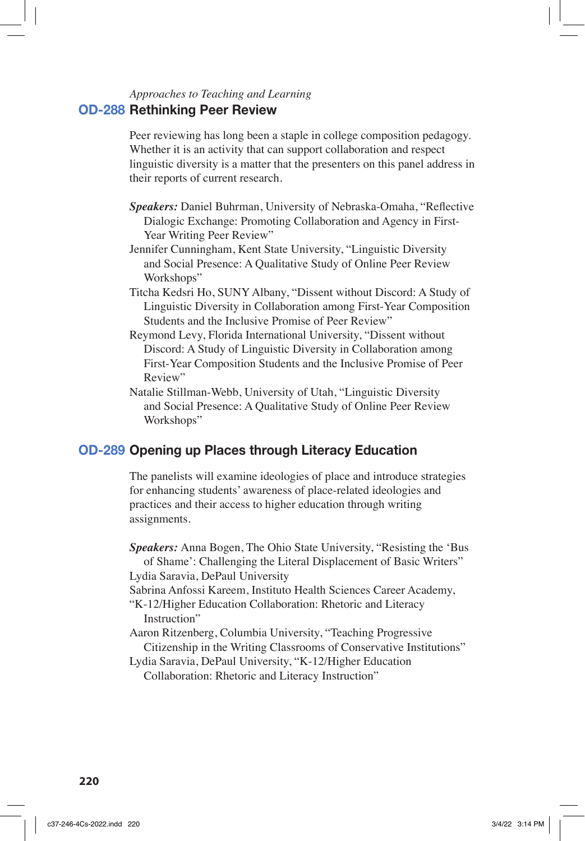## *Approaches to Teaching and Learning* **OD-288 Rethinking Peer Review**

Peer reviewing has long been a staple in college composition pedagogy. Whether it is an activity that can support collaboration and respect linguistic diversity is a matter that the presenters on this panel address in their reports of current research.

- *Speakers:* Daniel Buhrman, University of Nebraska-Omaha, "Reflective Dialogic Exchange: Promoting Collaboration and Agency in First-Year Writing Peer Review"
- Jennifer Cunningham, Kent State University, "Linguistic Diversity and Social Presence: A Qualitative Study of Online Peer Review Workshops"
- Titcha Kedsri Ho, SUNY Albany, "Dissent without Discord: A Study of Linguistic Diversity in Collaboration among First-Year Composition Students and the Inclusive Promise of Peer Review"
- Reymond Levy, Florida International University, "Dissent without Discord: A Study of Linguistic Diversity in Collaboration among First-Year Composition Students and the Inclusive Promise of Peer Review"
- Natalie Stillman-Webb, University of Utah, "Linguistic Diversity and Social Presence: A Qualitative Study of Online Peer Review Workshops"

# **OD-289 Opening up Places through Literacy Education**

The panelists will examine ideologies of place and introduce strategies for enhancing students' awareness of place-related ideologies and practices and their access to higher education through writing assignments.

*Speakers:* Anna Bogen, The Ohio State University, "Resisting the 'Bus of Shame': Challenging the Literal Displacement of Basic Writers" Lydia Saravia, DePaul University Sabrina Anfossi Kareem, Instituto Health Sciences Career Academy, "K-12/Higher Education Collaboration: Rhetoric and Literacy Instruction"

Aaron Ritzenberg, Columbia University, "Teaching Progressive Citizenship in the Writing Classrooms of Conservative Institutions"

Lydia Saravia, DePaul University, "K-12/Higher Education Collaboration: Rhetoric and Literacy Instruction"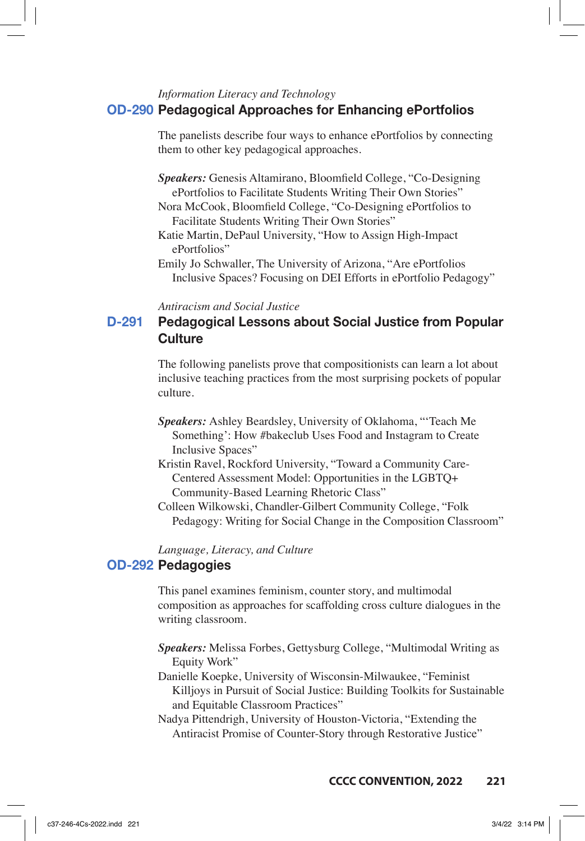## *Information Literacy and Technology* **OD-290 Pedagogical Approaches for Enhancing ePortfolios**

The panelists describe four ways to enhance ePortfolios by connecting them to other key pedagogical approaches.

*Speakers:* Genesis Altamirano, Bloomfield College, "Co-Designing ePortfolios to Facilitate Students Writing Their Own Stories"

Nora McCook, Bloomfield College, "Co-Designing ePortfolios to Facilitate Students Writing Their Own Stories"

Katie Martin, DePaul University, "How to Assign High-Impact ePortfolios"

Emily Jo Schwaller, The University of Arizona, "Are ePortfolios Inclusive Spaces? Focusing on DEI Efforts in ePortfolio Pedagogy"

*Antiracism and Social Justice*

# **D-291 Pedagogical Lessons about Social Justice from Popular Culture**

The following panelists prove that compositionists can learn a lot about inclusive teaching practices from the most surprising pockets of popular culture.

- *Speakers:* Ashley Beardsley, University of Oklahoma, "'Teach Me Something': How #bakeclub Uses Food and Instagram to Create Inclusive Spaces"
- Kristin Ravel, Rockford University, "Toward a Community Care-Centered Assessment Model: Opportunities in the LGBTQ+ Community-Based Learning Rhetoric Class"
- Colleen Wilkowski, Chandler-Gilbert Community College, "Folk Pedagogy: Writing for Social Change in the Composition Classroom"

*Language, Literacy, and Culture*

## **OD-292 Pedagogies**

This panel examines feminism, counter story, and multimodal composition as approaches for scaffolding cross culture dialogues in the writing classroom.

- *Speakers:* Melissa Forbes, Gettysburg College, "Multimodal Writing as Equity Work"
- Danielle Koepke, University of Wisconsin-Milwaukee, "Feminist Killjoys in Pursuit of Social Justice: Building Toolkits for Sustainable and Equitable Classroom Practices"

Nadya Pittendrigh, University of Houston-Victoria, "Extending the Antiracist Promise of Counter-Story through Restorative Justice"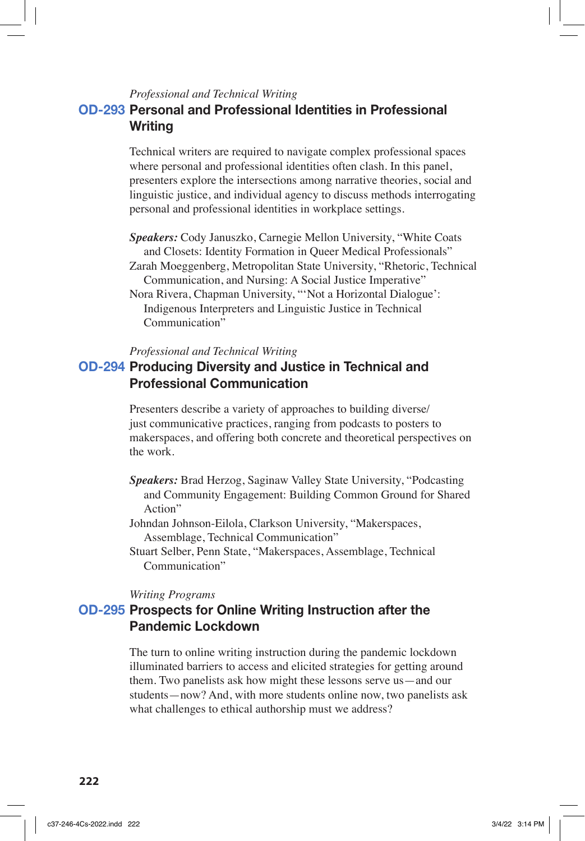### *Professional and Technical Writing*

# **OD-293 Personal and Professional Identities in Professional Writing**

Technical writers are required to navigate complex professional spaces where personal and professional identities often clash. In this panel, presenters explore the intersections among narrative theories, social and linguistic justice, and individual agency to discuss methods interrogating personal and professional identities in workplace settings.

*Speakers:* Cody Januszko, Carnegie Mellon University, "White Coats and Closets: Identity Formation in Queer Medical Professionals"

Zarah Moeggenberg, Metropolitan State University, "Rhetoric, Technical Communication, and Nursing: A Social Justice Imperative"

Nora Rivera, Chapman University, "'Not a Horizontal Dialogue': Indigenous Interpreters and Linguistic Justice in Technical Communication"

#### *Professional and Technical Writing*

# **OD-294 Producing Diversity and Justice in Technical and Professional Communication**

Presenters describe a variety of approaches to building diverse/ just communicative practices, ranging from podcasts to posters to makerspaces, and offering both concrete and theoretical perspectives on the work.

- *Speakers:* Brad Herzog, Saginaw Valley State University, "Podcasting and Community Engagement: Building Common Ground for Shared Action"
- Johndan Johnson-Eilola, Clarkson University, "Makerspaces, Assemblage, Technical Communication"
- Stuart Selber, Penn State, "Makerspaces, Assemblage, Technical Communication"

#### *Writing Programs*

# **OD-295 Prospects for Online Writing Instruction after the Pandemic Lockdown**

The turn to online writing instruction during the pandemic lockdown illuminated barriers to access and elicited strategies for getting around them. Two panelists ask how might these lessons serve us—and our students—now? And, with more students online now, two panelists ask what challenges to ethical authorship must we address?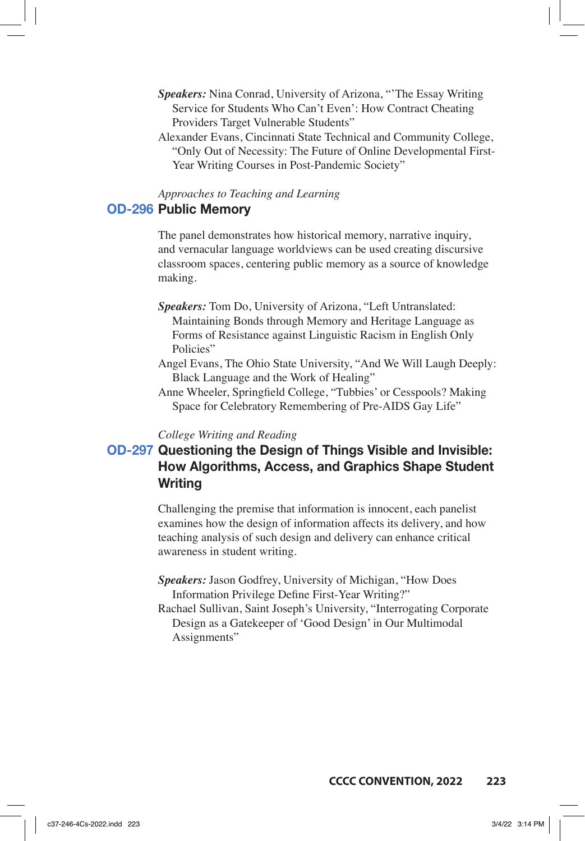- *Speakers:* Nina Conrad, University of Arizona, "'The Essay Writing Service for Students Who Can't Even': How Contract Cheating Providers Target Vulnerable Students"
- Alexander Evans, Cincinnati State Technical and Community College, "Only Out of Necessity: The Future of Online Developmental First-Year Writing Courses in Post-Pandemic Society"

# *Approaches to Teaching and Learning*

# **OD-296 Public Memory**

The panel demonstrates how historical memory, narrative inquiry, and vernacular language worldviews can be used creating discursive classroom spaces, centering public memory as a source of knowledge making.

- *Speakers:* Tom Do, University of Arizona, "Left Untranslated: Maintaining Bonds through Memory and Heritage Language as Forms of Resistance against Linguistic Racism in English Only Policies"
- Angel Evans, The Ohio State University, "And We Will Laugh Deeply: Black Language and the Work of Healing"
- Anne Wheeler, Springfield College, "Tubbies' or Cesspools? Making Space for Celebratory Remembering of Pre-AIDS Gay Life"

#### *College Writing and Reading*

# **OD-297 Questioning the Design of Things Visible and Invisible: How Algorithms, Access, and Graphics Shape Student Writing**

Challenging the premise that information is innocent, each panelist examines how the design of information affects its delivery, and how teaching analysis of such design and delivery can enhance critical awareness in student writing.

- *Speakers:* Jason Godfrey, University of Michigan, "How Does Information Privilege Define First-Year Writing?"
- Rachael Sullivan, Saint Joseph's University, "Interrogating Corporate Design as a Gatekeeper of 'Good Design' in Our Multimodal Assignments"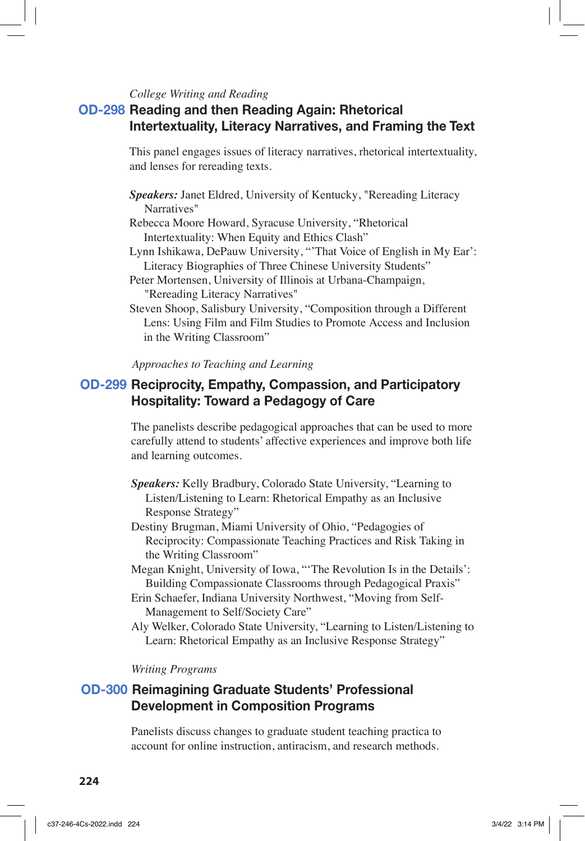### *College Writing and Reading*

# **OD-298 Reading and then Reading Again: Rhetorical Intertextuality, Literacy Narratives, and Framing the Text**

This panel engages issues of literacy narratives, rhetorical intertextuality, and lenses for rereading texts.

- *Speakers:* Janet Eldred, University of Kentucky, "Rereading Literacy Narratives"
- Rebecca Moore Howard, Syracuse University, "Rhetorical Intertextuality: When Equity and Ethics Clash"
- Lynn Ishikawa, DePauw University, "'That Voice of English in My Ear': Literacy Biographies of Three Chinese University Students"
- Peter Mortensen, University of Illinois at Urbana-Champaign, "Rereading Literacy Narratives"

Steven Shoop, Salisbury University, "Composition through a Different Lens: Using Film and Film Studies to Promote Access and Inclusion in the Writing Classroom"

### *Approaches to Teaching and Learning*

# **OD-299 Reciprocity, Empathy, Compassion, and Participatory Hospitality: Toward a Pedagogy of Care**

The panelists describe pedagogical approaches that can be used to more carefully attend to students' affective experiences and improve both life and learning outcomes.

- *Speakers:* Kelly Bradbury, Colorado State University, "Learning to Listen/Listening to Learn: Rhetorical Empathy as an Inclusive Response Strategy"
- Destiny Brugman, Miami University of Ohio, "Pedagogies of Reciprocity: Compassionate Teaching Practices and Risk Taking in the Writing Classroom"
- Megan Knight, University of Iowa, "'The Revolution Is in the Details': Building Compassionate Classrooms through Pedagogical Praxis"
- Erin Schaefer, Indiana University Northwest, "Moving from Self-Management to Self/Society Care"
- Aly Welker, Colorado State University, "Learning to Listen/Listening to Learn: Rhetorical Empathy as an Inclusive Response Strategy"

#### *Writing Programs*

# **OD-300 Reimagining Graduate Students' Professional Development in Composition Programs**

Panelists discuss changes to graduate student teaching practica to account for online instruction, antiracism, and research methods.

**224**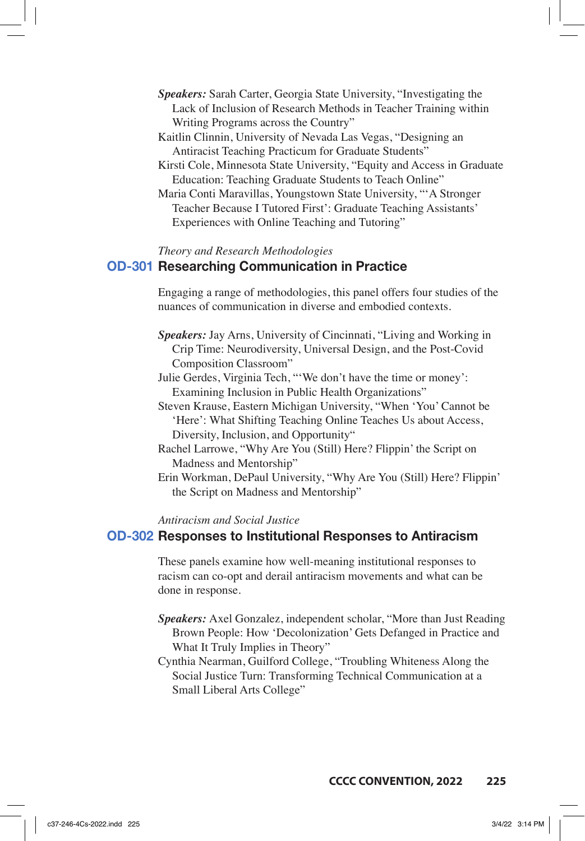- *Speakers:* Sarah Carter, Georgia State University, "Investigating the Lack of Inclusion of Research Methods in Teacher Training within Writing Programs across the Country"
- Kaitlin Clinnin, University of Nevada Las Vegas, "Designing an Antiracist Teaching Practicum for Graduate Students"
- Kirsti Cole, Minnesota State University, "Equity and Access in Graduate Education: Teaching Graduate Students to Teach Online"
- Maria Conti Maravillas, Youngstown State University, "'A Stronger Teacher Because I Tutored First': Graduate Teaching Assistants' Experiences with Online Teaching and Tutoring"

### *Theory and Research Methodologies*

### **OD-301 Researching Communication in Practice**

Engaging a range of methodologies, this panel offers four studies of the nuances of communication in diverse and embodied contexts.

- *Speakers:* Jay Arns, University of Cincinnati, "Living and Working in Crip Time: Neurodiversity, Universal Design, and the Post-Covid Composition Classroom"
- Julie Gerdes, Virginia Tech, "'We don't have the time or money': Examining Inclusion in Public Health Organizations"
- Steven Krause, Eastern Michigan University, "When 'You' Cannot be 'Here': What Shifting Teaching Online Teaches Us about Access, Diversity, Inclusion, and Opportunity"
- Rachel Larrowe, "Why Are You (Still) Here? Flippin' the Script on Madness and Mentorship"
- Erin Workman, DePaul University, "Why Are You (Still) Here? Flippin' the Script on Madness and Mentorship"

#### *Antiracism and Social Justice*

### **OD-302 Responses to Institutional Responses to Antiracism**

These panels examine how well-meaning institutional responses to racism can co-opt and derail antiracism movements and what can be done in response.

- *Speakers:* Axel Gonzalez, independent scholar, "More than Just Reading Brown People: How 'Decolonization' Gets Defanged in Practice and What It Truly Implies in Theory"
- Cynthia Nearman, Guilford College, "Troubling Whiteness Along the Social Justice Turn: Transforming Technical Communication at a Small Liberal Arts College"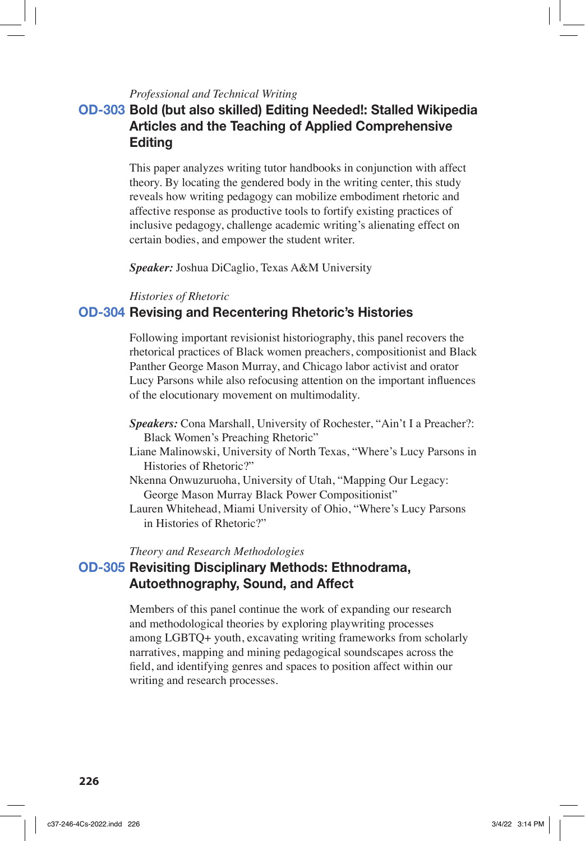### *Professional and Technical Writing*

# **OD-303 Bold (but also skilled) Editing Needed!: Stalled Wikipedia Articles and the Teaching of Applied Comprehensive Editing**

This paper analyzes writing tutor handbooks in conjunction with affect theory. By locating the gendered body in the writing center, this study reveals how writing pedagogy can mobilize embodiment rhetoric and affective response as productive tools to fortify existing practices of inclusive pedagogy, challenge academic writing's alienating effect on certain bodies, and empower the student writer.

*Speaker:* Joshua DiCaglio, Texas A&M University

#### *Histories of Rhetoric*

## **OD-304 Revising and Recentering Rhetoric's Histories**

Following important revisionist historiography, this panel recovers the rhetorical practices of Black women preachers, compositionist and Black Panther George Mason Murray, and Chicago labor activist and orator Lucy Parsons while also refocusing attention on the important influences of the elocutionary movement on multimodality.

- *Speakers:* Cona Marshall, University of Rochester, "Ain't I a Preacher?: Black Women's Preaching Rhetoric"
- Liane Malinowski, University of North Texas, "Where's Lucy Parsons in Histories of Rhetoric?"
- Nkenna Onwuzuruoha, University of Utah, "Mapping Our Legacy: George Mason Murray Black Power Compositionist"
- Lauren Whitehead, Miami University of Ohio, "Where's Lucy Parsons in Histories of Rhetoric?"

### *Theory and Research Methodologies*

# **OD-305 Revisiting Disciplinary Methods: Ethnodrama, Autoethnography, Sound, and Affect**

Members of this panel continue the work of expanding our research and methodological theories by exploring playwriting processes among LGBTQ+ youth, excavating writing frameworks from scholarly narratives, mapping and mining pedagogical soundscapes across the field, and identifying genres and spaces to position affect within our writing and research processes.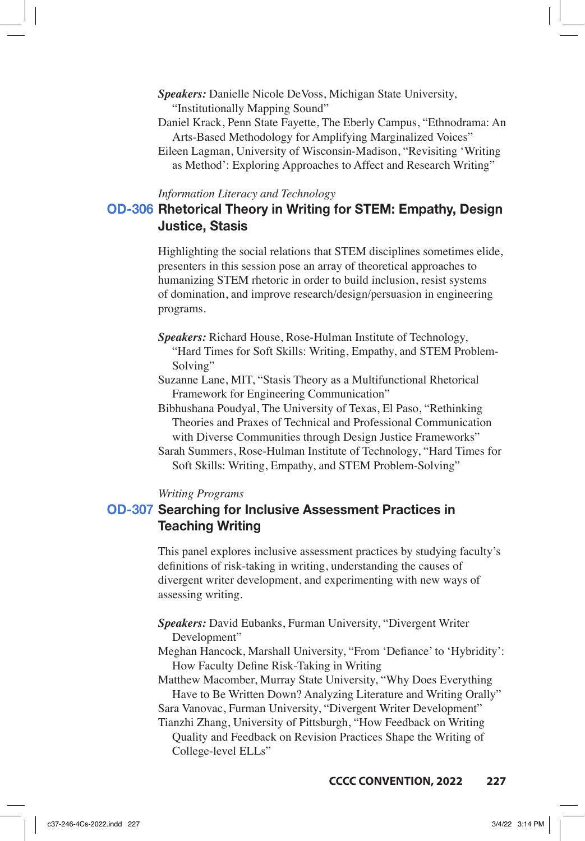- *Speakers:* Danielle Nicole DeVoss, Michigan State University, "Institutionally Mapping Sound"
- Daniel Krack, Penn State Fayette, The Eberly Campus, "Ethnodrama: An Arts-Based Methodology for Amplifying Marginalized Voices"
- Eileen Lagman, University of Wisconsin-Madison, "Revisiting 'Writing as Method': Exploring Approaches to Affect and Research Writing"

#### *Information Literacy and Technology*

# **OD-306 Rhetorical Theory in Writing for STEM: Empathy, Design Justice, Stasis**

Highlighting the social relations that STEM disciplines sometimes elide, presenters in this session pose an array of theoretical approaches to humanizing STEM rhetoric in order to build inclusion, resist systems of domination, and improve research/design/persuasion in engineering programs.

- *Speakers:* Richard House, Rose-Hulman Institute of Technology, "Hard Times for Soft Skills: Writing, Empathy, and STEM Problem-Solving"
- Suzanne Lane, MIT, "Stasis Theory as a Multifunctional Rhetorical Framework for Engineering Communication"
- Bibhushana Poudyal, The University of Texas, El Paso, "Rethinking Theories and Praxes of Technical and Professional Communication with Diverse Communities through Design Justice Frameworks"
- Sarah Summers, Rose-Hulman Institute of Technology, "Hard Times for Soft Skills: Writing, Empathy, and STEM Problem-Solving"

#### *Writing Programs*

# **OD-307 Searching for Inclusive Assessment Practices in Teaching Writing**

This panel explores inclusive assessment practices by studying faculty's definitions of risk-taking in writing, understanding the causes of divergent writer development, and experimenting with new ways of assessing writing.

*Speakers:* David Eubanks, Furman University, "Divergent Writer Development"

- Meghan Hancock, Marshall University, "From 'Defiance' to 'Hybridity': How Faculty Define Risk-Taking in Writing
- Matthew Macomber, Murray State University, "Why Does Everything Have to Be Written Down? Analyzing Literature and Writing Orally"

Sara Vanovac, Furman University, "Divergent Writer Development"

Tianzhi Zhang, University of Pittsburgh, "How Feedback on Writing Quality and Feedback on Revision Practices Shape the Writing of College-level ELLs"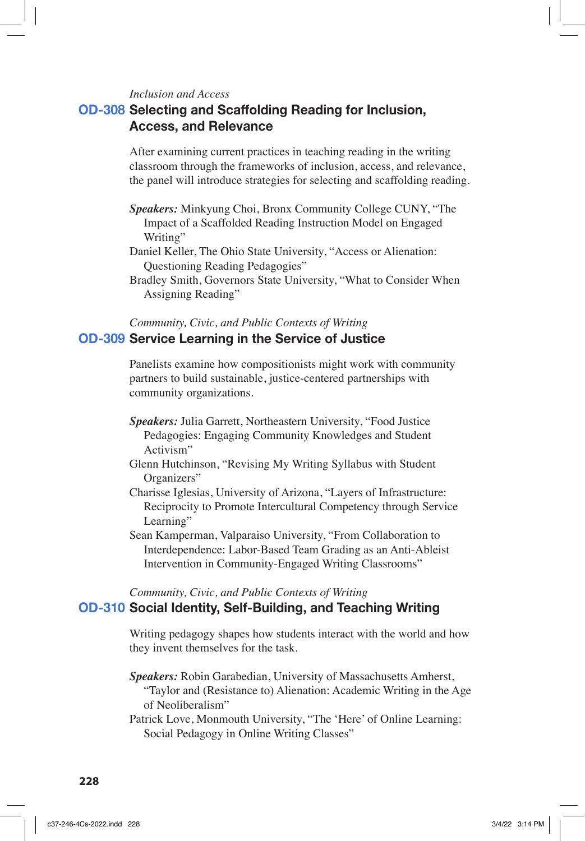#### *Inclusion and Access*

# **OD-308 Selecting and Scaffolding Reading for Inclusion, Access, and Relevance**

After examining current practices in teaching reading in the writing classroom through the frameworks of inclusion, access, and relevance, the panel will introduce strategies for selecting and scaffolding reading.

- *Speakers:* Minkyung Choi, Bronx Community College CUNY, "The Impact of a Scaffolded Reading Instruction Model on Engaged Writing"
- Daniel Keller, The Ohio State University, "Access or Alienation: Questioning Reading Pedagogies"
- Bradley Smith, Governors State University, "What to Consider When Assigning Reading"

## *Community, Civic, and Public Contexts of Writing* **OD-309 Service Learning in the Service of Justice**

Panelists examine how compositionists might work with community partners to build sustainable, justice-centered partnerships with community organizations.

- *Speakers:* Julia Garrett, Northeastern University, "Food Justice Pedagogies: Engaging Community Knowledges and Student Activism"
- Glenn Hutchinson, "Revising My Writing Syllabus with Student Organizers"
- Charisse Iglesias, University of Arizona, "Layers of Infrastructure: Reciprocity to Promote Intercultural Competency through Service Learning"
- Sean Kamperman, Valparaiso University, "From Collaboration to Interdependence: Labor-Based Team Grading as an Anti-Ableist Intervention in Community-Engaged Writing Classrooms"

# *Community, Civic, and Public Contexts of Writing*

## **OD-310 Social Identity, Self-Building, and Teaching Writing**

Writing pedagogy shapes how students interact with the world and how they invent themselves for the task.

*Speakers:* Robin Garabedian, University of Massachusetts Amherst, "Taylor and (Resistance to) Alienation: Academic Writing in the Age of Neoliberalism"

Patrick Love, Monmouth University, "The 'Here' of Online Learning: Social Pedagogy in Online Writing Classes"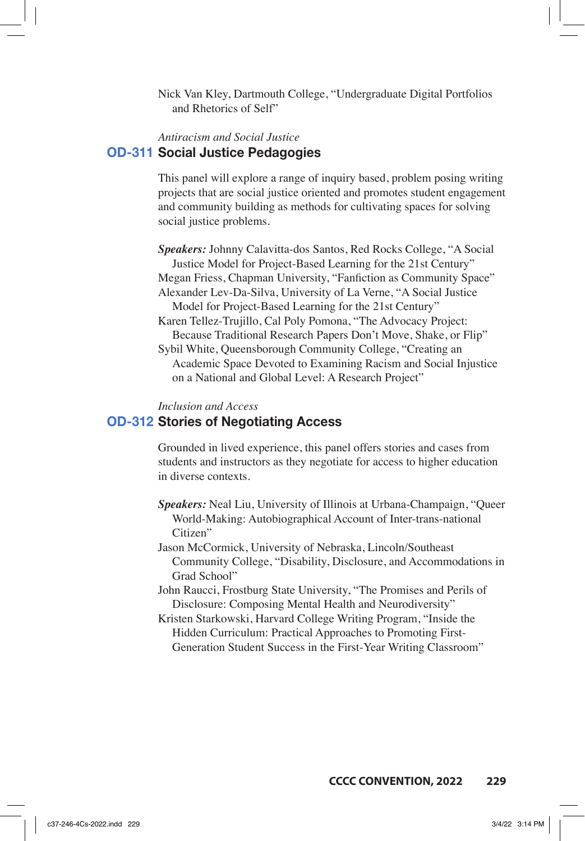Nick Van Kley, Dartmouth College, "Undergraduate Digital Portfolios and Rhetorics of Self"

# *Antiracism and Social Justice* **OD-311 Social Justice Pedagogies**

This panel will explore a range of inquiry based, problem posing writing projects that are social justice oriented and promotes student engagement and community building as methods for cultivating spaces for solving social justice problems.

*Speakers:* Johnny Calavitta-dos Santos, Red Rocks College, "A Social Justice Model for Project-Based Learning for the 21st Century" Megan Friess, Chapman University, "Fanfiction as Community Space" Alexander Lev-Da-Silva, University of La Verne, "A Social Justice Model for Project-Based Learning for the 21st Century" Karen Tellez-Trujillo, Cal Poly Pomona, "The Advocacy Project: Because Traditional Research Papers Don't Move, Shake, or Flip"

Sybil White, Queensborough Community College, "Creating an Academic Space Devoted to Examining Racism and Social Injustice on a National and Global Level: A Research Project"

#### *Inclusion and Access*

### **OD-312 Stories of Negotiating Access**

Grounded in lived experience, this panel offers stories and cases from students and instructors as they negotiate for access to higher education in diverse contexts.

- *Speakers:* Neal Liu, University of Illinois at Urbana-Champaign, "Queer World-Making: Autobiographical Account of Inter-trans-national Citizen"
- Jason McCormick, University of Nebraska, Lincoln/Southeast Community College, "Disability, Disclosure, and Accommodations in Grad School"

John Raucci, Frostburg State University, "The Promises and Perils of Disclosure: Composing Mental Health and Neurodiversity"

Kristen Starkowski, Harvard College Writing Program, "Inside the Hidden Curriculum: Practical Approaches to Promoting First-Generation Student Success in the First-Year Writing Classroom"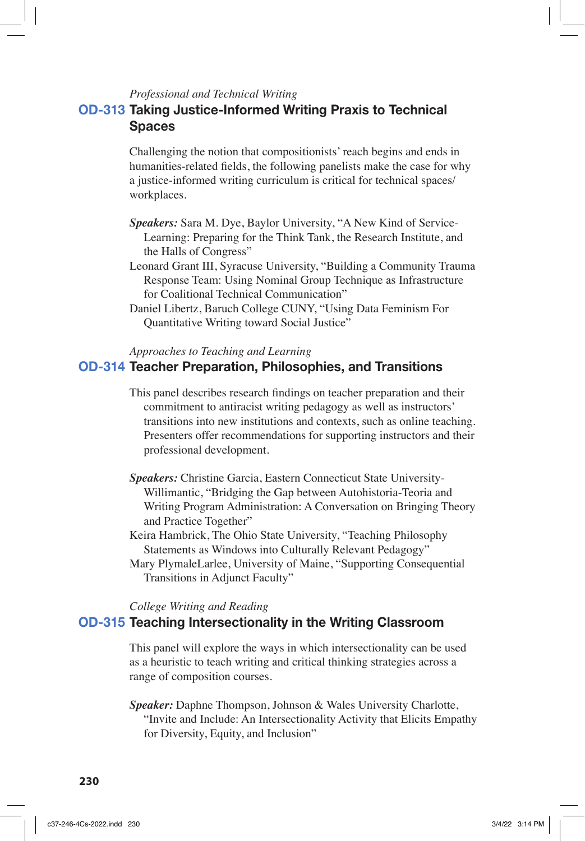### *Professional and Technical Writing*

# **OD-313 Taking Justice-Informed Writing Praxis to Technical Spaces**

Challenging the notion that compositionists' reach begins and ends in humanities-related fields, the following panelists make the case for why a justice-informed writing curriculum is critical for technical spaces/ workplaces.

- *Speakers:* Sara M. Dye, Baylor University, "A New Kind of Service-Learning: Preparing for the Think Tank, the Research Institute, and the Halls of Congress"
- Leonard Grant III, Syracuse University, "Building a Community Trauma Response Team: Using Nominal Group Technique as Infrastructure for Coalitional Technical Communication"
- Daniel Libertz, Baruch College CUNY, "Using Data Feminism For Quantitative Writing toward Social Justice"

*Approaches to Teaching and Learning*

## **OD-314 Teacher Preparation, Philosophies, and Transitions**

- This panel describes research findings on teacher preparation and their commitment to antiracist writing pedagogy as well as instructors' transitions into new institutions and contexts, such as online teaching. Presenters offer recommendations for supporting instructors and their professional development.
- *Speakers:* Christine Garcia, Eastern Connecticut State University-Willimantic, "Bridging the Gap between Autohistoria-Teoria and Writing Program Administration: A Conversation on Bringing Theory and Practice Together"
- Keira Hambrick, The Ohio State University, "Teaching Philosophy Statements as Windows into Culturally Relevant Pedagogy"
- Mary PlymaleLarlee, University of Maine, "Supporting Consequential Transitions in Adjunct Faculty"

*College Writing and Reading*

### **OD-315 Teaching Intersectionality in the Writing Classroom**

This panel will explore the ways in which intersectionality can be used as a heuristic to teach writing and critical thinking strategies across a range of composition courses.

*Speaker:* Daphne Thompson, Johnson & Wales University Charlotte, "Invite and Include: An Intersectionality Activity that Elicits Empathy for Diversity, Equity, and Inclusion"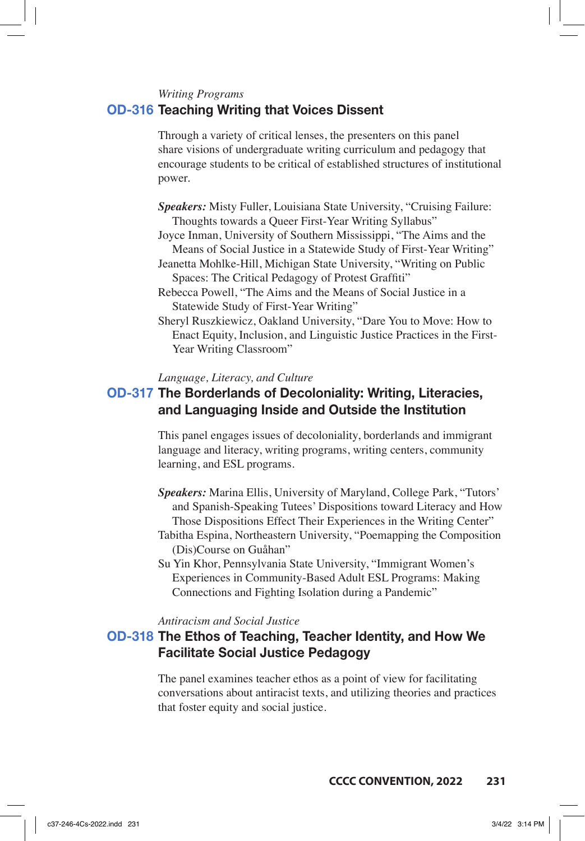#### *Writing Programs*

### **OD-316 Teaching Writing that Voices Dissent**

Through a variety of critical lenses, the presenters on this panel share visions of undergraduate writing curriculum and pedagogy that encourage students to be critical of established structures of institutional power.

- *Speakers:* Misty Fuller, Louisiana State University, "Cruising Failure: Thoughts towards a Queer First-Year Writing Syllabus"
- Joyce Inman, University of Southern Mississippi, "The Aims and the Means of Social Justice in a Statewide Study of First-Year Writing"
- Jeanetta Mohlke-Hill, Michigan State University, "Writing on Public Spaces: The Critical Pedagogy of Protest Graffiti"
- Rebecca Powell, "The Aims and the Means of Social Justice in a Statewide Study of First-Year Writing"
- Sheryl Ruszkiewicz, Oakland University, "Dare You to Move: How to Enact Equity, Inclusion, and Linguistic Justice Practices in the First-Year Writing Classroom"

#### *Language, Literacy, and Culture*

# **OD-317 The Borderlands of Decoloniality: Writing, Literacies, and Languaging Inside and Outside the Institution**

This panel engages issues of decoloniality, borderlands and immigrant language and literacy, writing programs, writing centers, community learning, and ESL programs.

- *Speakers:* Marina Ellis, University of Maryland, College Park, "Tutors' and Spanish-Speaking Tutees' Dispositions toward Literacy and How Those Dispositions Effect Their Experiences in the Writing Center"
- Tabitha Espina, Northeastern University, "Poemapping the Composition (Dis)Course on Guåhan"
- Su Yin Khor, Pennsylvania State University, "Immigrant Women's Experiences in Community-Based Adult ESL Programs: Making Connections and Fighting Isolation during a Pandemic"

#### *Antiracism and Social Justice*

# **OD-318 The Ethos of Teaching, Teacher Identity, and How We Facilitate Social Justice Pedagogy**

The panel examines teacher ethos as a point of view for facilitating conversations about antiracist texts, and utilizing theories and practices that foster equity and social justice.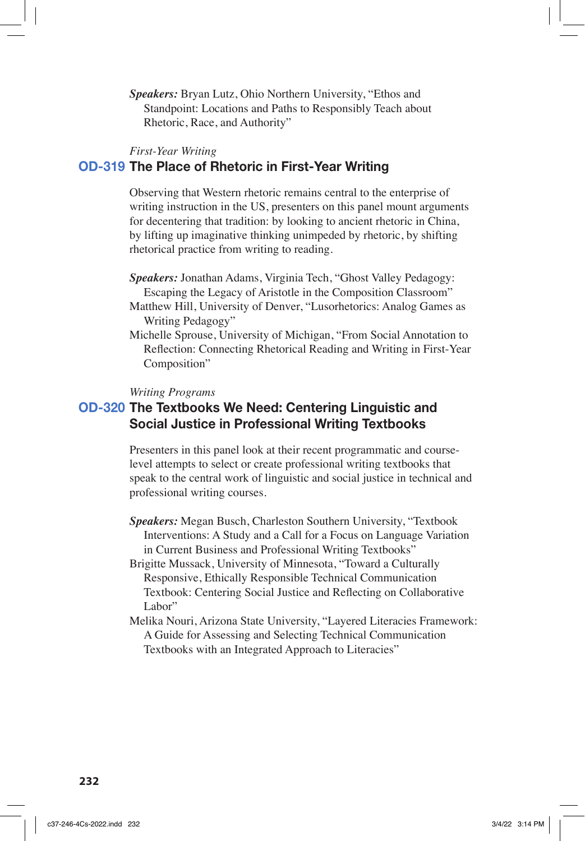*Speakers:* Bryan Lutz, Ohio Northern University, "Ethos and Standpoint: Locations and Paths to Responsibly Teach about Rhetoric, Race, and Authority"

#### *First-Year Writing*

### **OD-319 The Place of Rhetoric in First-Year Writing**

Observing that Western rhetoric remains central to the enterprise of writing instruction in the US, presenters on this panel mount arguments for decentering that tradition: by looking to ancient rhetoric in China, by lifting up imaginative thinking unimpeded by rhetoric, by shifting rhetorical practice from writing to reading.

- *Speakers:* Jonathan Adams, Virginia Tech, "Ghost Valley Pedagogy: Escaping the Legacy of Aristotle in the Composition Classroom"
- Matthew Hill, University of Denver, "Lusorhetorics: Analog Games as Writing Pedagogy"
- Michelle Sprouse, University of Michigan, "From Social Annotation to Reflection: Connecting Rhetorical Reading and Writing in First-Year Composition"

#### *Writing Programs*

# **OD-320 The Textbooks We Need: Centering Linguistic and Social Justice in Professional Writing Textbooks**

Presenters in this panel look at their recent programmatic and courselevel attempts to select or create professional writing textbooks that speak to the central work of linguistic and social justice in technical and professional writing courses.

*Speakers:* Megan Busch, Charleston Southern University, "Textbook Interventions: A Study and a Call for a Focus on Language Variation in Current Business and Professional Writing Textbooks"

Brigitte Mussack, University of Minnesota, "Toward a Culturally Responsive, Ethically Responsible Technical Communication Textbook: Centering Social Justice and Reflecting on Collaborative Labor"

Melika Nouri, Arizona State University, "Layered Literacies Framework: A Guide for Assessing and Selecting Technical Communication Textbooks with an Integrated Approach to Literacies"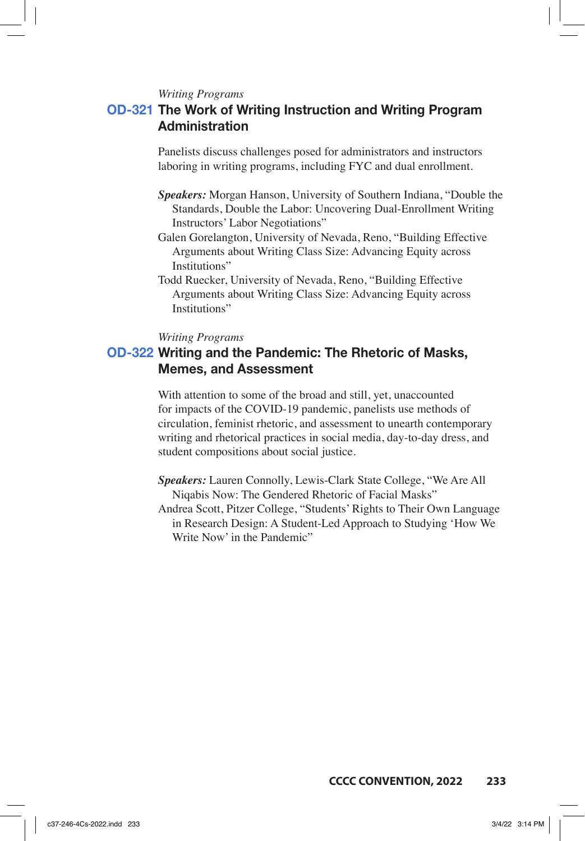*Writing Programs*

# **OD-321 The Work of Writing Instruction and Writing Program Administration**

Panelists discuss challenges posed for administrators and instructors laboring in writing programs, including FYC and dual enrollment.

- *Speakers:* Morgan Hanson, University of Southern Indiana, "Double the Standards, Double the Labor: Uncovering Dual-Enrollment Writing Instructors' Labor Negotiations"
- Galen Gorelangton, University of Nevada, Reno, "Building Effective Arguments about Writing Class Size: Advancing Equity across Institutions"
- Todd Ruecker, University of Nevada, Reno, "Building Effective Arguments about Writing Class Size: Advancing Equity across Institutions"

### *Writing Programs*

# **OD-322 Writing and the Pandemic: The Rhetoric of Masks, Memes, and Assessment**

With attention to some of the broad and still, yet, unaccounted for impacts of the COVID-19 pandemic, panelists use methods of circulation, feminist rhetoric, and assessment to unearth contemporary writing and rhetorical practices in social media, day-to-day dress, and student compositions about social justice.

- *Speakers:* Lauren Connolly, Lewis-Clark State College, "We Are All Niqabis Now: The Gendered Rhetoric of Facial Masks"
- Andrea Scott, Pitzer College, "Students' Rights to Their Own Language in Research Design: A Student-Led Approach to Studying 'How We Write Now' in the Pandemic"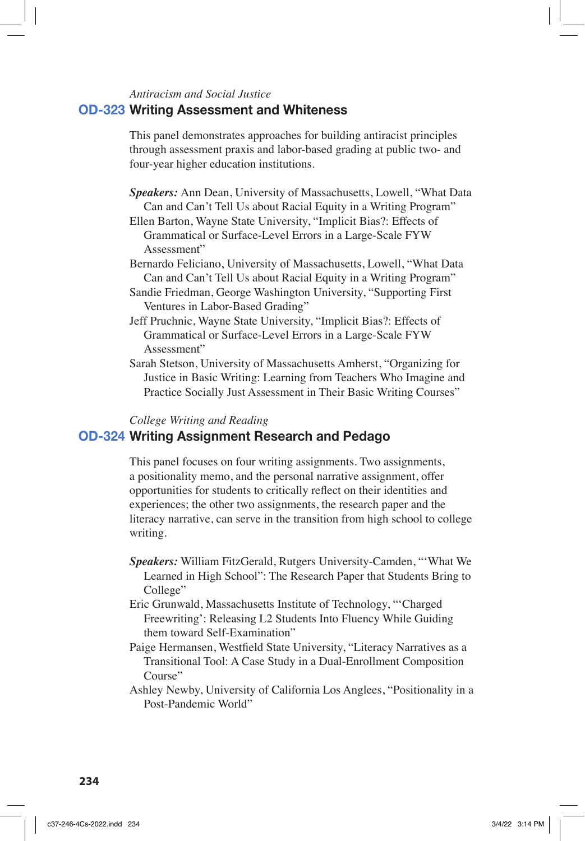#### *Antiracism and Social Justice*

### **OD-323 Writing Assessment and Whiteness**

This panel demonstrates approaches for building antiracist principles through assessment praxis and labor-based grading at public two- and four-year higher education institutions.

*Speakers:* Ann Dean, University of Massachusetts, Lowell, "What Data Can and Can't Tell Us about Racial Equity in a Writing Program" Ellen Barton, Wayne State University, "Implicit Bias?: Effects of

Grammatical or Surface-Level Errors in a Large-Scale FYW Assessment"

- Bernardo Feliciano, University of Massachusetts, Lowell, "What Data Can and Can't Tell Us about Racial Equity in a Writing Program"
- Sandie Friedman, George Washington University, "Supporting First Ventures in Labor-Based Grading"
- Jeff Pruchnic, Wayne State University, "Implicit Bias?: Effects of Grammatical or Surface-Level Errors in a Large-Scale FYW Assessment"
- Sarah Stetson, University of Massachusetts Amherst, "Organizing for Justice in Basic Writing: Learning from Teachers Who Imagine and Practice Socially Just Assessment in Their Basic Writing Courses"

#### *College Writing and Reading*

## **OD-324 Writing Assignment Research and Pedago**

This panel focuses on four writing assignments. Two assignments, a positionality memo, and the personal narrative assignment, offer opportunities for students to critically reflect on their identities and experiences; the other two assignments, the research paper and the literacy narrative, can serve in the transition from high school to college writing.

- *Speakers:* William FitzGerald, Rutgers University-Camden, "'What We Learned in High School": The Research Paper that Students Bring to College"
- Eric Grunwald, Massachusetts Institute of Technology, "'Charged Freewriting': Releasing L2 Students Into Fluency While Guiding them toward Self-Examination"
- Paige Hermansen, Westfield State University, "Literacy Narratives as a Transitional Tool: A Case Study in a Dual-Enrollment Composition Course"
- Ashley Newby, University of California Los Anglees, "Positionality in a Post-Pandemic World"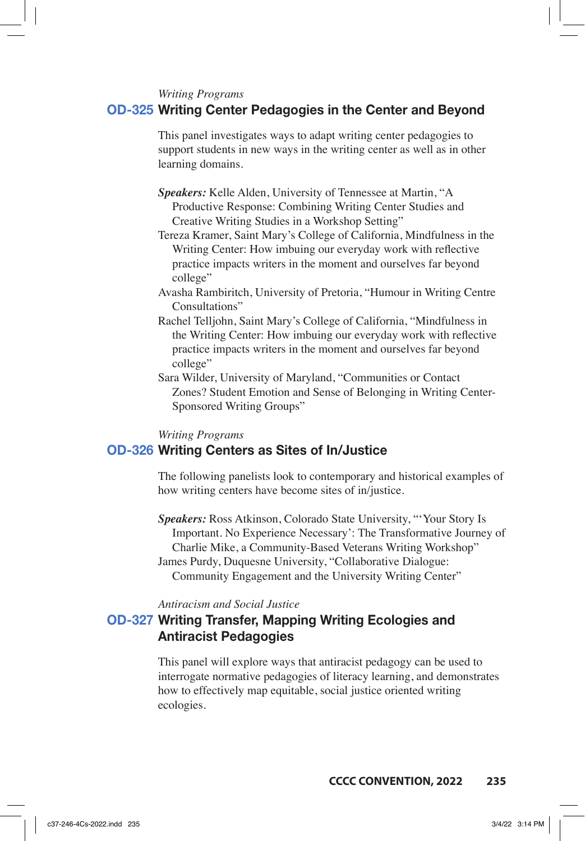#### *Writing Programs*

### **OD-325 Writing Center Pedagogies in the Center and Beyond**

This panel investigates ways to adapt writing center pedagogies to support students in new ways in the writing center as well as in other learning domains.

- *Speakers:* Kelle Alden, University of Tennessee at Martin, "A Productive Response: Combining Writing Center Studies and Creative Writing Studies in a Workshop Setting"
- Tereza Kramer, Saint Mary's College of California, Mindfulness in the Writing Center: How imbuing our everyday work with reflective practice impacts writers in the moment and ourselves far beyond college"
- Avasha Rambiritch, University of Pretoria, "Humour in Writing Centre Consultations"
- Rachel Telljohn, Saint Mary's College of California, "Mindfulness in the Writing Center: How imbuing our everyday work with reflective practice impacts writers in the moment and ourselves far beyond college"
- Sara Wilder, University of Maryland, "Communities or Contact Zones? Student Emotion and Sense of Belonging in Writing Center-Sponsored Writing Groups"

#### *Writing Programs*

### **OD-326 Writing Centers as Sites of In/Justice**

The following panelists look to contemporary and historical examples of how writing centers have become sites of in/justice.

*Speakers:* Ross Atkinson, Colorado State University, "'Your Story Is Important. No Experience Necessary': The Transformative Journey of Charlie Mike, a Community-Based Veterans Writing Workshop" James Purdy, Duquesne University, "Collaborative Dialogue: Community Engagement and the University Writing Center"

#### *Antiracism and Social Justice*

# **OD-327 Writing Transfer, Mapping Writing Ecologies and Antiracist Pedagogies**

This panel will explore ways that antiracist pedagogy can be used to interrogate normative pedagogies of literacy learning, and demonstrates how to effectively map equitable, social justice oriented writing ecologies.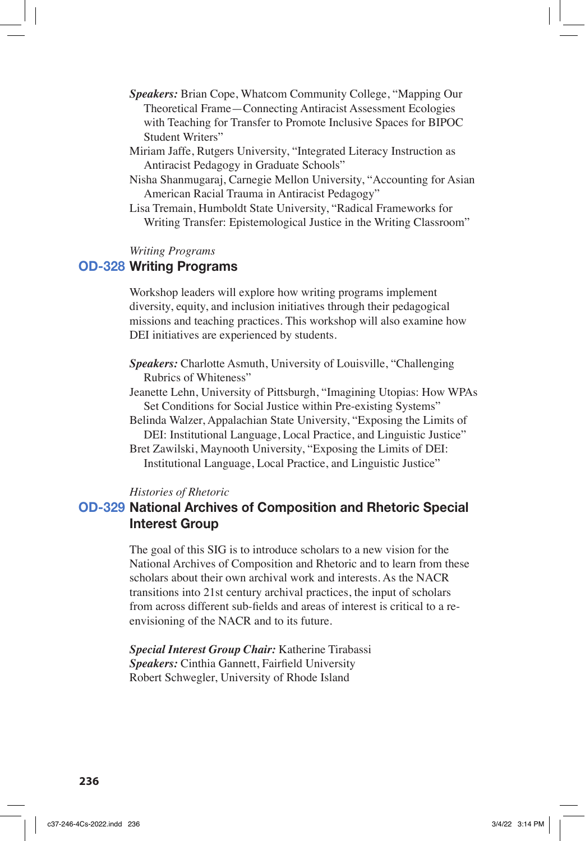- *Speakers:* Brian Cope, Whatcom Community College, "Mapping Our Theoretical Frame—Connecting Antiracist Assessment Ecologies with Teaching for Transfer to Promote Inclusive Spaces for BIPOC Student Writers"
- Miriam Jaffe, Rutgers University, "Integrated Literacy Instruction as Antiracist Pedagogy in Graduate Schools"
- Nisha Shanmugaraj, Carnegie Mellon University, "Accounting for Asian American Racial Trauma in Antiracist Pedagogy"
- Lisa Tremain, Humboldt State University, "Radical Frameworks for Writing Transfer: Epistemological Justice in the Writing Classroom"

### *Writing Programs*

## **OD-328 Writing Programs**

Workshop leaders will explore how writing programs implement diversity, equity, and inclusion initiatives through their pedagogical missions and teaching practices. This workshop will also examine how DEI initiatives are experienced by students.

*Speakers:* Charlotte Asmuth, University of Louisville, "Challenging Rubrics of Whiteness"

- Jeanette Lehn, University of Pittsburgh, "Imagining Utopias: How WPAs Set Conditions for Social Justice within Pre-existing Systems"
- Belinda Walzer, Appalachian State University, "Exposing the Limits of DEI: Institutional Language, Local Practice, and Linguistic Justice"

Bret Zawilski, Maynooth University, "Exposing the Limits of DEI: Institutional Language, Local Practice, and Linguistic Justice"

#### *Histories of Rhetoric*

# **OD-329 National Archives of Composition and Rhetoric Special Interest Group**

The goal of this SIG is to introduce scholars to a new vision for the National Archives of Composition and Rhetoric and to learn from these scholars about their own archival work and interests. As the NACR transitions into 21st century archival practices, the input of scholars from across different sub-fields and areas of interest is critical to a reenvisioning of the NACR and to its future.

*Special Interest Group Chair:* Katherine Tirabassi *Speakers:* Cinthia Gannett, Fairfield University Robert Schwegler, University of Rhode Island